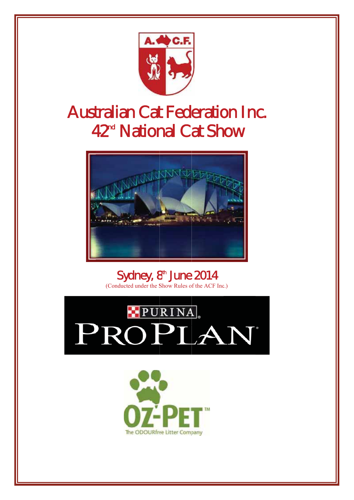

# **Australian Cat Federation Inc.** 42<sup>nd</sup> National Cat Show



Sydney, 8<sup>th</sup> June 2014 (Conducted under the Show Rules of the ACF Inc.)



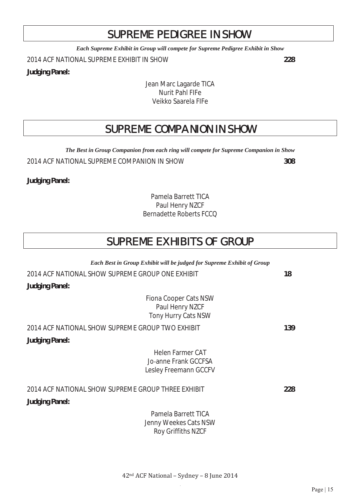# SUPREME PEDIGREE IN SHOW

*Each Supreme Exhibit in Group will compete for Supreme Pedigree Exhibit in Show* 

2014 ACF NATIONAL SUPREME EXHIBIT IN SHOW **228**

**Judging Panel:**

Jean Marc Lagarde TICA Nurit Pahl FIFe Veikko Saarela FIFe

# SUPREME COMPANION IN SHOW

*The Best in Group Companion from each ring will compete for Supreme Companion in Show*  2014 ACF NATIONAL SUPREME COMPANION IN SHOW **308**

**Judging Panel:**

Pamela Barrett TICA Paul Henry NZCF Bernadette Roberts FCCQ

# SUPREME EXHIBITS OF GROUP

*Each Best in Group Exhibit will be judged for Supreme Exhibit of Group*  2014 ACF NATIONAL SHOW SUPREME GROUP ONE EXHIBIT **18 Judging Panel:** Fiona Cooper Cats NSW Paul Henry NZCF Tony Hurry Cats NSW 2014 ACF NATIONAL SHOW SUPREME GROUP TWO EXHIBIT **139 Judging Panel:** Helen Farmer CAT Jo-anne Frank GCCFSA Lesley Freemann GCCFV 2014 ACF NATIONAL SHOW SUPREME GROUP THREE EXHIBIT **228 Judging Panel:** Pamela Barrett TICA Jenny Weekes Cats NSW Roy Griffiths NZCF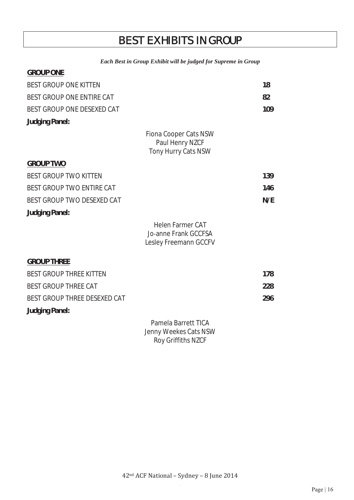# BEST EXHIBITS IN GROUP

#### *Each Best in Group Exhibit will be judged for Supreme in Group*

| <b>URUUP UNE</b>                 |                                                                          |     |
|----------------------------------|--------------------------------------------------------------------------|-----|
| <b>BEST GROUP ONE KITTEN</b>     |                                                                          | 18  |
| BEST GROUP ONE ENTIRE CAT        |                                                                          | 82  |
| BEST GROUP ONE DESEXED CAT       |                                                                          | 109 |
| <b>Judging Panel:</b>            |                                                                          |     |
|                                  | Fiona Cooper Cats NSW<br>Paul Henry NZCF<br>Tony Hurry Cats NSW          |     |
| <b>GROUP TWO</b>                 |                                                                          |     |
| <b>BEST GROUP TWO KITTEN</b>     |                                                                          | 139 |
| <b>BEST GROUP TWO ENTIRE CAT</b> |                                                                          | 146 |
| BEST GROUP TWO DESEXED CAT       |                                                                          | N/E |
| <b>Judging Panel:</b>            |                                                                          |     |
|                                  | <b>Helen Farmer CAT</b><br>Jo-anne Frank GCCFSA<br>Lesley Freemann GCCFV |     |
| <b>GROUP THREE</b>               |                                                                          |     |
| <b>BEST GROUP THREE KITTEN</b>   |                                                                          | 178 |
| <b>BEST GROUP THREE CAT</b>      |                                                                          | 228 |
| BEST GROUP THREE DESEXED CAT     |                                                                          | 296 |
| <b>Judging Panel:</b>            |                                                                          |     |
|                                  | Pamela Barrett TICA<br>Jenny Weekes Cats NSW                             |     |

**GROUP ONE**

Roy Griffiths NZCF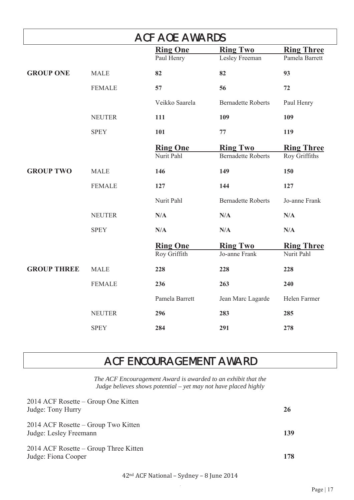|                    |               | <b>ACF AOE AWARDS</b> |                           |                   |
|--------------------|---------------|-----------------------|---------------------------|-------------------|
|                    |               | <b>Ring One</b>       | <b>Ring Two</b>           | <b>Ring Three</b> |
|                    |               | Paul Henry            | Lesley Freeman            | Pamela Barrett    |
| <b>GROUP ONE</b>   | <b>MALE</b>   | 82                    | 82                        | 93                |
|                    | <b>FEMALE</b> | 57                    | 56                        | 72                |
|                    |               | Veikko Saarela        | <b>Bernadette Roberts</b> | Paul Henry        |
|                    | <b>NEUTER</b> | 111                   | 109                       | 109               |
|                    | <b>SPEY</b>   | 101                   | 77                        | 119               |
|                    |               | <b>Ring One</b>       | <b>Ring Two</b>           | <b>Ring Three</b> |
|                    |               | Nurit Pahl            | <b>Bernadette Roberts</b> | Roy Griffiths     |
| <b>GROUP TWO</b>   | <b>MALE</b>   | 146                   | 149                       | 150               |
|                    | <b>FEMALE</b> | 127                   | 144                       | 127               |
|                    |               | Nurit Pahl            | <b>Bernadette Roberts</b> | Jo-anne Frank     |
|                    | <b>NEUTER</b> | N/A                   | N/A                       | N/A               |
|                    | <b>SPEY</b>   | N/A                   | N/A                       | N/A               |
|                    |               | <b>Ring One</b>       | <b>Ring Two</b>           | <b>Ring Three</b> |
|                    |               | Roy Griffith          | Jo-anne Frank             | Nurit Pahl        |
| <b>GROUP THREE</b> | <b>MALE</b>   | 228                   | 228                       | 228               |
|                    | <b>FEMALE</b> | 236                   | 263                       | 240               |
|                    |               | Pamela Barrett        | Jean Marc Lagarde         | Helen Farmer      |
|                    | <b>NEUTER</b> | 296                   | 283                       | 285               |
|                    | <b>SPEY</b>   | 284                   | 291                       | 278               |

# ACF ENCOURAGEMENT AWARD

*The ACF Encouragement Award is awarded to an exhibit that the Judge believes shows potential – yet may not have placed highly* 

| 2014 ACF Rosette – Group One Kitten<br>Judge: Tony Hurry      | 26  |
|---------------------------------------------------------------|-----|
| 2014 ACF Rosette – Group Two Kitten<br>Judge: Lesley Freemann | 139 |
| 2014 ACF Rosette – Group Three Kitten<br>Judge: Fiona Cooper  | 178 |

42<sup>nd</sup> ACF National - Sydney - 8 June 2014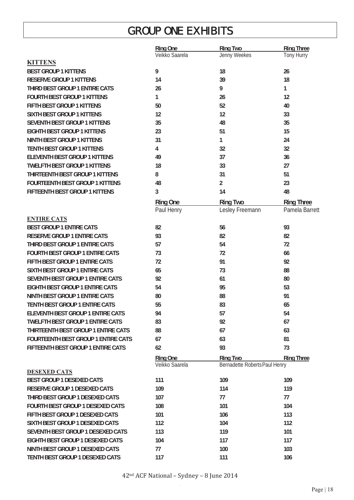# GROUP ONE EXHIBITS

|                                            | <b>Ring One</b> | <b>Ring Two</b>               | <b>Ring Three</b> |
|--------------------------------------------|-----------------|-------------------------------|-------------------|
|                                            | Veikko Saarela  | Jenny Weekes                  | Tony Hurry        |
| <b>KITTENS</b>                             |                 |                               |                   |
| <b>BEST GROUP 1 KITTENS</b>                | 9               | 18                            | 26                |
| <b>RESERVE GROUP 1 KITTENS</b>             | 14              | 39                            | 18                |
| THIRD BEST GROUP 1 ENTIRE CATS             | 26              | 9                             | 1                 |
| <b>FOURTH BEST GROUP 1 KITTENS</b>         | 1               | 26                            | 12                |
| FIFTH BEST GROUP 1 KITTENS                 | 50              | 52                            | 40                |
| <b>SIXTH BEST GROUP 1 KITTENS</b>          | 12              | 12                            | 33                |
| SEVENTH BEST GROUP 1 KITTENS               | 35              | 48                            | 35                |
| <b>EIGHTH BEST GROUP 1 KITTENS</b>         | 23              | 51                            | 15                |
| <b>NINTH BEST GROUP 1 KITTENS</b>          | 31              | 1                             | 24                |
| <b>TENTH BEST GROUP 1 KITTENS</b>          | 4               | 32                            | 32                |
| <b>ELEVENTH BEST GROUP 1 KITTENS</b>       | 49              | 37                            | 36                |
| <b>TWELFTH BEST GROUP 1 KITTENS</b>        | 18              | 33                            | 27                |
| THIRTEENTH BEST GROUP 1 KITTENS            | 8               | 31                            | 51                |
| <b>FOURTEENTH BEST GROUP 1 KITTENS</b>     | 48              | $\overline{2}$                | 23                |
| FIFTEENTH BEST GROUP 1 KITTENS             | 3               | 14                            | 48                |
|                                            | <b>Ring One</b> | <b>Ring Two</b>               | <b>Ring Three</b> |
|                                            | Paul Henry      | Lesley Freemann               | Pamela Barrett    |
| <b>ENTIRE CATS</b>                         |                 |                               |                   |
| <b>BEST GROUP 1 ENTIRE CATS</b>            | 82              | 56                            | 93                |
| <b>RESERVE GROUP 1 ENTIRE CATS</b>         | 93              | 82                            | 82                |
| THIRD BEST GROUP 1 ENTIRE CATS             | 57              | 54                            | 72                |
| <b>FOURTH BEST GROUP 1 ENTIRE CATS</b>     | 73              | 72                            | 66                |
| FIFTH BEST GROUP 1 ENTIRE CATS             | 72              | 91                            | 92                |
| <b>SIXTH BEST GROUP 1 ENTIRE CATS</b>      | 65              | 73                            | 88                |
| SEVENTH BEST GROUP 1 ENTIRE CATS           | 92              | 61                            | 80                |
| <b>EIGHTH BEST GROUP 1 ENTIRE CATS</b>     | 54              | 95                            | 53                |
| <b>NINTH BEST GROUP 1 ENTIRE CATS</b>      | 80              | 88                            | 91                |
| TENTH BEST GROUP 1 ENTIRE CATS             | 55              | 83                            | 65                |
| ELEVENTH BEST GROUP 1 ENTIRE CATS          | 94              | 57                            | 54                |
| <b>TWELFTH BEST GROUP 1 ENTIRE CATS</b>    | 83              | 92                            | 67                |
| THIRTEENTH BEST GROUP 1 ENTIRE CATS        | 88              | 67                            | 63                |
| <b>FOURTEENTH BEST GROUP 1 ENTIRE CATS</b> | 67              | 63                            | 81                |
| <b>FIFTEENTH BEST GROUP 1 ENTIRE CATS</b>  | 62              | 93                            | 73                |
|                                            | <b>Ring One</b> | <b>Ring Two</b>               | <b>Ring Three</b> |
|                                            | Veikko Saarela  | Bernadette Roberts Paul Henry |                   |
| <b>DESEXED CATS</b>                        |                 |                               |                   |
| <b>BEST GROUP 1 DESEXED CATS</b>           | 111             | 109                           | 109               |
| <b>RESERVE GROUP 1 DESEXED CATS</b>        | 109             | 114                           | 119               |
| THIRD BEST GROUP 1 DESEXED CATS            | 107             | 77                            | 77                |
| <b>FOURTH BEST GROUP 1 DESEXED CATS</b>    | 108             | 101                           | 104               |
| FIFTH BEST GROUP 1 DESEXED CATS            | 101             | 106                           | 113               |
| SIXTH BEST GROUP 1 DESEXED CATS            | 112             | 104                           | 112               |
| SEVENTH BEST GROUP 1 DESEXED CATS          | 113             | 119                           | 101               |
| EIGHTH BEST GROUP 1 DESEXED CATS           | 104             | 117                           | 117               |
| NINTH BEST GROUP 1 DESEXED CATS            | 77              | 100                           | 103               |
| TENTH BEST GROUP 1 DESEXED CATS            | 117             | 111                           | 106               |
|                                            |                 |                               |                   |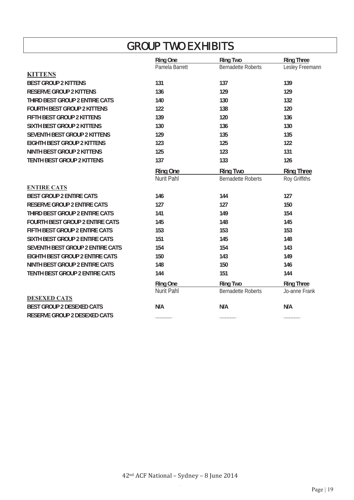# GROUP TWO EXHIBITS

|                                        | <b>Ring One</b> | <b>Ring Two</b>           | <b>Ring Three</b> |
|----------------------------------------|-----------------|---------------------------|-------------------|
|                                        | Pamela Barrett  | <b>Bernadette Roberts</b> | Lesley Freemann   |
| <b>KITTENS</b>                         |                 |                           |                   |
| <b>BEST GROUP 2 KITTENS</b>            | 131             | 137                       | 139               |
| <b>RESERVE GROUP 2 KITTENS</b>         | 136             | 129                       | 129               |
| THIRD BEST GROUP 2 ENTIRE CATS         | 140             | 130                       | 132               |
| <b>FOURTH BEST GROUP 2 KITTENS</b>     | 122             | 138                       | 120               |
| FIFTH BEST GROUP 2 KITTENS             | 139             | 120                       | 136               |
| <b>SIXTH BEST GROUP 2 KITTENS</b>      | 130             | 136                       | 130               |
| <b>SEVENTH BEST GROUP 2 KITTENS</b>    | 129             | 135                       | 135               |
| <b>EIGHTH BEST GROUP 2 KITTENS</b>     | 123             | 125                       | 122               |
| <b>NINTH BEST GROUP 2 KITTENS</b>      | 125             | 123                       | 131               |
| <b>TENTH BEST GROUP 2 KITTENS</b>      | 137             | 133                       | 126               |
|                                        | <b>Ring One</b> | <b>Ring Two</b>           | <b>Ring Three</b> |
|                                        | Nurit Pahl      | <b>Bernadette Roberts</b> | Roy Griffiths     |
| <b>ENTIRE CATS</b>                     |                 |                           |                   |
| <b>BEST GROUP 2 ENTIRE CATS</b>        | 146             | 144                       | 127               |
| <b>RESERVE GROUP 2 ENTIRE CATS</b>     | 127             | 127                       | 150               |
| THIRD BEST GROUP 2 ENTIRE CATS         | 141             | 149                       | 154               |
| <b>FOURTH BEST GROUP 2 ENTIRE CATS</b> | 145             | 148                       | 145               |
| FIFTH BEST GROUP 2 ENTIRE CATS         | 153             | 153                       | 153               |
| SIXTH BEST GROUP 2 ENTIRE CATS         | 151             | 145                       | 148               |
| SEVENTH BEST GROUP 2 ENTIRE CATS       | 154             | 154                       | 143               |
| <b>EIGHTH BEST GROUP 2 ENTIRE CATS</b> | 150             | 143                       | 149               |
| <b>NINTH BEST GROUP 2 ENTIRE CATS</b>  | 148             | 150                       | 146               |
| TENTH BEST GROUP 2 ENTIRE CATS         | 144             | 151                       | 144               |
|                                        | <b>Ring One</b> | <b>Ring Two</b>           | <b>Ring Three</b> |
|                                        | Nurit Pahl      | <b>Bernadette Roberts</b> | Jo-anne Frank     |
| <b>DESEXED CATS</b>                    |                 |                           |                   |
| <b>BEST GROUP 2 DESEXED CATS</b>       | N/A             | N/A                       | N/A               |
| <b>RESERVE GROUP 2 DESEXED CATS</b>    |                 |                           |                   |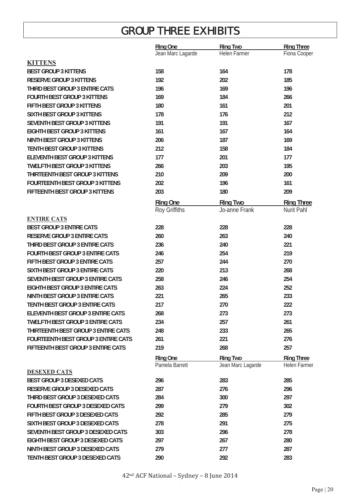# GROUP THREE EXHIBITS

|                                            | <b>Ring One</b>   | <b>Ring Two</b>   | <b>Ring Three</b> |
|--------------------------------------------|-------------------|-------------------|-------------------|
|                                            | Jean Marc Lagarde | Helen Farmer      | Fiona Cooper      |
| <b>KITTENS</b>                             |                   |                   |                   |
| <b>BEST GROUP 3 KITTENS</b>                | 158               | 164               | 178               |
| <b>RESERVE GROUP 3 KITTENS</b>             | 192               | 202               | 185               |
| THIRD BEST GROUP 3 ENTIRE CATS             | 196               | 169               | 196               |
| <b>FOURTH BEST GROUP 3 KITTENS</b>         | 169               | 184               | 266               |
| FIFTH BEST GROUP 3 KITTENS                 | 180               | 161               | 201               |
| <b>SIXTH BEST GROUP 3 KITTENS</b>          | 178               | 176               | 212               |
| <b>SEVENTH BEST GROUP 3 KITTENS</b>        | 191               | 191               | 167               |
| <b>EIGHTH BEST GROUP 3 KITTENS</b>         | 161               | 167               | 164               |
| <b>NINTH BEST GROUP 3 KITTENS</b>          | 206               | 187               | 169               |
| <b>TENTH BEST GROUP 3 KITTENS</b>          | 212               | 158               | 184               |
| <b>ELEVENTH BEST GROUP 3 KITTENS</b>       | 177               | 201               | 177               |
| <b>TWELFTH BEST GROUP 3 KITTENS</b>        | 266               | 203               | 195               |
| THIRTEENTH BEST GROUP 3 KITTENS            | 210               | 209               | 200               |
| <b>FOURTEENTH BEST GROUP 3 KITTENS</b>     | 202               | 196               | 161               |
| FIFTEENTH BEST GROUP 3 KITTENS             | 203               | 180               | 209               |
|                                            | <b>Ring One</b>   | <b>Ring Two</b>   | <b>Ring Three</b> |
|                                            | Roy Griffiths     | Jo-anne Frank     | Nurit Pahl        |
| <b>ENTIRE CATS</b>                         |                   |                   |                   |
| <b>BEST GROUP 3 ENTIRE CATS</b>            | 228               | 228               | 228               |
| <b>RESERVE GROUP 3 ENTIRE CATS</b>         | 260               | 263               | 240               |
| THIRD BEST GROUP 3 ENTIRE CATS             | 236               | 240               | 221               |
| <b>FOURTH BEST GROUP 3 ENTIRE CATS</b>     | 246               | 254               | 219               |
| FIFTH BEST GROUP 3 ENTIRE CATS             | 257               | 244               | 270               |
| SIXTH BEST GROUP 3 ENTIRE CATS             | 220               | 213               | 268               |
| SEVENTH BEST GROUP 3 ENTIRE CATS           | 258               | 246               | 254               |
| <b>EIGHTH BEST GROUP 3 ENTIRE CATS</b>     | 263               | 224               | 252               |
| <b>NINTH BEST GROUP 3 ENTIRE CATS</b>      | 221               | 265               | 233               |
| <b>TENTH BEST GROUP 3 ENTIRE CATS</b>      | 217               | 270               | 222               |
| <b>ELEVENTH BEST GROUP 3 ENTIRE CATS</b>   | 268               | 273               | 273               |
| <b>TWELFTH BEST GROUP 3 ENTIRE CATS</b>    | 234               | 257               | 261               |
| THIRTEENTH BEST GROUP 3 ENTIRE CATS        | 248               | 233               | 265               |
| <b>FOURTEENTH BEST GROUP 3 ENTIRE CATS</b> | 261               | 221               | 276               |
| FIFTEENTH BEST GROUP 3 ENTIRE CATS         | 219               | 268               | 257               |
|                                            | Ring One          | <b>Ring Two</b>   | <b>Ring Three</b> |
| <b>DESEXED CATS</b>                        | Pamela Barrett    | Jean Marc Lagarde | Helen Farmer      |
| <b>BEST GROUP 3 DESEXED CATS</b>           | 296               | 283               | 285               |
| <b>RESERVE GROUP 3 DESEXED CATS</b>        | 287               | 276               | 296               |
| THIRD BEST GROUP 3 DESEXED CATS            | 284               | 300               | 297               |
| <b>FOURTH BEST GROUP 3 DESEXED CATS</b>    | 299               |                   | 302               |
| FIFTH BEST GROUP 3 DESEXED CATS            | 292               | 279               | 279               |
|                                            |                   | 285               |                   |
| SIXTH BEST GROUP 3 DESEXED CATS            | 278               | 291               | 275               |
| SEVENTH BEST GROUP 3 DESEXED CATS          | 303               | 296               | 278               |
| EIGHTH BEST GROUP 3 DESEXED CATS           | 297               | 267               | 280               |
| NINTH BEST GROUP 3 DESEXED CATS            | 279               | 277               | 287               |
| TENTH BEST GROUP 3 DESEXED CATS            | 290               | 292               | 283               |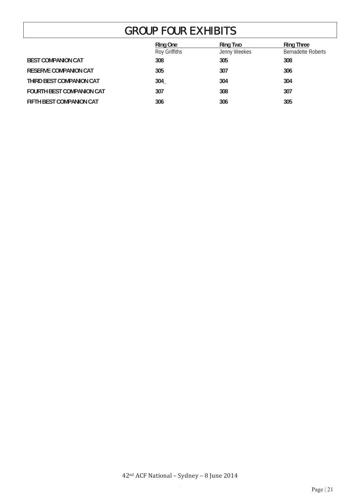# GROUP FOUR EXHIBITS

|                                  | Ring One      | <b>Ring Two</b> | <b>Ring Three</b>         |
|----------------------------------|---------------|-----------------|---------------------------|
|                                  | Roy Griffiths | Jenny Weekes    | <b>Bernadette Roberts</b> |
| <b>BEST COMPANION CAT</b>        | 308           | 305             | 308                       |
| <b>RESERVE COMPANION CAT</b>     | 305           | 307             | 306                       |
| THIRD BEST COMPANION CAT         | 304           | 304             | 304                       |
| <b>FOURTH BEST COMPANION CAT</b> | 307           | 308             | 307                       |
| FIFTH BEST COMPANION CAT         | 306           | 306             | 305                       |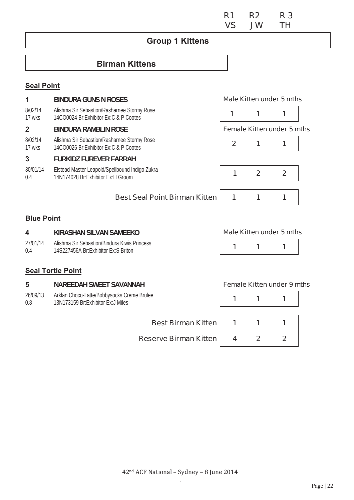|  | R1 R2 R3 |  |
|--|----------|--|
|  | VS JW TH |  |

### **Group 1 Kittens**

## **Birman Kittens**

#### **Seal Point**

|                   | <b>BINDURA GUNS N ROSES</b>                                                           |                |              | <b>Male Kitten under 5 mths</b>   |  |
|-------------------|---------------------------------------------------------------------------------------|----------------|--------------|-----------------------------------|--|
| 8/02/14<br>17 wks | Alishma Sir Sebastion/Rasharnee Stormy Rose<br>14CO0024 Br:Exhibitor Ex:C & P Cootes  | 1              | 1            |                                   |  |
| $\mathbf 2$       | <b>BINDURA RAMBLIN ROSE</b>                                                           |                |              | <b>Female Kitten under 5 mths</b> |  |
| 8/02/14<br>17 wks | Alishma Sir Sebastion/Rasharnee Stormy Rose<br>14CO0026 Br:Exhibitor Ex:C & P Cootes  | $\overline{2}$ | 1            |                                   |  |
| 3                 | <b>FURKIDZ FUREVER FARRAH</b>                                                         |                |              |                                   |  |
| 30/01/14<br>0.4   | Elstead Master Leapold/Spellbound Indigo Zukra<br>14N174028 Br: Exhibitor Ex: H Groom |                | $\mathbf{2}$ |                                   |  |
|                   |                                                                                       |                |              |                                   |  |
|                   |                                                                                       |                |              |                                   |  |

#### **Blue Point**

27/01/14 0.4

#### **Best Seal Point Birman Kitten | 1 | 1 | 1**

# **4 KIRASHAN SILVAN SAMEEKO Male Kitten under 5 mths**

Alishma Sir Sebastion/Bindura Kiwis Princess 14S227456A Br: Exhibitor Ex: S Briton

|--|

#### **Seal Tortie Point**

#### **5 NAREEDAH SWEET SAVANNAH Female Kitten under 9 mths**

26/09/13 0.8 Arklan Choco-Lat<br>13N173159 Br:Ex

| Arklan Choco-Latte/Bobbysocks Creme Brulee<br>13N173159 Br: Exhibitor Ex: J Miles |  |  |
|-----------------------------------------------------------------------------------|--|--|
| <b>Best Birman Kitten</b>                                                         |  |  |
| <b>Reserve Birman Kitten</b>                                                      |  |  |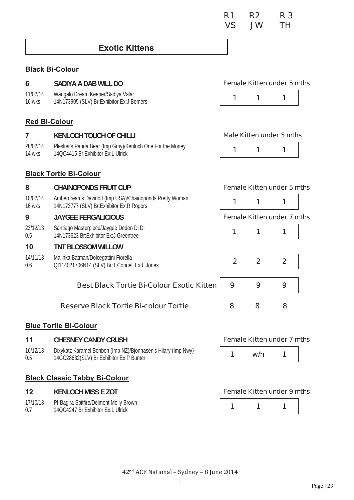### **Exotic Kittens**

#### **Black Bi-Colour**

| 6 | SADIYA A DAB WILL DO |
|---|----------------------|
|---|----------------------|

11/02/14 16 wks Wangalo Dream Keeper/Sadiya Valar vangalo Dieani Neepen Saulya valat and and a series and a series of the series of the series of the series of the series of the series of the series of the series of the series of the series of the series of the series of

#### **Female Kitten under 5 mths**



#### **Red Bi-Colour**

#### **7 KENLOCH TOUCH OF CHILLI Male Kitten under 5 mths**

28/02/14 14 wks Plesker's Panda Bear (Imp Gmy)/Kenloch One For the Money 14QC4415 Br:Exhibitor Ex:L Ulrick **1 1 1** 

#### **Black Tortie Bi-Colour**

#### **8 CHAINOPONDS FRUIT CUP Female Kitten under 5 mths**

10/02/14 16 wks Amberdreams Davidoff (Imp USA)/Chainoponds Pretty Woman 14N173777 (SLV) Br:Exhibitor Ex:R Rogers **1 1 1** 

#### **9 JAYGEE FERGALICIOUS Female Kitten under 7 mths**

23/12/13 0.5 Santiago Masterpiece/Jaygee Deden Di Di 14N173623 Br:Exhibitor Ex:J Greentree **1 1 1** 

#### **10 TNT BLOSSOM WILLOW**

14/11/13 0.6 Malinka Batman/Dolcegattini Fiorella QI114021706N14 (SLV) Br:T Connell Ex:L Jones **2 2 2** 

#### **Best Black Tortie Bi-Colour Exotic Kitten | 9 | 9 | 9**

#### **Reserve Black Tortie Bi-colour Tortie 8 8 8**

#### **Blue Tortie Bi-Colour**

#### **11 CHESNEY CANDY CRUSH Female Kitten under 7 mths**

16/12/13 0.5 Dixykatz Karamel Bonbon (Imp NZ)/Bjonnasen's Hilary (Imp Nwy) 14GC28632(SLV) Br:Exhibitor Ex:P Bunter

#### **Black Classic Tabby Bi-Colour**

17/10/13 Pl\*Bagira Spitfire/Delmont Molly Brown

0.7 14QC4247 Br:Exhibitor Ex:L Ulrick

| w/h |  |
|-----|--|
|     |  |

#### **12 KENLOCH MISS E ZOT Female Kitten under 9 mths**

|--|--|--|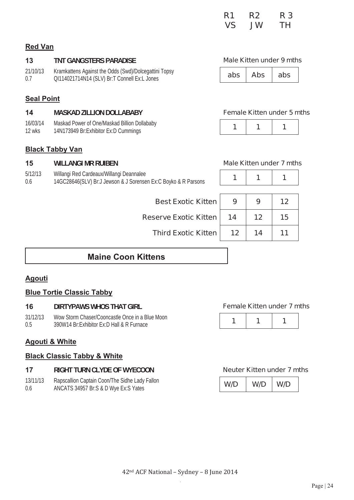|  | R1 R2 R3 |  |
|--|----------|--|
|  | VS JW TH |  |

#### **Red Van**

### 13 **TNT GANGSTERS PARADISE Male Kitten under 9 mths**

#### 21/10/13 0.7 Kramkattens Against the Odds (Swd)/Dolcegattini Topsy QI114021714N14 (SLV) Br:T Connell Ex:L Jones **abs Abs abs**

|--|

### **Seal Point**

#### **14 MASKAD ZILLION DOLLABABY Female Kitten under 5 mths**

16/03/14 12 wks Maskad Power of One/Maskad Billion Dollababy Maskau Power of Orienwaskau Billion Dollapaby<br>14N173949 Br:Exhibitor Ex:D Cummings **1 1 1 1 1 1** 

#### **Black Tabby Van**

#### **15 WILLANGI MR RUIBEN Male Kitten under 7 mths**  5/12/13 0.6 Willangi Red Cardeaux/Willangi Deannalee villarly Red Cardeaux willarly Dearliface<br>14GC28646(SLV) Br:J Jewson & J Sorensen Ex:C Boyko & R Parsons **1** 1 **1**

| <b>Best Exotic Kitten</b>                                      |  |
|----------------------------------------------------------------|--|
|                                                                |  |
| 14GC28646(SLV) Br:J Jewson & J Sorensen Ex:C Boyko & R Parsons |  |

| <b>Best Exotic Kitten  </b>  |    |    |    |  |
|------------------------------|----|----|----|--|
| <b>Reserve Exotic Kitten</b> | 14 | 12 | 15 |  |
|                              |    |    |    |  |

**Third Exotic Kitten 12 14 14 11** 

## **Maine Coon Kittens**

### **Agouti**

#### **Blue Tortie Classic Tabby**

#### **16 DIRTYPAWS WHOS THAT GIRL Female Kitten under 7 mths**

31/12/13 0.5 Wow Storm Chaser/Cooncastle Once in a Blue Moon 390W14 Br:Exhibitor Ex:D Hall & R Furnace

#### **Agouti & White**

#### **Black Classic Tabby & White**

#### **17 RIGHT TURN CLYDE OF WYECOON Neuter Kitten under 7 mths**

13/11/13 0.6 Rapscallion Captain Coon/The Sidhe Lady Fallon ANCATS 34957 Br:S & D Wye Ex:S Yates

|--|--|--|

| W/D | W/D | W/D |
|-----|-----|-----|
|-----|-----|-----|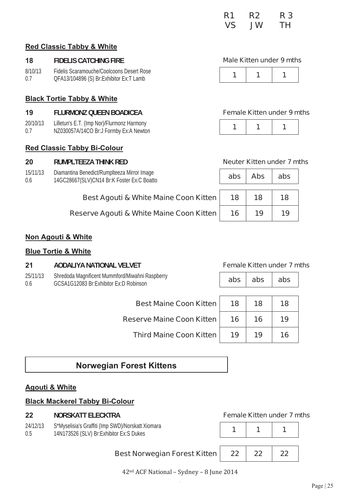|  | R1 R2 R3 |  |
|--|----------|--|
|  | VS JW TH |  |

#### **Red Classic Tabby & White**

#### 18 **FIDELIS CATCHING FIRE** *CONTREMENTAL EXAMPLE Male Kitten under 9 mths* **<b>Male Kitten**

| 8/10/13 | Fidelis Scaramouche/Coolcoons Desert Rose |  |  |
|---------|-------------------------------------------|--|--|
| 0.7     | QFA13/104896 (S) Br:Exhibitor Ex:T Lamb   |  |  |

#### **Black Tortie Tabby & White**

#### **19 FLURMONZ QUEEN BOADICEA Female Kitten under 9 mths**

20/10/13 0.7 Lilletun's E.T. (Imp Nor)/Flurmonz Harmony NZ030057A/14CO Br:J Formby Ex:A Newton

#### **Red Classic Tabby Bi-Colour**

#### **20 RUMPLTEEZA THINK RED Neuter Kitten under 7 mths**

15/11/13 0.6 Diamantina Benedict/Rumplteeza Mirror Image 14GC28667(SLV)CN14 Br:K Foster Ex:C Boatto

| Best Agouti & White Maine Coon Kitten   18 |  | 18 | 18 |
|--------------------------------------------|--|----|----|
|--------------------------------------------|--|----|----|

**Reserve Agouti & White Maine Coon Kitten** 

|--|

| abs | <b>Abs</b> | abs |
|-----|------------|-----|
| 18  | 18         | 18  |
| 16  | 19         | 19  |

#### **Non Agouti & White**

#### **Blue Tortie & White**

**21 AODALIYA NATIONAL VELVET Female Kitten under 7 mths** 

25/11/13 0.6 Shredoda Magnificent Mummford/Miwahni Raspberry GCSA1G12083 Br:Exhibitor Ex:D Robinson **abs abs abs** 

| abs<br>abs<br>abs |
|-------------------|
|-------------------|

| <b>Best Maine Coon Kitten</b>    | 18 | 18 |  |
|----------------------------------|----|----|--|
| <b>Reserve Maine Coon Kitten</b> | 16 | 16 |  |
| <b>Third Maine Coon Kitten</b>   | 19 | 19 |  |

## **Norwegian Forest Kittens**

#### **Agouti & White**

#### **Black Mackerel Tabby Bi-Colour**

#### **22 NORSKATT ELECKTRA Female Kitten under 7 mths**

24/12/13 0.5 S\*Myselisia's Graffiti (Imp SWD)/Norskatt Xiomara 3 Myselista's Grafini (inip Sw*D)*/Norskall Aloniara<br>14N173526 (SLV) Br:Exhibitor Ex:S Dukes **1** 1 **1 1 1 1** 

#### **Best Norwegian Forest Kitten 22 22 22**



42<sup>nd</sup> ACF National - Sydney - 8 June 2014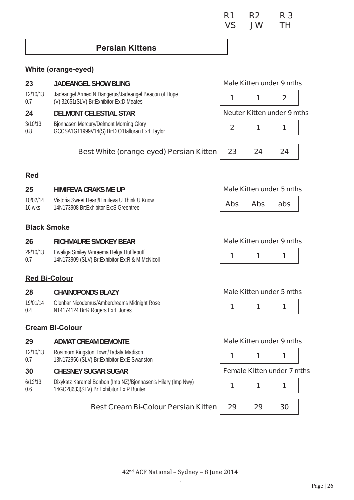### **Persian Kittens**

#### **White (orange-eyed)**

| 23              | <b>JADEANGEL SHOW BLING</b>                                                                      |                                   |    | Male Kitten under 9 mths |  |
|-----------------|--------------------------------------------------------------------------------------------------|-----------------------------------|----|--------------------------|--|
| 12/10/13<br>0.7 | Jadeangel Armed N Dangerus/Jadeangel Beacon of Hope<br>(V) 32651(SLV) Br: Exhibitor Ex: D Meates |                                   |    |                          |  |
| 24              | <b>DELMONT CELESTIAL STAR</b>                                                                    | <b>Neuter Kitten under 9 mths</b> |    |                          |  |
| 3/10/13<br>0.8  | Bjonnasen Mercury/Delmont Morning Glory<br>GCCSA1G11999V14(S) Br:D O'Halloran Ex:I Taylor        |                                   |    |                          |  |
|                 | <b>Best White (orange-eyed) Persian Kitten</b>                                                   | 23                                | 24 | 24                       |  |

#### **Red**

#### **25 HIMIFEVA CRAKS ME UP Male Kitten under 5 mths** 10/02/14 16 wks Vistoria Sweet Heart/Himifeva U Think U Know 14N173908 Br:Fxhibitor Ex:S Greentree **Abs Abs abs**

#### **Black Smoke**

#### **26 RICHMAURE SMOKEY BEAR Male Kitten under 9 mths**

29/10/13 0.7 Ewaliga Smiley /Anraema Helga Hufflepuff 14N173909 (SLV) Br:Exhibitor Ex:R & M McNicoll **1 1 1** 

#### **Red Bi-Colour**

#### **28 CHAINOPONDS BLAZY Male Kitten under 5 mths**

19/01/14 0.4 Glenbar Nicodemus/Amberdreams Midnight Rose **N14174124 Br:R Rogers Ex:L Jones** 

#### **Cream Bi-Colour**

- **29 ADMAT CREAM DEMONTE Male Kitten under 9 mths**
- 12/10/13 0.7 Rosimorn Kingston Town/Tadala Madison 13N172956 (SLV) Br: Exhibitor Ex: E Swanston

#### **30 CHESNEY SUGAR SUGAR Female Kitten under 7 mths**

6/12/13 0.6 Dixykatz Karamel Bonbon (Imp NZ)/Bjonnasen's Hilary (Imp Nwy) 14GC28633(SLV) Br:Exhibitor Ex:P Bunter

|--|--|--|

|--|--|--|

#### **Best Cream Bi-Colour Persian Kitten 29 29 30**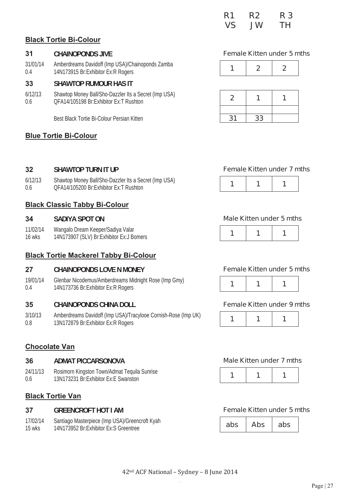|  | R1 R2 R3 |  |
|--|----------|--|
|  | VS JW TH |  |

#### **Black Tortie Bi-Colour**

31/01/14 0.4 Amberdreams Davidoff (Imp USA)/Chainoponds Zamba 14N173915 Br: Exhibitor Ex: R Rogers

#### **33 SHAWTOP RUMOUR HAS IT**

6/12/13 0.6 Shawtop Money Ball/Sho-Dazzler Its a Secret (Imp USA) QFA14/105198 Br:Exhibitor Ex:T Rushton **2 1 1** 

Best Black Tortie Bi-Colour Persian Kitten

#### **Blue Tortie Bi-Colour**

#### **31 CHAINOPONDS JIVE Female Kitten under 5 mths**

|--|--|

| 2  |    |  |
|----|----|--|
|    |    |  |
| 31 | 33 |  |

#### **32 SHAWTOP TURN IT UP** *CONSIDER <b>Female Kitten under 7 mths* **Female Kitten under 7 mths**

| 6/12/13 | Shawtop Money Ball/Sho-Dazzler Its a Secret (Imp USA) |  |  |
|---------|-------------------------------------------------------|--|--|
| 0.6     | QFA14/105200 Br:Exhibitor Ex:T Rushton                |  |  |

#### **Black Classic Tabby Bi-Colour**

11/02/14 16 wks Wangalo Dream Keeper/Sadiya Valar 14N173907 (SLV) Br: Exhibitor Ex: J Bomers

#### **Black Tortie Mackerel Tabby Bi-Colour**

#### **27 CHAINOPONDS LOVE N MONEY Female Kitten under 5 mths**

19/01/14 0.4 Glenbar Nicodemus/Amberdreams Midnight Rose (Imp Gmy) Gieridal Nicodernus/Ambergreams Midnight Rose (imp. Girly) **1 1 1 1 1 1 1 1 1 1** 

#### **35 CHAINOPONDS CHINA DOLL Female Kitten under 9 mths**

3/10/13 0.8 Amberdreams Davidoff (Imp USA)/Tracylooe Cornish-Rose (Imp UK) 13N172879 Br: Exhibitor Ex: R Rogers

#### **Chocolate Van**

#### **36 ADMAT PICCARSONOVA Male Kitten under 7 mths**

- 24/11/13 Rosimorn Kingston Town/Admat Tequila Sunrise 13N173231 Br:Exhibitor Ex:E Swanston **1 1 1**
- 0.6

#### **Black Tortie Van**

17/02/14 15 wks Santiago Masterpiece (Imp USA)/Greencroft Kyah 14N173952 Br:Exhibitor Ex:S Greentree

#### **34 SADIYA SPOT ON Male Kitten under 5 mths**

|--|--|--|--|--|



|--|--|--|

| $\overline{\phantom{a}}$<br>- |
|-------------------------------|
|-------------------------------|

#### **37 GREENCROFT HOT I AM Female Kitten under 5 mths**

| ahs | Abs | abs |
|-----|-----|-----|
|-----|-----|-----|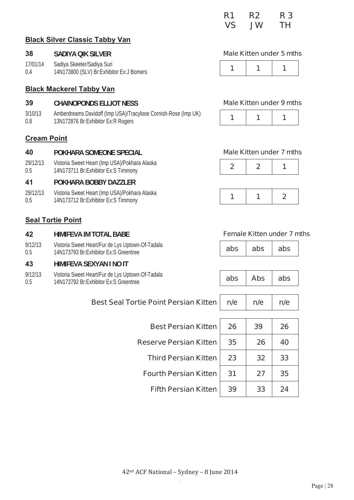|  | R1 R2 R3 |  |
|--|----------|--|
|  | VS JW TH |  |

#### **Black Silver Classic Tabby Van**

#### **38 SADIYA QIK SILVER**

17/01/14 0.4 Sadiya Skeeter/Sadiya Suri 14N173800 (SLV) Br:Exhibitor Ex:J Bomers

#### **Black Mackerel Tabby Van**

#### **39 CHAINOPONDS ELLIOT NESS Male Kitten under 9 mths**

3/10/13 0.8 Amberdreams Davidoff (Imp USA)/Tracylooe Cornish-Rose (Imp UK) Ambergreams Davidon (implosa)/Tracylove Cornish-Rose (implor)<br>13N172876 Br:Exhibitor Ex:R Rogers

#### **Cream Point**

#### **40 POKHARA SOMEONE SPECIAL Male Kitten under 7 mths**

29/12/13 0.5 Vistoria Sweet Heart (Imp USA)/Pokhara Alaska visional Sweet Heart (implosa)/Pokhara Alaska<br>14N173711 Br:Exhibitor Ex:S Timmony **2 1 2 1** 

#### **41 POKHARA BOBBY DAZZLER**

29/12/13 0.5 Vistoria Sweet Heart (Imp USA)/Pokhara Alaska visional sweet rieart (inter osa)/Pokitala Alaska<br>14N173712 Br:Exhibitor Ex:S Timmony **1 1 1 1 1 1 1** 

#### **Seal Tortie Point**

#### **42 HIMIFEVA IM TOTAL BABE Female Kitten under 7 mths**

9/12/13 0.5 Vistoria Sweet Heart/Fur de Lys Uptown-Of-Tadala 14N173793 Br:Exhibitor Ex:S Greentree **abs abs abs** 

#### **43 HIMIFEVA SEXYAN I NO IT**

- 9/12/13 Vistoria Sweet Heart/Fur de Lys Uptown-Of-Tadala
- 0.5 14N173792 Br: Exhibitor Ex: S Greentree

### **Best Seal Tortie Point Pers**

**Best Pers Reserve Pers Third Pers Fourth Pers** 

**Fifth Pers** 

|  | <b>Male Kitten under 5 mths</b> |  |  |  |
|--|---------------------------------|--|--|--|
|--|---------------------------------|--|--|--|

|--|







|                   | abs | <b>Abs</b> | abs |  |
|-------------------|-----|------------|-----|--|
|                   |     |            |     |  |
| ian Kitten        | n/e | n/e        | n/e |  |
|                   |     |            |     |  |
| ian Kitten        | 26  | 39         | 26  |  |
| ian Kitten        | 35  | 26         | 40  |  |
| <b>ian Kitten</b> | 23  | 32         | 33  |  |
| ian Kitten        | 31  | 27         | 35  |  |
| ian Kitten        | 39  | 33         | 24  |  |
|                   |     |            |     |  |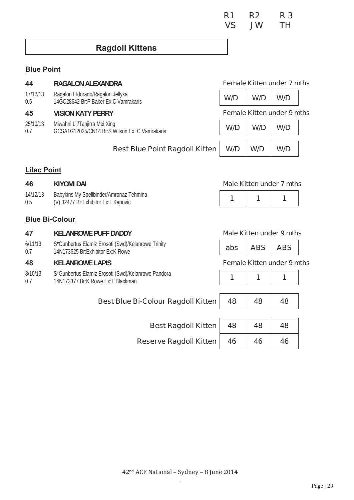|  | R1 R2 R3 |  |
|--|----------|--|
|  | VS JW TH |  |

### **Ragdoll Kittens**

### **Blue Point**

| 44 | <b>RAGALON ALEXANDRA</b> |
|----|--------------------------|
|----|--------------------------|

17/12/13 0.5 Ragalon Eldorado/Ragalon Jellyka 14GC28642 Br:P Baker Fx:C Vamrakaris

|     | 25/10/13 Miwahni Lii/Tanjirra Mei Xing        | $W/D$   $W/D$   $W/D$ |  |
|-----|-----------------------------------------------|-----------------------|--|
| 0.7 | GCSA1G12035/CN14 Br:S Wilson Ex: C Vamrakaris |                       |  |

#### **Female Kitten under 7 mths**

**45 VISION KATY PERRY Female Kitten under 9 mths** 

| ١a<br>Wilson Ex: C Vamrakaris        | W/D | W/D | W/D |
|--------------------------------------|-----|-----|-----|
| Best Blue Point Ragdoll Kitten   W/D |     | W/D | W/D |

#### **Lilac Point**

| 46              | KIYOMI DAI                                                                       | Male Kitten under 7 mths |  |  |  |
|-----------------|----------------------------------------------------------------------------------|--------------------------|--|--|--|
| 14/12/13<br>0.5 | Babykins My Spellbinder/Amronaz Tehmina<br>(V) 32477 Br: Exhibitor Ex: L Kapovic |                          |  |  |  |
|                 |                                                                                  |                          |  |  |  |

#### **Blue Bi-Colour**

| - -            | <b>NELAINRUWE FUFF DADDI</b>                                                             | $m$ are Muten unuer 3 mm |                     |  |  |
|----------------|------------------------------------------------------------------------------------------|--------------------------|---------------------|--|--|
| 6/11/13<br>0.7 | S*Gunbertus Elamiz Erosoti (Swd)/Kelanrowe Trinity<br>14N173625 Br: Exhibitor Ex: K Rowe |                          | abs $ $ ABS $ $ ABS |  |  |

8/10/13 0.7 S\*Gunbertus Elamiz Erosoti (Swd)/Kelanrowe Pandora 14N173377 Br:K Rowe Ex:T Blackman

#### **47 KELANROWE PUFF DADDY Male Kitten under 9 mths**

| <b>ABS</b><br><b>ABS</b><br>abs |  |
|---------------------------------|--|
|---------------------------------|--|

#### **48 KELANROWE LAPIS Female Kitten under 9 mths**

|--|--|--|

| Best Blue Bi-Colour Ragdoll Kitten   48 | 48 | 48 |
|-----------------------------------------|----|----|
| <b>Best Ragdoll Kitten</b> 48           | 48 | 48 |

**Reserve Ragdoll Kitten** 

| 48 | 48 | 48 |
|----|----|----|
| 46 | 46 | 46 |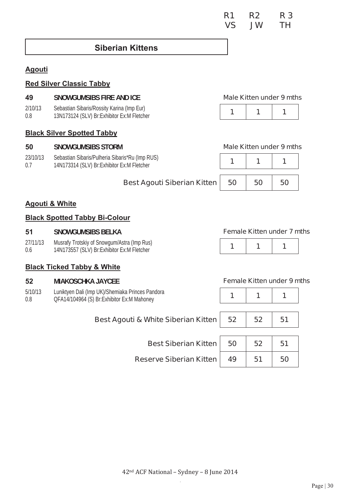### **Siberian Kittens**

#### **Agouti**

#### **Red Silver Classic Tabby**

#### **49 SNOWGUMSIBS FIRE AND ICE Male Kitten under 9 mths**

- 2/10/13 Sebastian Sibaris/Rossity Karina (Imp Eur)
- 0.8

#### **Black Silver Spotted Tabby**

#### **50 SNOWGUMSIBS STORM Male Kitten under 9 mths**

- 23/10/13 Sebastian Sibaris/Pulheria Sibaris\*Ru (Imp RUS)
- 0.7 14N173314 (SLV) Br: Exhibitor Ex: M Fletcher



| 50 | 50 | 50 |
|----|----|----|

#### **Agouti & White**

#### **Black Spotted Tabby Bi-Colour**

#### **51 SNOWGUMSIBS BELKA Female Kitten under 7 mths**

#### 27/11/13 0.6 Musrafy Trotskiy of Snowgum/Astra (Imp Rus) 14N173557 (SLV) Br:Exhibitor Ex:M Fletcher

#### **Black Ticked Tabby & White**

#### **52 MIAKOSCHKA JAYCEE Female Kitten under 9 mths**

5/10/13 0.8 Luniktyen Dali (Imp UK)/Shemiaka Princes Pandora QFA14/104964 (S) Br:Exhibitor Ex:M Mahoney

| Best Agouti & White Siberian Kitten | 52 | 52 <sub>2</sub> | 51 |
|-------------------------------------|----|-----------------|----|
| <b>Best Siberian Kitten  </b>       | 50 | 52              | 51 |
| <b>Reserve Siberian Kitten</b>      | 49 | 51              | 50 |

**Best Agouti Siberian Kitten**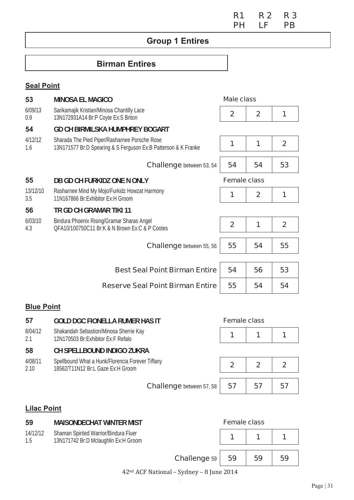### **R1 R 2 R 3 PH LF PB PH** LF PB

# **Group 1 Entires**

# **Birman Entires**

#### **Seal Point**

| 53              | <b>MINOSA EL MAGICO</b>                                                                                         | Male class          |                |                |
|-----------------|-----------------------------------------------------------------------------------------------------------------|---------------------|----------------|----------------|
| 6/09/13<br>0.9  | Sarikamajik Kristian/Minosa Chantilly Lace<br>13N172931A14 Br:P Coyte Ex:S Briton                               | $\mathbf{2}$        | $\mathbf{2}$   | 1              |
| 54              | <b>GD CH BIRMILSKA HUMPHREY BOGART</b>                                                                          |                     |                |                |
| 4/12/12<br>1.6  | Sharada The Pied Piper/Rasharnee Porsche Rose<br>13N171577 Br:D Spearing & S Ferguson Ex:B Patterson & K Franke | 1                   | 1              | $\overline{2}$ |
|                 | <b>Challenge</b> between 53, 54                                                                                 | 54                  | 54             | 53             |
| 55              | DB GD CH FURKIDZ ONE N ONLY                                                                                     | <b>Female class</b> |                |                |
| 13/12/10<br>3.5 | Rasharnee Mind My Mojo/Furkidz Howzat Harmony<br>11N167866 Br: Exhibitor Ex: H Groom                            | 1                   | $\overline{2}$ | 1              |
| 56              | TR GD CH GRAMAR TIKI 11                                                                                         |                     |                |                |
| 6/03/10<br>4.3  | Bindura Phoenix Rising/Gramar Sharas Angel<br>QFA10/100750C11 Br:K & N Brown Ex:C & P Cootes                    | $\overline{2}$      | 1              | $\overline{2}$ |
|                 | <b>Challenge</b> between 55, 56                                                                                 | 55                  | 54             | 55             |
|                 |                                                                                                                 |                     |                |                |
|                 | <b>Best Seal Point Birman Entire</b>                                                                            | 54                  | 56             | 53             |
|                 | <b>Reserve Seal Point Birman Entire</b>                                                                         | 55                  | 54             | 54             |

## **Blue Point**

| <b>Female class</b><br><b>GOLD DGC FIONELLA RUMER HAS IT</b>                                                                | 57              |
|-----------------------------------------------------------------------------------------------------------------------------|-----------------|
| Shakandah Sebastion/Minosa Sherrie Kay<br>12N170503 Br: Exhibitor Ex: F Refalo                                              | 8/04/12<br>2.1  |
| <b>CH SPELLBOUND INDIGO ZUKRA</b>                                                                                           | 58              |
| Spellbound What a Hunk/Florencia Forever Tiffany<br>$\overline{2}$<br>$\mathbf 2$<br>2<br>18562/T11N12 Br:L Gaze Ex:H Groom | 4/08/11<br>2.10 |
| 57<br>57                                                                                                                    |                 |
| 57<br><b>Challenge</b> between 57, 58                                                                                       |                 |

## **Lilac Point**

| 59              | <b>MAISONDECHAT WINTER MIST</b>                                               | <b>Female class</b> |    |    |
|-----------------|-------------------------------------------------------------------------------|---------------------|----|----|
| 14/12/12<br>1.5 | Shaman Spirited Warrior/Bindura Fluer<br>13N171742 Br:D Mclaughlin Ex:H Groom |                     |    |    |
|                 | Challenge 59                                                                  | 59                  | 59 | 59 |
|                 | 12nd ACE National Sydnov Q June 2014                                          |                     |    |    |

 $42<sup>nd</sup> ACF National - Sydney - 8 June 2014$  $\bar{\alpha}$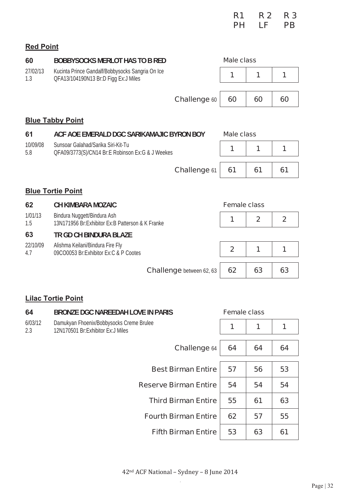|  | R1 R2 R3 |  |
|--|----------|--|
|  | PH LF PB |  |

## **Red Point**

| 60              | <b>BOBBYSOCKS MERLOT HAS TO B RED</b>                                                    | <b>Male class</b>   |                |                |
|-----------------|------------------------------------------------------------------------------------------|---------------------|----------------|----------------|
| 27/02/13<br>1.3 | Kucinta Prince Gandalf/Bobbysocks Sangria On Ice<br>QFA13/104190N13 Br:D Figg Ex:J Miles | 1                   | 1              | 1              |
|                 |                                                                                          |                     |                |                |
|                 | <b>Challenge 60</b>                                                                      | 60                  | 60             | 60             |
|                 | <b>Blue Tabby Point</b>                                                                  |                     |                |                |
| 61              | ACF AOE EMERALD DGC SARIKAMAJIC BYRON BOY                                                | Male class          |                |                |
| 10/09/08<br>5.8 | Sunsoar Galahad/Sarika Siri-Kit-Tu<br>QFA09/3773(S)/CN14 Br:E Robinson Ex:G & J Weekes   | 1                   | 1              | 1              |
|                 | Challenge 61                                                                             | 61                  | 61             | 61             |
|                 | <b>Blue Tortie Point</b>                                                                 |                     |                |                |
| 62              | <b>CH KIMBARA MOZAIC</b>                                                                 | <b>Female class</b> |                |                |
| 1/01/13<br>1.5  | Bindura Nuggett/Bindura Ash<br>13N171956 Br: Exhibitor Ex: B Patterson & K Franke        | 1                   | $\overline{2}$ | $\overline{2}$ |
| 63              | TR GD CH BINDURA BLAZE                                                                   |                     |                |                |
| 22/10/09<br>4.7 | Alishma Keilani/Bindura Fire Fly<br>09CO0053 Br:Exhibitor Ex:C & P Cootes                | $\overline{2}$      | 1              | 1              |
|                 | <b>Challenge</b> between 62, 63                                                          | 62                  | 63             | 63             |
|                 | <b>Lilac Tortie Point</b>                                                                |                     |                |                |

| 64             | <b>BRONZE DGC NAREEDAH LOVE IN PARIS</b>                                        | <b>Female class</b> |    |    |
|----------------|---------------------------------------------------------------------------------|---------------------|----|----|
| 6/03/12<br>2.3 | Damukyan Fhoenix/Bobbysocks Creme Brulee<br>12N170501 Br: Exhibitor Ex: J Miles | 1                   | 1  | 1  |
|                | <b>Challenge 64</b>                                                             | 64                  | 64 | 64 |
|                | <b>Best Birman Entire</b>                                                       | 57                  | 56 | 53 |
|                | <b>Reserve Birman Entire</b>                                                    | 54                  | 54 | 54 |
|                | <b>Third Birman Entire</b>                                                      | 55                  | 61 | 63 |
|                | <b>Fourth Birman Entire</b>                                                     | 62                  | 57 | 55 |
|                | <b>Fifth Birman Entire</b>                                                      | 53                  | 63 | 61 |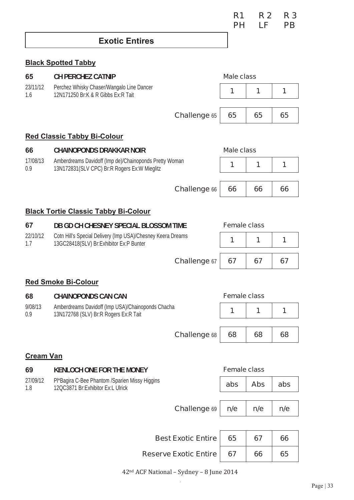## **Exotic Entires**

### **Black Spotted Tabby**

| 65                     | <b>CH PERCHEZ CATNIP</b>                                                                               |                     | <b>Male class</b>   |            |     |
|------------------------|--------------------------------------------------------------------------------------------------------|---------------------|---------------------|------------|-----|
| 23/11/12<br>1.6        | Perchez Whisky Chaser/Wangalo Line Dancer<br>12N171250 Br:K & R Gibbs Ex:R Tait                        |                     | 1                   | 1          | 1   |
|                        |                                                                                                        | <b>Challenge 65</b> | 65                  | 65         | 65  |
|                        | <b>Red Classic Tabby Bi-Colour</b>                                                                     |                     |                     |            |     |
| 66                     | <b>CHAINOPONDS DRAKKAR NOIR</b>                                                                        |                     | <b>Male class</b>   |            |     |
| 17/08/13<br>0.9        | Amberdreams Davidoff (Imp de)/Chainoponds Pretty Woman<br>13N172831(SLV CPC) Br:R Rogers Ex:W Mieglitz |                     | 1                   | 1          | 1   |
|                        |                                                                                                        | <b>Challenge 66</b> | 66                  | 66         | 66  |
|                        | <b>Black Tortie Classic Tabby Bi-Colour</b>                                                            |                     |                     |            |     |
| 67                     | DB GD CH CHESNEY SPECIAL BLOSSOM TIME                                                                  |                     | <b>Female class</b> |            |     |
| 22/10/12<br>1.7        | Cotn Hill's Special Delivery (Imp USA)/Chesney Keera Dreams<br>13GC28418(SLV) Br:Exhibitor Ex:P Bunter |                     | 1                   | 1          | 1   |
|                        |                                                                                                        | Challenge 67        | 67                  | 67         | 67  |
|                        | <b>Red Smoke Bi-Colour</b>                                                                             |                     |                     |            |     |
| 68                     | <b>CHAINOPONDS CAN CAN</b>                                                                             |                     | <b>Female class</b> |            |     |
| 9/08/13<br>0.9         | Amberdreams Davidoff (Imp USA)/Chainoponds Chacha<br>13N172768 (SLV) Br:R Rogers Ex:R Tait             |                     | 1                   | 1          | 1   |
|                        |                                                                                                        | <b>Challenge 68</b> | 68                  | 68         | 68  |
|                        |                                                                                                        |                     |                     |            |     |
| <b>Cream Van</b><br>69 | <b>KENLOCH ONE FOR THE MONEY</b>                                                                       |                     | <b>Female class</b> |            |     |
| 27/09/12               | Pl*Bagira C-Bee Phantom /Sparien Missy Higgins                                                         |                     | abs                 | <b>Abs</b> | abs |
| 1.8                    | 12QC3871 Br: Exhibitor Ex: L Ulrick                                                                    |                     |                     |            |     |
|                        |                                                                                                        | Challenge 69        | n/e                 | n/e        | n/e |
|                        |                                                                                                        |                     |                     |            |     |

| Best Exotic Entire   65    | 67 | 66 |
|----------------------------|----|----|
| Reserve Exotic Entire   67 | 66 | 65 |

42<sup>nd</sup> ACF National - Sydney - 8 June 2014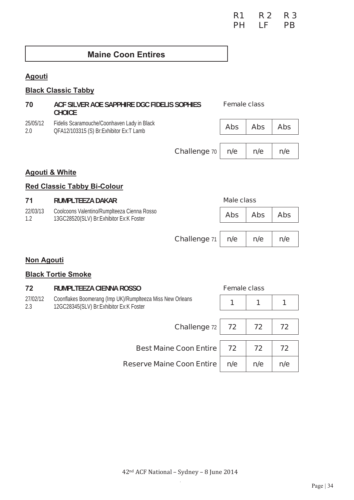### **R1 R 2 R 3 PH LF PB PH** LF PB

## **Maine Coon Entires**

## **Agouti**

### **Black Classic Tabby**

| 70              | ACF SILVER AOE SAPPHIRE DGC FIDELIS SOPHIES<br><b>CHOICE</b>                           | <b>Female class</b> |            |            |
|-----------------|----------------------------------------------------------------------------------------|---------------------|------------|------------|
| 25/05/12<br>2.0 | Fidelis Scaramouche/Coonhaven Lady in Black<br>QFA12/103315 (S) Br:Exhibitor Ex:T Lamb | <b>Abs</b>          | <b>Abs</b> | <b>Abs</b> |
|                 |                                                                                        |                     |            |            |

**Challenge** 70 **n/e n/e n/e** 

#### **Agouti & White**

### **Red Classic Tabby Bi-Colour**

| 71              | <b>RUMPLTEEZA DAKAR</b>                                                                  |                     | <b>Male class</b> |            |            |
|-----------------|------------------------------------------------------------------------------------------|---------------------|-------------------|------------|------------|
| 22/03/13<br>1.2 | Coolcoons Valentino/Rumplteeza Cienna Rosso<br>13GC28520(SLV) Br: Exhibitor Ex: K Foster |                     | <b>Abs</b>        | <b>Abs</b> | <b>Abs</b> |
|                 |                                                                                          |                     |                   |            |            |
|                 |                                                                                          | <b>Challenge 71</b> | n/e               | n/e        | n/e        |

#### **Non Agouti**

#### **Black Tortie Smoke**

| 72              | RUMPLTEEZA CIENNA ROSSO                                                                              | <b>Female class</b> |     |     |
|-----------------|------------------------------------------------------------------------------------------------------|---------------------|-----|-----|
| 27/02/12<br>2.3 | Coonflakes Boomerang (Imp UK)/RumpIteeza Miss New Orleans<br>12GC28345(SLV) Br:Exhibitor Ex:K Foster | 1                   | 1   |     |
|                 | <b>Challenge 72</b>                                                                                  | 72                  | 72  | 72  |
|                 | <b>Best Maine Coon Entire</b>                                                                        | 72                  | 72  | 72  |
|                 | <b>Reserve Maine Coon Entire</b>                                                                     | n/e                 | n/e | n/e |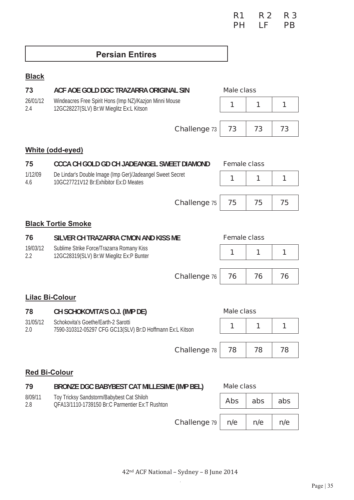# **Persian Entires**

## **Black**

| 73              | ACF AOE GOLD DGC TRAZARRA ORIGINAL SIN                                                              |                     | <b>Male class</b>   |     |     |
|-----------------|-----------------------------------------------------------------------------------------------------|---------------------|---------------------|-----|-----|
| 26/01/12<br>2.4 | Windeacres Free Spirit Hons (Imp NZ)/Kazjon Minni Mouse<br>12GC28227(SLV) Br:W Mieglitz Ex:L Kitson |                     | 1                   | 1   | 1   |
|                 |                                                                                                     | Challenge 73        | 73                  | 73  | 73  |
|                 | White (odd-eyed)                                                                                    |                     |                     |     |     |
| 75              | CCCA CH GOLD GD CH JADEANGEL SWEET DIAMOND                                                          |                     | <b>Female class</b> |     |     |
| 1/12/09<br>4.6  | De Lindar's Double Image (Imp Ger)/Jadeangel Sweet Secret<br>10GC27721V12 Br:Exhibitor Ex:D Meates  |                     | 1                   | 1   | 1   |
|                 |                                                                                                     | <b>Challenge 75</b> | 75                  | 75  | 75  |
|                 | <b>Black Tortie Smoke</b>                                                                           |                     |                     |     |     |
| 76              | SILVER CH TRAZARRA C'MON AND KISS ME                                                                |                     | <b>Female class</b> |     |     |
| 19/03/12<br>2.2 | Sublime Strike Force/Trazarra Romany Kiss<br>12GC28319(SLV) Br:W Mieglitz Ex:P Bunter               |                     | 1                   | 1   | 1   |
|                 |                                                                                                     | <b>Challenge 76</b> | 76                  | 76  | 76  |
|                 |                                                                                                     |                     |                     |     |     |
|                 | <b>Lilac Bi-Colour</b>                                                                              |                     |                     |     |     |
| 78              | CH SCHOKOVITA'S O.J. (IMP DE)                                                                       |                     | <b>Male class</b>   |     |     |
| 31/05/12<br>2.0 | Schokovita's Goethe/Earth-2 Sarotti<br>7590-310312-05297 CFG GC13(SLV) Br:D Hoffmann Ex:L Kitson    |                     | 1                   | 1   | 1   |
|                 |                                                                                                     | <b>Challenge 78</b> | 78                  | 78  | 78  |
|                 |                                                                                                     |                     |                     |     |     |
|                 | <b>Red Bi-Colour</b>                                                                                |                     |                     |     |     |
| 79              | <b>BRONZE DGC BABYBEST CAT MILLESIME (IMP BEL)</b>                                                  |                     | <b>Male class</b>   |     |     |
| 8/09/11<br>2.8  | Toy Tricksy Sandstorm/Babybest Cat Shiloh<br>OFA13/1110-1739150 Br:C Parmentier Ex:T Rushton        |                     | <b>Abs</b>          | abs | abs |
|                 |                                                                                                     | Challenge 79        | n/e                 | n/e | n/e |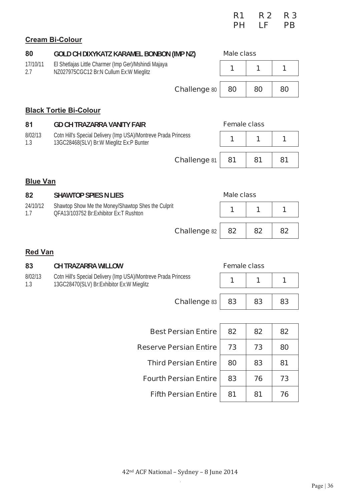|                 |                                                                                                            | R1                  | <b>R2</b> | <b>R3</b> |
|-----------------|------------------------------------------------------------------------------------------------------------|---------------------|-----------|-----------|
|                 |                                                                                                            | PН                  | LF        | <b>PB</b> |
|                 | <b>Cream Bi-Colour</b>                                                                                     |                     |           |           |
| 80              | GOLD CH DIXYKATZ KARAMEL BONBON (IMP NZ)                                                                   | Male class          |           |           |
| 17/10/11<br>2.7 | El Shetlajas Little Charmer (Imp Ger)/Mshindi Majaya<br>NZ027975CGC12 Br:N Cullum Ex:W Mieglitz            | 1                   | 1         | 1         |
|                 | <b>Challenge 80</b>                                                                                        | 80                  | 80        | 80        |
|                 | <b>Black Tortie Bi-Colour</b>                                                                              |                     |           |           |
| 81              | <b>GD CH TRAZARRA VANITY FAIR</b>                                                                          | <b>Female class</b> |           |           |
| 8/02/13<br>1.3  | Cotn Hill's Special Delivery (Imp USA)/Montreve Prada Princess<br>13GC28468(SLV) Br:W Mieglitz Ex:P Bunter | 1                   | 1         | 1         |
|                 | <b>Challenge 81</b>                                                                                        | 81                  | 81        | 81        |
| <b>Blue Van</b> |                                                                                                            |                     |           |           |

| 82              | <b>SHAWTOP SPIES N LIES</b>                                                                  | Male class |    |    |
|-----------------|----------------------------------------------------------------------------------------------|------------|----|----|
| 24/10/12<br>1.7 | Shawtop Show Me the Money/Shawtop Shes the Culprit<br>OFA13/103752 Br:Exhibitor Ex:T Rushton |            |    |    |
|                 | <b>Challenge</b> 82                                                                          | 82         | 82 | 82 |

### **Red Van**

| 83             | <b>CH TRAZARRA WILLOW</b>                                                                                   | <b>Female class</b> |    |    |
|----------------|-------------------------------------------------------------------------------------------------------------|---------------------|----|----|
| 8/02/13<br>1.3 | Cotn Hill's Special Delivery (Imp USA)/Montreve Prada Princess<br>13GC28470(SLV) Br:Exhibitor Ex:W Mieglitz | 1                   | 1  |    |
|                | <b>Challenge 83</b>                                                                                         | 83                  | 83 | 83 |
|                |                                                                                                             |                     |    |    |
|                | <b>Best Persian Entire</b>                                                                                  | 82                  | 82 | 82 |
|                | <b>Reserve Persian Entire</b>                                                                               | 73                  | 73 | 80 |

| 42 <sup>nd</sup> ACF National - Sydney - 8 June 2014 |  |
|------------------------------------------------------|--|

Third Persian Entire | 80 | 83 | 81

**Fourth Persian Entire | 83 | 76 | 73** 

**Fifth Persian Entire | 81 | 81 | 76**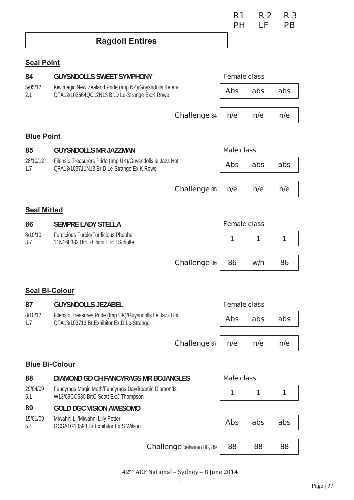**R1 R 2 R 3 PH LF PB PH** LF PB

# **Ragdoll Entires**

## **Seal Point**

| 84                    | <b>GUYSNDOLLS SWEET SYMPHONY</b>                                                                        | <b>Female class</b> |     |     |
|-----------------------|---------------------------------------------------------------------------------------------------------|---------------------|-----|-----|
| 5/05/12<br>2.1        | Kiwimagic New Zealand Pride (Imp NZ)/Guysndolls Katara<br>QFA12/102664QC12N13 Br:D Le-Strange Ex:K Rowe | <b>Abs</b>          | abs | abs |
|                       | <b>Challenge 84</b>                                                                                     | n/e                 | n/e | n/e |
| <b>Blue Point</b>     |                                                                                                         |                     |     |     |
| 85                    | <b>GUYSNDOLLS MR JAZZMAN</b>                                                                            | <b>Male class</b>   |     |     |
| 28/10/12<br>1.7       | Filensio Treasurers Pride (Imp UK)/Guysndolls le Jazz Hot<br>QFA13/103711N13 Br:D Le-Strange Ex:K Rowe  | <b>Abs</b>          | abs | abs |
|                       | <b>Challenge 85</b>                                                                                     | n/e                 | n/e | n/e |
| <b>Seal Mitted</b>    |                                                                                                         |                     |     |     |
| 86                    | <b>SEMPRE LADY STELLA</b>                                                                               | <b>Female class</b> |     |     |
| 8/10/10<br>3.7        | <b>Furrlicious Furbie/Furrlicious Pheobe</b><br>11N168382 Br:Exhibitor Ex:H Scholte                     | 1                   | 1   | 1   |
|                       |                                                                                                         |                     |     |     |
|                       | <b>Challenge 86</b>                                                                                     | 86                  | w/h | 86  |
|                       |                                                                                                         |                     |     |     |
| <b>Seal Bi-Colour</b> |                                                                                                         |                     |     |     |
| 87<br>8/10/12         | <b>GUYSNDOLLS JEZABEL</b><br>Filensio Treasures Pride (Imp UK)/Guysndolls Le Jazz Hot                   | <b>Female class</b> |     |     |
| 1.7                   | QFA13/103713 Br: Exhibitor Ex: D Le-Strange                                                             | <b>Abs</b>          | abs | abs |
|                       | <b>Challenge 87</b>                                                                                     | n/e                 | n/e | n/e |
|                       |                                                                                                         |                     |     |     |
| <b>Blue Bi-Colour</b> |                                                                                                         |                     |     |     |
| 88                    | DIAMOND GD CH FANCYRAGS MR BOJANGLES                                                                    | <b>Male class</b>   |     |     |
| 29/04/09<br>5.1       | Fancyrags Magic Moth/Fancyrags Daydreamin Diamonds<br>W13/09CO530 Br:C Scott Ex:J Thompson              | 1                   | 1   | 1   |
| 89                    | <b>GOLD DGC VISION AWESOMO</b>                                                                          |                     |     |     |
| 15/01/09<br>5.4       | Miwahni Lii/Miwahni Lilly Potter<br>GCSA1G10593 Br:Exhibitor Ex:S Wilson                                | <b>Abs</b>          | abs | abs |
|                       |                                                                                                         |                     |     |     |
|                       | <b>Challenge</b> between 88, 89                                                                         | 88                  | 88  | 88  |

42<sup>nd</sup> ACF National - Sydney - 8 June 2014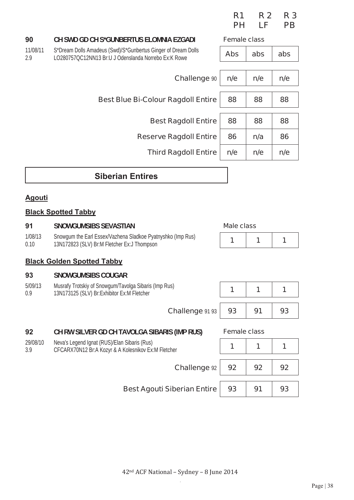|                 |                                                                                                                       | R <sub>1</sub><br><b>PH</b> | <b>R2</b><br>LF | R <sub>3</sub><br><b>PB</b> |
|-----------------|-----------------------------------------------------------------------------------------------------------------------|-----------------------------|-----------------|-----------------------------|
| 90              | <b>CH SWD GD CH S*GUNBERTUS ELOMNIA EZGADI</b>                                                                        | <b>Female class</b>         |                 |                             |
| 11/08/11<br>2.9 | S*Dream Dolls Amadeus (Swd)/S*Gunbertus Ginger of Dream Dolls<br>LO280757QC12NN13 Br:U J Odenslanda Norrebo Ex:K Rowe | <b>Abs</b>                  | abs             | abs                         |
|                 |                                                                                                                       |                             |                 |                             |
|                 | <b>Challenge 90</b>                                                                                                   | n/e                         | n/e             | n/e                         |
|                 | <b>Best Blue Bi-Colour Ragdoll Entire</b>                                                                             | 88                          | 88              | 88                          |
|                 |                                                                                                                       |                             |                 |                             |
|                 | <b>Best Ragdoll Entire</b>                                                                                            | 88                          | 88              | 88                          |
|                 | <b>Reserve Ragdoll Entire</b>                                                                                         | 86                          | n/a             | 86                          |
|                 | <b>Third Ragdoll Entire</b>                                                                                           | n/e                         | n/e             | n/e                         |
|                 |                                                                                                                       |                             |                 |                             |

# **Siberian Entires**

## **Agouti**

11/08/11 2.9

### **Black Spotted Tabby**

| 91              | <b>SNOWGUMSIBS SEVASTIAN</b>                                                                               | Male class          |    |    |
|-----------------|------------------------------------------------------------------------------------------------------------|---------------------|----|----|
| 1/08/13<br>0.10 | Snowgum the Earl Essex/Vazhena Sladkoe Pyatnyshko (Imp Rus)<br>13N172823 (SLV) Br:M Fletcher Ex:J Thompson |                     | 1  | 1  |
|                 | <b>Black Golden Spotted Tabby</b>                                                                          |                     |    |    |
| 93              | <b>SNOWGUMSIBS COUGAR</b>                                                                                  |                     |    |    |
| 5/09/13<br>0.9  | Musrafy Trotskiy of Snowgum/Tavolga Sibaris (Imp Rus)<br>13N173125 (SLV) Br: Exhibitor Ex: M Fletcher      |                     | 1  |    |
|                 | Challenge 91 93                                                                                            | 93                  | 91 | 93 |
| 92              | CH RW SILVER GD CH TAVOLGA SIBARIS (IMP RUS)                                                               | <b>Female class</b> |    |    |
| 29/08/10<br>3.9 | Neva's Legend Ignat (RUS)/Elan Sibaris (Rus)<br>CFCARX70N12 Br:A Kozyr & A Kolesnikov Ex:M Fletcher        |                     | 1  | 1  |
|                 | <b>Challenge 92</b>                                                                                        | 92                  | 92 | 92 |
|                 | <b>Best Agouti Siberian Entire</b>                                                                         | 93                  | 91 | 93 |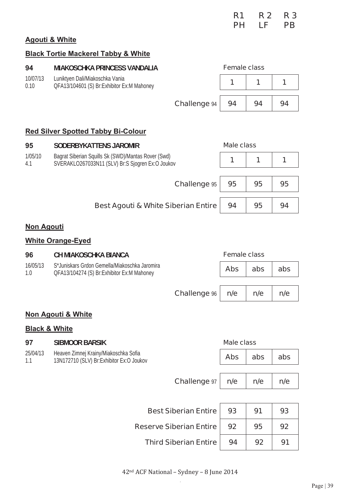|  | R1 R2 R3 |  |
|--|----------|--|
|  | PH LF PB |  |

## **Agouti & White**

## **Black Tortie Mackerel Tabby & White**

|                          | <b>BIACK FORGE MACKETER FADDY &amp; VYTHER</b>                                                          |                     |     |     |
|--------------------------|---------------------------------------------------------------------------------------------------------|---------------------|-----|-----|
| 94                       | <b>MIAKOSCHKA PRINCESS VANDALIA</b>                                                                     | <b>Female class</b> |     |     |
| 10/07/13<br>0.10         | Luniktyen Dali/Miakoschka Vania<br>QFA13/104601 (S) Br:Exhibitor Ex:M Mahoney                           | 1                   | 1   | 1   |
|                          | <b>Challenge 94</b>                                                                                     | 94                  | 94  | 94  |
|                          | <b>Red Silver Spotted Tabby Bi-Colour</b>                                                               |                     |     |     |
| 95                       | <b>SODERBYKATTENS JAROMIR</b>                                                                           | <b>Male class</b>   |     |     |
| 1/05/10<br>4.1           | Bagrat Siberian Squills Sk (SWD)/Mantas Rover (Swd)<br>SVERAKLO267033N11 (SLV) Br:S Sjogren Ex:O Joukov | 1                   | 1   | 1   |
|                          | <b>Challenge 95</b>                                                                                     | 95                  | 95  | 95  |
|                          | <b>Best Agouti &amp; White Siberian Entire</b>                                                          | 94                  | 95  | 94  |
| <b>Non Agouti</b>        |                                                                                                         |                     |     |     |
|                          | <b>White Orange-Eyed</b>                                                                                |                     |     |     |
| 96                       | <b>CH MIAKOSCHKA BIANCA</b>                                                                             | <b>Female class</b> |     |     |
| 16/05/13<br>1.0          | S*Juniskars Grdon Gemella/Miakoschka Jaromira<br>QFA13/104274 (S) Br:Exhibitor Ex:M Mahoney             | <b>Abs</b>          | abs | abs |
|                          | <b>Challenge %</b>                                                                                      | n/e                 | n/e | n/e |
|                          | Non Agouti & White                                                                                      |                     |     |     |
| <b>Black &amp; White</b> |                                                                                                         |                     |     |     |
| 97                       | <b>SIBMOOR BARSIK</b>                                                                                   | <b>Male class</b>   |     |     |
| 25/04/13<br>1.1          | Heaven Zimnej Krainy/Miakoschka Sofia<br>13N172710 (SLV) Br:Exhibitor Ex:O Joukov                       | <b>Abs</b>          | abs | abs |
|                          | <b>Challenge 97</b>                                                                                     | n/e                 | n/e | n/e |
|                          |                                                                                                         |                     |     |     |
|                          | <b>Best Siberian Entire</b>                                                                             | 93                  | 91  | 93  |
|                          | <b>Reserve Siberian Entire</b>                                                                          | 92                  | 95  | 92  |
|                          | <b>Third Siberian Entire</b>                                                                            | 94                  | 92  | 91  |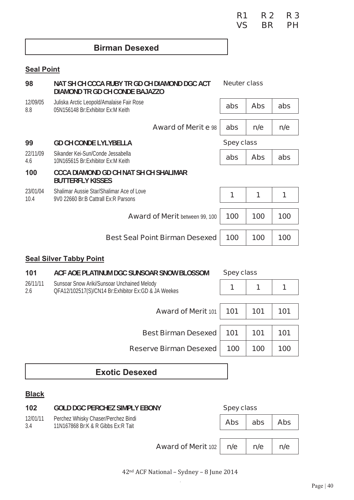**R1 R 2 R 3 VS BR PH** 

## **Birman Desexed**

## **Seal Point**

| 98                             | NAT SH CH CCCA RUBY TR GD CH DIAMOND DGC ACT<br>DIAMOND TR GD CH CONDE BAJAZZO    | <b>Neuter class</b> |            |     |
|--------------------------------|-----------------------------------------------------------------------------------|---------------------|------------|-----|
| 12/09/05<br>8.8                | Juliska Arctic Leopold/Amalaise Fair Rose<br>05N156148 Br:Exhibitor Ex:M Keith    | abs                 | <b>Abs</b> | abs |
|                                | <b>Award of Merit e 98</b>                                                        | abs                 | n/e        | n/e |
| 99                             | <b>GD CH CONDE LYLYBELLA</b>                                                      | <b>Spey class</b>   |            |     |
| 22/11/09<br>4.6                | Sikander Kei-Sun/Conde Jessabella<br>10N165615 Br: Exhibitor Ex: M Keith          | abs                 | <b>Abs</b> | abs |
| 100                            | <b>CCCA DIAMOND GD CH NAT SH CH SHALIMAR</b><br><b>BUTTERFLY KISSES</b>           |                     |            |     |
| 23/01/04<br>10.4               | Shalimar Aussie Star/Shalimar Ace of Love<br>9V0 22660 Br:B Cattrall Ex:R Parsons | 1                   | 1          | 1   |
|                                | <b>Award of Merit between 99, 100</b>                                             | 100                 | 100        | 100 |
|                                | <b>Best Seal Point Birman Desexed</b>                                             | 100                 | 100        | 100 |
| <b>Seal Silver Tabby Point</b> |                                                                                   |                     |            |     |

| 101             | ACF AOE PLATINUM DGC SUNSOAR SNOW BLOSSOM                                                          | <b>Spey class</b> |     |     |  |
|-----------------|----------------------------------------------------------------------------------------------------|-------------------|-----|-----|--|
| 26/11/11<br>2.6 | Sunsoar Snow Ariki/Sunsoar Unchained Melody<br>QFA12/102517(S)/CN14 Br:Exhibitor Ex:GD & JA Weekes |                   | 1   |     |  |
|                 |                                                                                                    |                   |     |     |  |
|                 | <b>Award of Merit 101</b>                                                                          | 101               | 101 | 101 |  |
|                 |                                                                                                    |                   |     |     |  |
|                 | <b>Best Birman Desexed</b>                                                                         | 101               | 101 | 101 |  |
|                 | <b>Reserve Birman Desexed</b>                                                                      | 100               | 100 | 100 |  |
|                 |                                                                                                    |                   |     |     |  |

# **Exotic Desexed**

### **Black**

| 102             | <b>GOLD DGC PERCHEZ SIMPLY EBONY</b>                                      | <b>Spey class</b> |     |            |
|-----------------|---------------------------------------------------------------------------|-------------------|-----|------------|
| 12/01/11<br>3.4 | Perchez Whisky Chaser/Perchez Bindi<br>11N167868 Br:K & R Gibbs Ex:R Tait | <b>Abs</b>        | abs | <b>Abs</b> |
|                 | <b>Award of Merit 102</b>                                                 | n/e               | n/e | n/e        |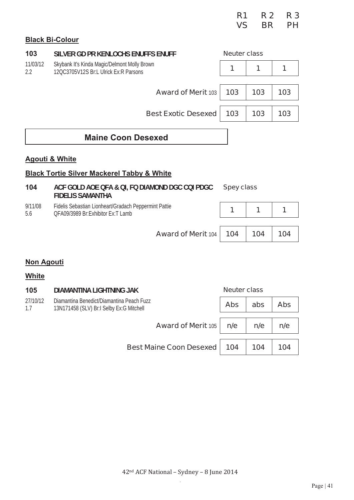|                           |                                                                                       | R <sub>1</sub><br><b>VS</b> | <b>R2</b><br><b>BR</b> | R <sub>3</sub><br><b>PH</b> |
|---------------------------|---------------------------------------------------------------------------------------|-----------------------------|------------------------|-----------------------------|
|                           | <b>Black Bi-Colour</b>                                                                |                             |                        |                             |
| 103                       | SILVER GD PR KENLOCHS ENUFFS ENUFF                                                    | <b>Neuter class</b>         |                        |                             |
| 11/03/12<br>$2.2^{\circ}$ | Skybank It's Kinda Magic/Delmont Molly Brown<br>12QC3705V12S Br:L Ulrick Ex:R Parsons | 1                           | 1                      | 1                           |
|                           | <b>Award of Merit 103</b>                                                             | 103                         | 103                    | 103                         |
|                           | <b>Best Exotic Desexed</b>                                                            | 103                         | 103                    | 103                         |

## **Maine Coon Desexed**

#### **Agouti & White**

### **Black Tortie Silver Mackerel Tabby & White**

| 104     | ACF GOLD AOE QFA & QI, FQ DIAMOND DGC CQI PDGC<br><b>FIDELIS SAMANTHA</b> | <b>Spey class</b> |            |  |
|---------|---------------------------------------------------------------------------|-------------------|------------|--|
| 9/11/08 | Fidelis Sebastian Lionheart/Gradach Peppermint Pattie                     |                   | $\sqrt{1}$ |  |
| 5.6     | QFA09/3989 Br:Exhibitor Ex:T Lamb                                         |                   |            |  |

**Award of Merit** 104 **104 104 104** 

#### **Non Agouti**

#### **White**

| 105             | <b>DIAMANTINA LIGHTNING JAK</b>                                                       | <b>Neuter class</b> |     |            |
|-----------------|---------------------------------------------------------------------------------------|---------------------|-----|------------|
| 27/10/12<br>1.7 | Diamantina Benedict/Diamantina Peach Fuzz<br>13N171458 (SLV) Br:I Selby Ex:G Mitchell | <b>Abs</b>          | abs | <b>Abs</b> |
|                 |                                                                                       |                     |     |            |
|                 | <b>Award of Merit 105</b>                                                             | n/e                 | n/e | n/e        |
|                 |                                                                                       |                     |     |            |
|                 | <b>Best Maine Coon Desexed</b>                                                        | 104                 | 104 | 104        |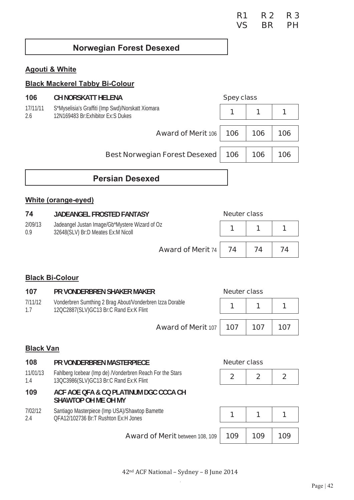## **Norwegian Forest Desexed**

### **Agouti & White**

### **Black Mackerel Tabby Bi-Colour**

| 106             | <b>CH NORSKATT HELENA</b>                                                                | <b>Spey class</b> |     |     |
|-----------------|------------------------------------------------------------------------------------------|-------------------|-----|-----|
| 17/11/11<br>2.6 | S*Myselisia's Graffiti (Imp Swd)/Norskatt Xiomara<br>12N169483 Br: Exhibitor Ex: S Dukes |                   | 1   |     |
|                 | <b>Award of Merit 106</b>                                                                | 106               | 106 | 106 |
|                 | <b>Best Norwegian Forest Desexed</b>                                                     | 106               | 106 | 106 |
|                 | <b>Persian Desexed</b>                                                                   |                   |     |     |

#### **White (orange-eyed)**

| 74             | <b>JADEANGEL FROSTED FANTASY</b>                                                     | <b>Neuter class</b> |    |  |
|----------------|--------------------------------------------------------------------------------------|---------------------|----|--|
| 2/09/13<br>0.9 | Jadeangel Justan Image/Gb*Mystere Wizard of Oz<br>32648(SLV) Br:D Meates Ex:M Nicoll |                     |    |  |
|                | <b>Award of Merit 74 74</b>                                                          |                     | 74 |  |

#### **Black Bi-Colour**

| 107            | PR VONDERBREN SHAKER MAKER                                                                         | <b>Neuter class</b> |     |     |
|----------------|----------------------------------------------------------------------------------------------------|---------------------|-----|-----|
| 7/11/12<br>1.7 | Vonderbren Sumthing 2 Brag About/Vonderbren Izza Dorable<br>12QC2887(SLV)GC13 Br:C Rand Ex:K Flint |                     |     |     |
|                | <b>Award of Merit 107   107</b>                                                                    |                     | 107 | 107 |
|                |                                                                                                    |                     |     |     |

### **Black Van**

| 108             | PR VONDERBREN MASTERPIECE                                                                                                                                                                                                     | <b>Neuter class</b> |             |              |
|-----------------|-------------------------------------------------------------------------------------------------------------------------------------------------------------------------------------------------------------------------------|---------------------|-------------|--------------|
| 11/01/13<br>1.4 | Fahlberg Icebear (Imp de) /Vonderbren Reach For the Stars<br>13QC3986(SLV)GC13 Br:C Rand Ex:K Flint                                                                                                                           | $\mathbf{2}$        | $\mathbf 2$ | $\mathbf{P}$ |
| 109             | ACF AOE QFA & CQ PLATINUM DGC CCCA CH<br><b>SHAWTOP OH ME OH MY</b>                                                                                                                                                           |                     |             |              |
| 7/02/12<br>24   | Santiago Masterpiece (Imp USA)/Shawtop Bamette<br>QFA12/102736 Br:T Rushton Ex:H Jones                                                                                                                                        |                     |             |              |
|                 | A service of Allentary and the service of the service of the service of the service of the service of the service of the service of the service of the service of the service of the service of the service of the service of |                     |             |              |

**Award of Merit between 108, 109 | 109 | 109 | 109**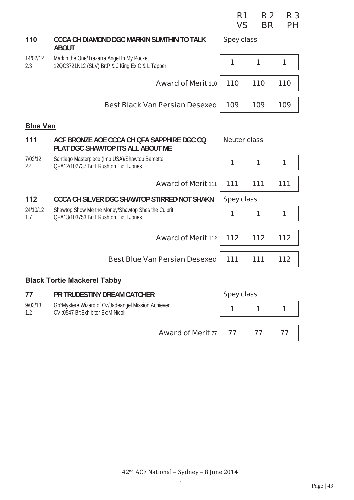|                 |                                                                                               | VS                  | <b>BR</b> | <b>PH</b> |
|-----------------|-----------------------------------------------------------------------------------------------|---------------------|-----------|-----------|
| 110             | CCCA CH DIAMOND DGC MARKIN SUMTHIN TO TALK<br><b>ABOUT</b>                                    | <b>Spey class</b>   |           |           |
| 14/02/12<br>2.3 | Markin the One/Trazarra Angel In My Pocket<br>12QC3721N12 (SLV) Br:P & J King Ex:C & L Tapper | 1                   | 1         | 1         |
|                 | <b>Award of Merit 110</b>                                                                     | 110                 | 110       | 110       |
|                 | <b>Best Black Van Persian Desexed</b>                                                         | 109                 | 109       | 109       |
| <b>Blue Van</b> |                                                                                               |                     |           |           |
| 111             | ACF BRONZE AOE CCCA CH OFA SAPPHIRE DGC CQ<br>PLAT DGC SHAWTOP ITS ALL ABOUT ME               | <b>Neuter class</b> |           |           |
| 7/02/12<br>2.4  | Santiago Masterpiece (Imp USA)/Shawtop Bamette<br>OFA12/102737 Br:T Rushton Ex:H Jones        | 1                   | 1         | 1         |
|                 | <b>Award of Merit 111</b>                                                                     | 111                 | 111       | 111       |
| 112             | CCCA CH SILVER DGC SHAWTOP STIRRED NOT SHAKN                                                  | <b>Spey class</b>   |           |           |
| 24/10/12<br>1.7 | Shawtop Show Me the Money/Shawtop Shes the Culprit<br>OFA13/103753 Br:T Rushton Ex:H Jones    | 1                   | 1         | 1         |
|                 | <b>Award of Merit 112</b>                                                                     | 112                 | 112       | 112       |
|                 | <b>Best Blue Van Persian Desexed</b>                                                          | 111                 | 111       | $112$     |
|                 | <b>Black Tortie Mackerel Tabby</b>                                                            |                     |           |           |

**R1 R 2 R 3** 

| 77 | <b>PR TRUDESTINY DREAM CATCHER</b> |
|----|------------------------------------|
|    |                                    |

| 9/03/13 | Gb*Mystere Wizard of Oz/Jadeangel Mission Achieved<br>CVI:0547 Br:Exhibitor Ex:M Nicoll |  |  |
|---------|-----------------------------------------------------------------------------------------|--|--|
|         | <b>Award of Merit 77 77 77 77</b>                                                       |  |  |

**Spey class**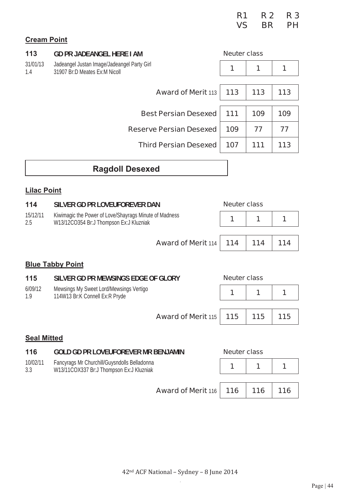|  | R1 R2 R3 |  |
|--|----------|--|
|  | VS BR PH |  |

## **Cream Point**

| 113                     | <b>GD PR JADEANGEL HERE I AM</b>                                                                  | <b>Neuter class</b> |     |     |  |
|-------------------------|---------------------------------------------------------------------------------------------------|---------------------|-----|-----|--|
| 31/01/13<br>1.4         | Jadeangel Justan Image/Jadeangel Party Girl<br>31907 Br:D Meates Ex:M Nicoll                      | 1                   | 1   | 1   |  |
|                         |                                                                                                   |                     |     |     |  |
|                         | <b>Award of Merit 113</b>                                                                         | 113                 | 113 | 113 |  |
|                         | <b>Best Persian Desexed</b>                                                                       | 111                 | 109 | 109 |  |
|                         |                                                                                                   |                     |     |     |  |
|                         | <b>Reserve Persian Desexed</b>                                                                    | 109                 | 77  | 77  |  |
|                         | <b>Third Persian Desexed</b>                                                                      | 107                 | 111 | 113 |  |
|                         |                                                                                                   |                     |     |     |  |
|                         | <b>Ragdoll Desexed</b>                                                                            |                     |     |     |  |
| <b>Lilac Point</b>      |                                                                                                   |                     |     |     |  |
| 114                     | SILVER GD PR LOVEUFOREVER DAN                                                                     | <b>Neuter class</b> |     |     |  |
| 15/12/11<br>2.5         | Kiwimagic the Power of Love/Shayrags Minute of Madness<br>W13/12CO354 Br:J Thompson Ex:J Kluzniak | 1                   | 1   | 1   |  |
|                         |                                                                                                   |                     |     |     |  |
|                         | <b>Award of Merit 114</b>                                                                         | 114                 | 114 | 114 |  |
| <b>Blue Tabby Point</b> |                                                                                                   |                     |     |     |  |

| 115            | SILVER GD PR MEWSINGS EDGE OF GLORY                                       |                                      | <b>Neuter class</b> |  |  |
|----------------|---------------------------------------------------------------------------|--------------------------------------|---------------------|--|--|
| 6/09/12<br>1.9 | Mewsings My Sweet Lord/Mewsings Vertigo<br>114W13 Br:K Connell Ex:R Pryde |                                      |                     |  |  |
|                |                                                                           |                                      |                     |  |  |
|                |                                                                           | Award of Merit 115   115   115   115 |                     |  |  |

## **Seal Mitted**

| 116             | <b>GOLD GD PR LOVEUFOREVER MR BENJAMIN</b>                                               | <b>Neuter class</b> |  |  |  |
|-----------------|------------------------------------------------------------------------------------------|---------------------|--|--|--|
| 10/02/11<br>3.3 | Fancyrags Mr Churchill/Guysndolls Belladonna<br>W13/11COX337 Br:J Thompson Ex:J Kluzniak |                     |  |  |  |
|                 | Award of Merit 116   116   116   116                                                     |                     |  |  |  |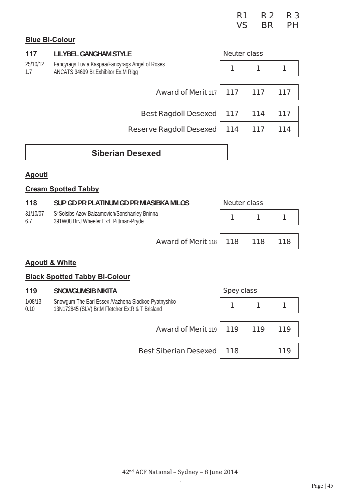|  | R1 R2 R3 |  |
|--|----------|--|
|  | VS BR PH |  |

### **Blue Bi-Colour**

| 117                                                                                                       | <b>LILYBEL GANGHAM STYLE</b>   | <b>Neuter class</b> |     |     |
|-----------------------------------------------------------------------------------------------------------|--------------------------------|---------------------|-----|-----|
| 25/10/12<br>Fancyrags Luv a Kaspaa/Fancyrags Angel of Roses<br>ANCATS 34699 Br:Exhibitor Ex:M Rigg<br>1.7 |                                | 1                   | 1   |     |
|                                                                                                           | <b>Award of Merit 117</b>      | 117                 | 117 | 117 |
|                                                                                                           | <b>Best Ragdoll Desexed</b>    | 117                 | 114 | 117 |
|                                                                                                           | <b>Reserve Ragdoll Desexed</b> | 114                 | 117 | 114 |
|                                                                                                           |                                |                     |     |     |

## **Siberian Desexed**

#### **Agouti**

#### **Cream Spotted Tabby**

| 118             | SUP GD PR PLATINUM GD PR MIASIBKA MILOS                                                  | <b>Neuter class</b> |  |     |
|-----------------|------------------------------------------------------------------------------------------|---------------------|--|-----|
| 31/10/07<br>6.7 | S*Solsibs Azov Balzamovich/Sonshanley Bninna<br>391W08 Br: J Wheeler Ex: L Pittman-Pryde |                     |  |     |
|                 | <b>Award of Merit 118   118   118  </b>                                                  |                     |  | 118 |

#### **Agouti & White**

#### **Black Spotted Tabby Bi-Colour**

#### **119 SNOWGUMSIB NIKITA Spey class**

| 1/08/13<br>0.10 | Snowgum The Earl Essex /Vazhena Sladkoe Pyatnyshko<br>13N172845 (SLV) Br:M Fletcher Ex:R & T Brisland |  |     |     |
|-----------------|-------------------------------------------------------------------------------------------------------|--|-----|-----|
|                 | <b>Award of Merit 119   119</b>                                                                       |  | 119 | 119 |
|                 | <b>Best Siberian Desexed   118</b>                                                                    |  |     |     |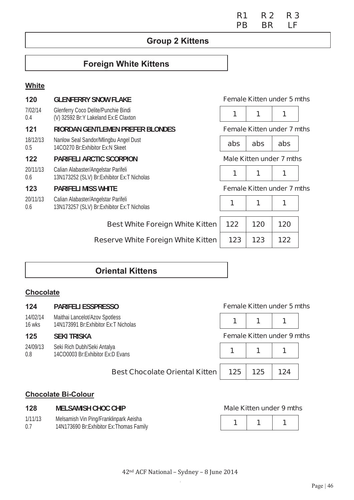# **Group 2 Kittens**

## **Foreign White Kittens**

### **White**

| 120             | <b>GLENFERRY SNOW FLAKE</b>                                                       |     | <b>Female Kitten under 5 mths</b> |     |  |  |
|-----------------|-----------------------------------------------------------------------------------|-----|-----------------------------------|-----|--|--|
| 7/02/14<br>0.4  | Glenferry Coco Delite/Punchie Bindi<br>(V) 32592 Br:Y Lakeland Ex:E Claxton       | 1   | 1                                 |     |  |  |
| 121             | RIORDAN GENTLEMEN PREFER BLONDES                                                  |     | <b>Female Kitten under 7 mths</b> |     |  |  |
| 18/12/13<br>0.5 | Nanlow Seal Sandor/Mlingbu Angel Dust<br>14CO270 Br:Exhibitor Ex:N Skeet          | abs | abs                               | abs |  |  |
| 122             | <b>PARIFELI ARCTIC SCORPION</b>                                                   |     | Male Kitten under 7 mths          |     |  |  |
| 20/11/13<br>0.6 | Calian Alabaster/Angelstar Parifeli<br>13N173252 (SLV) Br:Exhibitor Ex:T Nicholas | 1   | 1                                 | 1   |  |  |
| 123             | <b>PARIFELI MISS WHITE</b>                                                        |     | <b>Female Kitten under 7 mths</b> |     |  |  |
| 20/11/13<br>0.6 | Calian Alabaster/Angelstar Parifeli<br>13N173257 (SLV) Br:Exhibitor Ex:T Nicholas | 1   | 1                                 | 1   |  |  |
|                 | <b>Best White Foreign White Kitten</b>                                            | 122 | 120                               | 120 |  |  |
|                 | <b>Reserve White Foreign White Kitten</b>                                         | 123 | 123                               | 122 |  |  |
|                 |                                                                                   |     |                                   |     |  |  |

## **Oriental Kittens**

## **Chocolate**

1/11/13 0.7

| 124                | <b>PARIFELI ESSPRESSO</b>                                                | <b>Female Kitten under 5 mths</b> |     |     |  |  |  |
|--------------------|--------------------------------------------------------------------------|-----------------------------------|-----|-----|--|--|--|
| 14/02/14<br>16 wks | Maithai Lancelot/Azov Spotless<br>14N173991 Br: Exhibitor Ex: T Nicholas |                                   | 1   |     |  |  |  |
| 125                | <b>SEKI TRISKA</b>                                                       | <b>Female Kitten under 9 mths</b> |     |     |  |  |  |
| 24/09/13<br>0.8    | Seki Rich Dubh/Seki Antalya<br>14CO0003 Br:Exhibitor Ex:D Evans          |                                   | 1   |     |  |  |  |
|                    | <b>Best Chocolate Oriental Kitten</b>                                    | 125                               | 125 | 124 |  |  |  |
|                    | <b>Chocolate Bi-Colour</b>                                               |                                   |     |     |  |  |  |
| 128                | <b>MELSAMISH CHOC CHIP</b>                                               | <b>Male Kitten under 9 mths</b>   |     |     |  |  |  |

**R1 R 2 R 3 PB** BR LF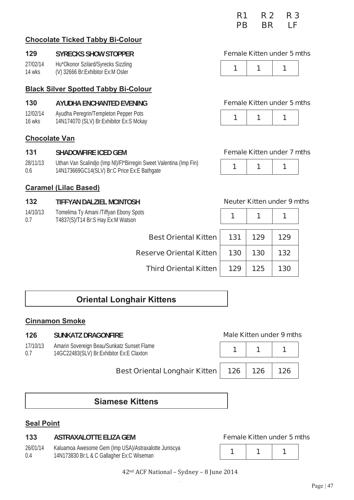|                             |  | PB BR LF |  |
|-----------------------------|--|----------|--|
| うしょうしょう エンチ・オール しょうせい ふくしょう |  |          |  |

## **Chocolate Ticked Tabby Bi-Colour**

### **129 SYRECKS SHOW STOPPER Female Kitten under 5 mths**

27/02/14 14 wks Hu\*Okonor Szilard/Syrecks Sizzling (V) 32666 Br:Exhibitor Ex:M Osler

### **Black Silver Spotted Tabby Bi-Colour**

### **130 AYUDHA ENCHANTED EVENING Female Kitten under 5 mths**

- 12/02/14 Ayudha Peregrin/Templeton Pepper Pots
- 16 wks

### **Chocolate Van**

### **131 SHADOWFIRE ICED GEM Female Kitten under 7 mths**

28/11/13 0.6 Uthan Van Scalindjo (Imp Nl)/Fl\*Birregin Sweet Valentina (Imp Fin) 14N173669GC14(SLV) Br:C Price Ex:E Bathgate **1 1 1** 

### **Caramel (Lilac Based)**

### **132 TIFFYAN DALZIEL MCINTOSH Neuter Kitten under 9 mths**

- 14/10/13 Tomelima Ty Amani /Tiffyan Ebony Spots
- 0.7 T4837(S)/T14 Br:S Hay Ex:M Watson **1 1 1**

|--|--|--|--|



|--|

| pots                           |     |     |     |
|--------------------------------|-----|-----|-----|
| <b>Best Oriental Kitten</b>    | 131 | 129 | 129 |
| <b>Reserve Oriental Kitten</b> | 130 | 130 | 132 |
| <b>Third Oriental Kitten</b>   | 129 | 125 | 130 |

# **Oriental Longhair Kittens**

## **Cinnamon Smoke**

### **126 SUNKATZ DRAGONFIRE Male Kitten under 9 mths**

17/10/13 0.7 Amarin Sovereign Beau/Sunkatz Sunset Flame 14GC22483(SLV) Br:Exhibitor Ex:E Claxton

## **Best Oriental Longhair Kitten | 126 | 126 | 126**

**R1 R 2 R 3** 

|  | Maic Millell dhuci 9 Millis |
|--|-----------------------------|
|  |                             |
|  |                             |

## **Siamese Kittens**

### **Seal Point**

#### **133 ASTRAXALOTTE ELIZA GEM Female Kitten under 5 mths**

26/01/14 0.4 Kaluamoa Awesome Gem (Imp USA)/Astraxalotte Juniscya Raluaritoa Awesome Gerri (linp OSA)/Astraxalotte Jurilscya<br>14N173830 Br:L & C Gallagher Ex:C Wiseman **1 1 1 1 1 1 1 1 1 1 1 1** 



#### 42<sup>nd</sup> ACF National - Sydney - 8 June 2014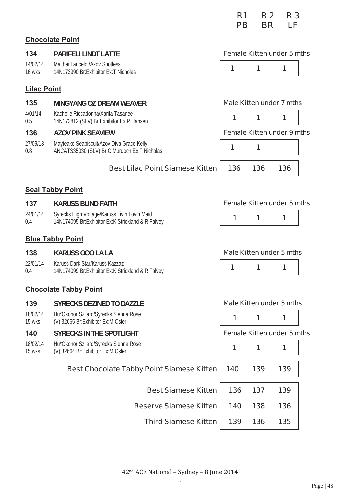|     |                             | R <sub>1</sub><br>PB.             | R 2 R 3<br>BR LF |
|-----|-----------------------------|-----------------------------------|------------------|
|     | <b>Chocolate Point</b>      |                                   |                  |
| 134 | <b>PARIFELI LINDT LATTE</b> | <b>Female Kitten under 5 mths</b> |                  |

#### **Lilac Point**

14/02/14 16 wks

#### **135 MINGYANG OZ DREAM WEAVER Male Kitten under 7 mths**

Maithai Lancelot/Azov Spotless 14N173990 Br: Exhibitor Ex: T Nicholas

- 4/01/14 0.5 Kachelle Riccadonna/Xarifa Tasanee 14N173812 (SLV) Br:Exhibitor Ex:P Hansen **1 1 1**
- 

27/09/13 0.8 Mayteako Seabiscuit/Azov Diva Grace Kelly ANCATS35030 (SLV) Br:C Murdoch Ex:T Nicholas

#### **136 AZOV PINK SEAVIEW Female Kitten under 9 mths**

**137 137 137 K Kitten under 5 mths** 

### **Best Lilac Point Siamese Kitten 136 136 136**

#### **Seal Tabby Point**

| 137             | KARUSS BLIND FAITH                                                                                | <b>Female Kitten under</b> |  |
|-----------------|---------------------------------------------------------------------------------------------------|----------------------------|--|
| 24/01/14<br>0.4 | Syrecks High Voltage/Karuss Livin Lovin Maid<br>14N174095 Br:Exhibitor Ex:K Strickland & R Falvey |                            |  |

#### **Blue Tabby Point**

138 **KARUSS OOO LA LA Male Kitten under 5 mths** 

22/01/14 0.4 Karuss Dark Star/Karuss Kazzaz 14N174099 Br:Exhibitor Ex:K Strickland & R Falvey **1** 1 **1 1 1** 

#### **Chocolate Tabby Point**

#### **139 SYRECKS DEZINED TO DAZZLE Male Kitten under 5 mths**

18/02/14 15 wks Hu\*Okonor Szilard/Syrecks Sienna Rose (V) 32665 Br: Exhibitor Ex: M Osler

#### **140 SYRECKS IN THE SPOTLIGHT Female Kitten under 5 mths**

18/02/14 15 wks Hu\*Okonor Szilard/Syrecks Sienna Rose (V) 32664 Br:Exhibitor Ex:M Osler

|--|--|--|

| 140 | 139 | 139 |
|-----|-----|-----|
| 136 | 137 | 139 |
| 140 | 138 | 136 |
| 139 | 136 | 135 |
|     |     |     |

#### **Best Chocolate Tabby Point Siamese Kitt**

**Best Siamese Kitt** 

**Reserve Siamese Kitt** 

**Third Siamese Kitt**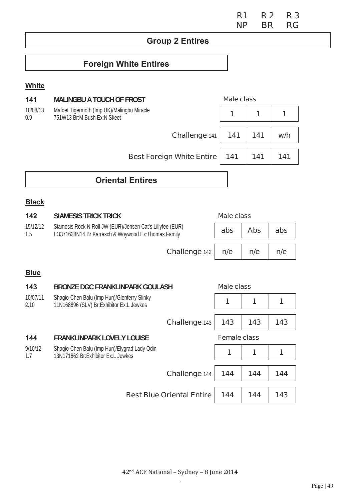#### **R1 R 2 R 3 NP BR RG**

# **Group 2 Entires**

# **Foreign White Entires**

#### **White**

| 141             | <b>MALINGBU A TOUCH OF FROST</b>                                          | <b>Male class</b> |     |     |
|-----------------|---------------------------------------------------------------------------|-------------------|-----|-----|
| 18/08/13<br>0.9 | Mafdet Tigermoth (Imp UK)/Malingbu Miracle<br>751W13 Br:M Bush Ex:N Skeet |                   | 1   |     |
|                 | Challenge 141                                                             | 141               | 141 | w/h |
|                 | <b>Best Foreign White Entire</b>                                          | 141               | 141 | 141 |
|                 |                                                                           |                   |     |     |

# **Oriental Entires**

## **Black**

| 142             | <b>SIAMESIS TRICK TRICK</b>                                                                                     | <b>Male class</b> |     |     |
|-----------------|-----------------------------------------------------------------------------------------------------------------|-------------------|-----|-----|
| 15/12/12<br>1.5 | Siamesis Rock N Roll JW (EUR)/Jensen Cat's Lillyfee (EUR)<br>LO371638N14 Br:Karrasch & Woywood Ex:Thomas Family | abs<br><b>Abs</b> |     | abs |
|                 | Challenge 142                                                                                                   | n/e               | n/e | n/e |

## **Blue**

| 143              | <b>BRONZE DGC FRANKLINPARK GOULASH</b>                                                    |                                  | <b>Male class</b>   |     |     |
|------------------|-------------------------------------------------------------------------------------------|----------------------------------|---------------------|-----|-----|
| 10/07/11<br>2.10 | Shagio-Chen Balu (Imp Hun)/Glenferry Slinky<br>11N168896 (SLV) Br: Exhibitor Ex: L Jewkes |                                  | 1                   | 1   |     |
|                  |                                                                                           | Challenge 143                    | 143                 | 143 | 143 |
| 144              | <b>FRANKLINPARK LOVELY LOUISE</b>                                                         |                                  | <b>Female class</b> |     |     |
| 9/10/12<br>1.7   | Shagio-Chen Balu (Imp Hun)/Elygrad Lady Odin<br>13N171862 Br:Exhibitor Ex:L Jewkes        |                                  | 1                   | 1   |     |
|                  |                                                                                           | Challenge 144                    | 144                 | 144 | 144 |
|                  |                                                                                           | <b>Best Blue Oriental Entire</b> | 144                 | 144 | 143 |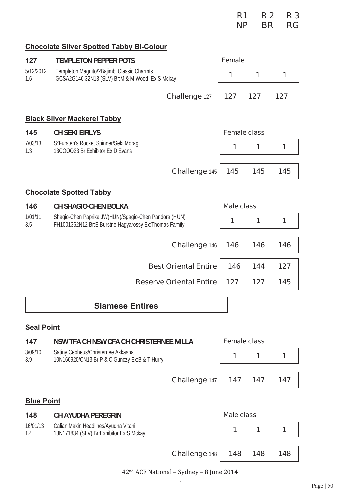|  | R1 R2 R3 |  |
|--|----------|--|
|  | NP BR RG |  |

## **Chocolate Silver Spotted Tabby Bi-Colour**

| 127               | <b>TEMPLETON PEPPER POTS</b>                                                                                    | <b>Female</b>       |     |     |
|-------------------|-----------------------------------------------------------------------------------------------------------------|---------------------|-----|-----|
| 5/12/2012<br>1.6  | Templeton Magnito/?Bajimbi Classic Charmts<br>GCSA2G146 32N13 (SLV) Br:M & M Wood Ex:S Mckay                    | 1                   | 1   | 1   |
|                   | Challenge 127                                                                                                   | 127                 | 127 | 127 |
|                   | <b>Black Silver Mackerel Tabby</b>                                                                              |                     |     |     |
| 145               | <b>CH SEKI EIRLYS</b>                                                                                           | <b>Female class</b> |     |     |
| 7/03/13<br>1.3    | S*Fursten's Rocket Spinner/Seki Morag<br>13COOO23 Br:Exhibitor Ex:D Evans                                       | 1                   | 1   | 1   |
|                   | Challenge 145                                                                                                   | 145                 | 145 | 145 |
|                   | <b>Chocolate Spotted Tabby</b>                                                                                  |                     |     |     |
| 146               | <b>CH SHAGIO-CHEN BOLKA</b>                                                                                     | <b>Male class</b>   |     |     |
| 1/01/11<br>3.5    | Shagio-Chen Paprika JW(HUN)/Sgagio-Chen Pandora (HUN)<br>FH1001362N12 Br:E Burstne Hagyarossy Ex: Thomas Family | 1                   | 1   | 1   |
|                   | Challenge 146                                                                                                   | 146                 | 146 | 146 |
|                   | <b>Best Oriental Entire</b>                                                                                     | 146                 | 144 | 127 |
|                   | <b>Reserve Oriental Entire</b>                                                                                  | 127                 | 127 | 145 |
|                   | <b>Siamese Entires</b>                                                                                          |                     |     |     |
| <b>Seal Point</b> |                                                                                                                 |                     |     |     |
| 147               | NSW TFA CH NSW CFA CH CHRISTERNEE MILLA                                                                         | <b>Female class</b> |     |     |
| 3/09/10<br>3.9    | Satiny Cepheus/Christernee Akkasha<br>10N166920/CN13 Br:P & C Gunczy Ex:B & T Hurry                             | 1                   | 1   | 1   |

**Challenge** 147 **147 147 147** 

### **Blue Point**

| 148             | <b>CH AYUDHA PEREGRIN</b>                                                         |               | Male class |     |     |
|-----------------|-----------------------------------------------------------------------------------|---------------|------------|-----|-----|
| 16/01/13<br>1.4 | Calian Makin Headlines/Ayudha Vitani<br>13N171834 (SLV) Br: Exhibitor Ex: S Mckay |               |            |     |     |
|                 |                                                                                   | Challenge 148 | 148        | 148 | 148 |

42<sup>nd</sup> ACF National - Sydney - 8 June 2014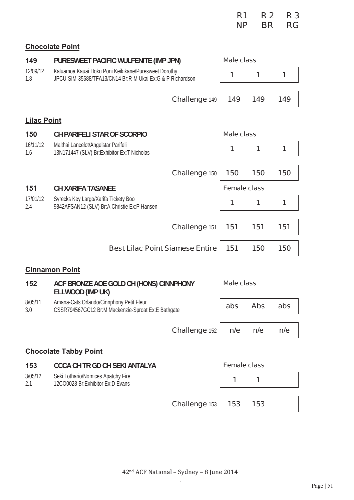|  | R1 R2 R3 |  |
|--|----------|--|
|  | NP BR RG |  |

## **Chocolate Point**

| 149                | PURESWEET PACIFIC WULFENITE (IMP JPN)                                                                             |                      | <b>Male class</b>   |            |     |
|--------------------|-------------------------------------------------------------------------------------------------------------------|----------------------|---------------------|------------|-----|
| 12/09/12<br>1.8    | Kaluamoa Kauai Hoku Poni Keikikane/Puresweet Dorothy<br>JPCU-SIM-35688/TFA13/CN14 Br:R-M Ukai Ex:G & P Richardson |                      | 1                   | 1          | 1   |
|                    |                                                                                                                   | Challenge 149        | 149                 | 149        | 149 |
| <b>Lilac Point</b> |                                                                                                                   |                      |                     |            |     |
| 150                | CH PARIFELI STAR OF SCORPIO                                                                                       |                      | <b>Male class</b>   |            |     |
| 16/11/12<br>1.6    | Maithai Lancelot/Angelstar Parifeli<br>13N171447 (SLV) Br:Exhibitor Ex:T Nicholas                                 |                      | 1                   | 1          | 1   |
|                    |                                                                                                                   | <b>Challenge 150</b> | 150                 | 150        | 150 |
| 151                | <b>CH XARIFA TASANEE</b>                                                                                          |                      | <b>Female class</b> |            |     |
| 17/01/12<br>2.4    | Syrecks Key Largo/Xarifa Tickety Boo<br>9842AFSAN12 (SLV) Br:A Christie Ex:P Hansen                               |                      | 1                   | 1          | 1   |
|                    |                                                                                                                   |                      |                     |            |     |
|                    |                                                                                                                   | Challenge 151        | 151                 | 151        | 151 |
|                    | <b>Best Lilac Point Siamese Entire</b>                                                                            |                      | 151                 | 150        | 150 |
|                    | <b>Cinnamon Point</b>                                                                                             |                      |                     |            |     |
| 152                | ACF BRONZE AOE GOLD CH (HONS) CINNPHONY<br>ELLWOOD (IMP UK)                                                       |                      | <b>Male class</b>   |            |     |
| 8/05/11<br>3.0     | Amana-Cats Orlando/Cinnphony Petit Fleur<br>CSSR794567GC12 Br:M Mackenzie-Sproat Ex:E Bathgate                    |                      | abs                 | <b>Abs</b> | abs |
|                    |                                                                                                                   | <b>Challenge 152</b> | n/e                 | n/e        | n/e |
|                    |                                                                                                                   |                      |                     |            |     |
|                    | <b>Chocolate Tabby Point</b>                                                                                      |                      |                     |            |     |
| 153                | <b>CCCA CH TR GD CH SEKI ANTALYA</b>                                                                              |                      | <b>Female class</b> |            |     |
| 3/05/12<br>2.1     | Seki Lothario/Nomices Apatchy Fire<br>12CO0028 Br:Exhibitor Ex:D Evans                                            |                      | 1                   | 1          |     |
|                    |                                                                                                                   |                      |                     |            |     |
|                    |                                                                                                                   | Challenge 153        | 153                 | 153        |     |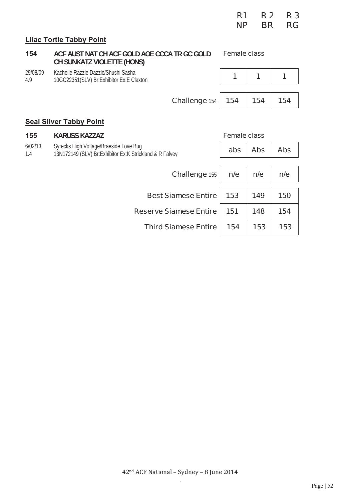|                 |                                                                                                     | <b>NP</b>           | <b>BR</b>  | <b>RG</b>  |
|-----------------|-----------------------------------------------------------------------------------------------------|---------------------|------------|------------|
|                 | <b>Lilac Tortie Tabby Point</b>                                                                     |                     |            |            |
| 154             | ACF AUST NAT CH ACF GOLD AOE CCCA TR GC GOLD<br><b>CH SUNKATZ VIOLETTE (HONS)</b>                   | <b>Female class</b> |            |            |
| 29/08/09<br>4.9 | Kachelle Razzle Dazzle/Shushi Sasha<br>10GC22351(SLV) Br: Exhibitor Ex: E Claxton                   |                     | 1          | 1          |
|                 | <b>Challenge 154</b>                                                                                | 154                 | 154        | 154        |
|                 | <b>Seal Silver Tabby Point</b>                                                                      |                     |            |            |
| 155             | <b>KARUSS KAZZAZ</b>                                                                                | <b>Female class</b> |            |            |
| 6/02/13<br>1.4  | Syrecks High Voltage/Braeside Love Bug<br>13N172149 (SLV) Br: Exhibitor Ex: K Strickland & R Falvey | abs                 | <b>Abs</b> | <b>Abs</b> |

**R1 R 2 R 3** 

| Challenge 155                    | n/e | n/e | n/e |
|----------------------------------|-----|-----|-----|
|                                  |     |     |     |
| <b>Best Siamese Entire   153</b> |     | 149 | 150 |
| <b>Reserve Siamese Entire</b>    | 151 | 148 | 154 |
| <b>Third Siamese Entire</b>      | 154 | 153 | 153 |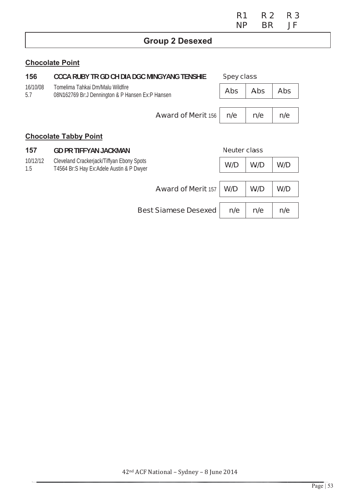|                 |                                                                                        | R <sub>1</sub><br><b>NP</b> | <b>R2</b><br><b>BR</b> | R 3<br><b>JF</b> |  |
|-----------------|----------------------------------------------------------------------------------------|-----------------------------|------------------------|------------------|--|
|                 | <b>Group 2 Desexed</b>                                                                 |                             |                        |                  |  |
|                 | <b>Chocolate Point</b>                                                                 |                             |                        |                  |  |
| 156             | <b>CCCA RUBY TR GD CH DIA DGC MINGYANG TENSHIE</b>                                     | <b>Spey class</b>           |                        |                  |  |
| 16/10/08<br>5.7 | Tomelima Tahkai Dm/Malu Wildfire<br>08N162769 Br: J Dennington & P Hansen Ex: P Hansen | <b>Abs</b>                  | <b>Abs</b>             | <b>Abs</b>       |  |
|                 | <b>Award of Merit 156</b>                                                              | n/e                         | n/e                    | n/e              |  |
|                 | <b>Chocolate Tabby Point</b>                                                           |                             |                        |                  |  |
| 157             | <b>GD PR TIFFYAN JACKMAN</b>                                                           | Neuter class                |                        |                  |  |

**Award of Merit 157** 

**Best Siamese Desexed** 

W/D

 $W/D$ 

 $n/e$ 

 $W/D$ 

W/D

 $n/e$ 

W/D

W/D

 $n/e$ 

10/12/12

 $1.5$ 

Cleveland Crackerjack/Tiffyan Ebony Spots<br>T4564 Br:S Hay Ex:Adele Austin & P Dwyer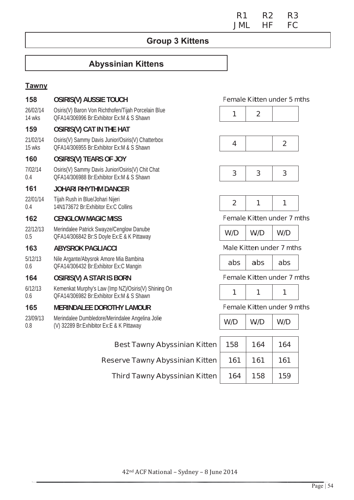**R1 R2** R<sub>3</sub> FC **JML** HF.

## **Group 3 Kittens**

# **Abyssinian Kittens**

#### **Tawny**

| 158                | <b>OSIRIS(V) AUSSIE TOUCH</b>                                                                   |                | <b>Female Kitten under 5 mths</b> |                |  |
|--------------------|-------------------------------------------------------------------------------------------------|----------------|-----------------------------------|----------------|--|
| 26/02/14<br>14 wks | Osiris(V) Baron Von Richthofen/Tijah Porcelain Blue<br>OFA14/306996 Br:Exhibitor Ex:M & S Shawn | 1              | $\overline{2}$                    |                |  |
| 159                | <b>OSIRIS(V) CAT IN THE HAT</b>                                                                 |                |                                   |                |  |
| 21/02/14<br>15 wks | Osiris(V) Sammy Davis Junior/Osiris(V) Chatterbox<br>QFA14/306955 Br:Exhibitor Ex:M & S Shawn   | 4              |                                   | $\overline{2}$ |  |
| 160                | <b>OSIRIS(V) TEARS OF JOY</b>                                                                   |                |                                   |                |  |
| 7/02/14<br>0.4     | Osiris(V) Sammy Davis Junior/Osiris(V) Chit Chat<br>OFA14/306988 Br:Exhibitor Ex:M & S Shawn    | 3              | 3                                 | 3              |  |
| 161                | <b>JOHARI RHYTHM DANCER</b>                                                                     |                |                                   |                |  |
| 22/01/14<br>0.4    | Tijah Rush in Blue/Johari Nijeri<br>14N173672 Br:Exhibitor Ex:C Collins                         | $\overline{2}$ | 1                                 | 1              |  |
| 162                | <b>CENGLOW MAGIC MISS</b>                                                                       |                | <b>Female Kitten under 7 mths</b> |                |  |
| 22/12/13<br>0.5    | Merindalee Patrick Swayze/Cenglow Danube<br>QFA14/306842 Br:S Doyle Ex:E & K Pittaway           | W/D            | W/D                               | W/D            |  |
| 163                | <b>ABYSROK PAGLIACCI</b>                                                                        |                | <b>Male Kitten under 7 mths</b>   |                |  |
| 5/12/13<br>0.6     | Nile Argante/Abysrok Amore Mia Bambina<br>QFA14/306432 Br:Exhibitor Ex:C Mangin                 | abs            | abs                               | abs            |  |
| 164                | <b>OSIRIS(V) A STAR IS BORN</b>                                                                 |                | <b>Female Kitten under 7 mths</b> |                |  |
| 6/12/13<br>0.6     | Kemenkat Murphy's Law (Imp NZ)/Osiris(V) Shining On<br>OFA14/306982 Br:Exhibitor Ex:M & S Shawn | 1              | 1                                 | 1              |  |
| 165                | <b>MERINDALEE DOROTHY LAMOUR</b>                                                                |                | <b>Female Kitten under 9 mths</b> |                |  |
| 23/09/13<br>0.8    | Merindalee Dumbledore/Merindalee Angelina Jolie<br>(V) 32289 Br:Exhibitor Ex:E & K Pittaway     | W/D            | W/D                               | W/D            |  |
|                    | <b>Best Tawny Abyssinian Kitten</b>                                                             | 158            | 164                               | 164            |  |
|                    | <b>Reserve Tawny Abyssinian Kitten</b>                                                          | 161            | 161                               | 161            |  |
|                    |                                                                                                 |                |                                   |                |  |

Third Tawny Abyssinian Kitten

164

158

159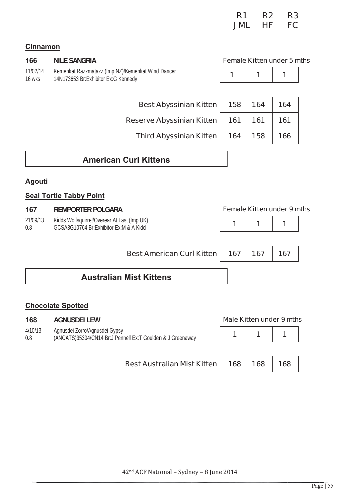| R <sub>1</sub> | R <sub>2</sub> | R3        |
|----------------|----------------|-----------|
| <b>JML</b>     | НF             | <b>FC</b> |

### **Cinnamon**

| 166                | <b>NILE SANGRIA</b>                                                                        | <b>Female Kitten under 5 mths</b> |  |     |  |
|--------------------|--------------------------------------------------------------------------------------------|-----------------------------------|--|-----|--|
| 11/02/14<br>16 wks | Kemenkat Razzmatazz (Imp NZ)/Kemenkat Wind Dancer<br>14N173653 Br: Exhibitor Ex: G Kennedy |                                   |  |     |  |
|                    | Best Abyssinian Kitten   158   164                                                         |                                   |  | 164 |  |

**Reserve Abyssinian Kitten** 

**Third Abyssinian Kitten** 

| 158 | 164 | 164 |
|-----|-----|-----|
| 161 | 161 | 161 |
| 164 | 158 | 166 |

## **American Curl Kittens**

#### **Agouti**

#### **Seal Tortie Tabby Point**

#### 167 **REMPORTER POLGARA**

| 21/09/13 | Kidds Wolfsquirrel/Overear At Last (Imp UK) |
|----------|---------------------------------------------|
| 0.8      | GCSA3G10764 Br:Exhibitor Ex:M & A Kidd      |

#### **Female Kitten under 9 mths**

 $\overline{1}$ 

 $\overline{1}$ 

| Best American Curl Kitten   167   167   167 |  |  |
|---------------------------------------------|--|--|
|                                             |  |  |
| & A Kidd                                    |  |  |

 $\overline{1}$ 

## **Australian Mist Kittens**

#### **Chocolate Spotted**

#### 168 **AGNUSDEI LEW**

 $4/10/13$ Agnusdei Zorro/Agnusdei Gypsy (ANCATS)35304/CN14 Br:J Pennell Ex:T Goulden & J Greenaway  $0.8$ 

### **Best Australian Mist Kitten**

| Male Kitten under 9 mths |  |  |
|--------------------------|--|--|

|--|--|--|

168

168 168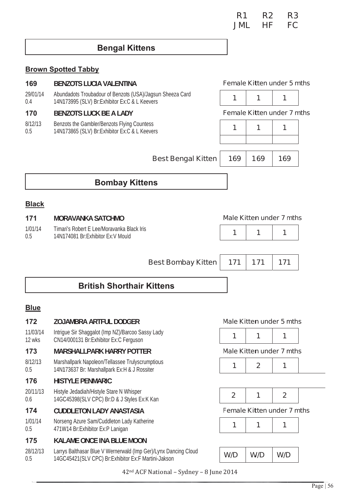| R <sub>1</sub> | R2 | R3        |
|----------------|----|-----------|
| <b>JML</b>     | НF | <b>FC</b> |

### **Bengal Kittens**

#### **Brown Spotted Tabby**

| 169<br><b>BENZOTS LUCIA VALENTINA</b> |                                                                                                              |                                   | <b>Female Kitten under 5 mths</b> |     |  |
|---------------------------------------|--------------------------------------------------------------------------------------------------------------|-----------------------------------|-----------------------------------|-----|--|
| 29/01/14<br>0.4                       | Abundadots Troubadour of Benzots (USA)/Jagsun Sheeza Card<br>14N173995 (SLV) Br: Exhibitor Ex: C & L Keevers |                                   |                                   |     |  |
| 170                                   | <b>BENZOTS LUCK BE A LADY</b>                                                                                | <b>Female Kitten under 7 mths</b> |                                   |     |  |
| 8/12/13<br>0.5                        | Benzots the Gambler/Benzots Flying Countess<br>14N173865 (SLV) Br: Exhibitor Ex: C & L Keevers               |                                   | 1                                 | 1   |  |
|                                       |                                                                                                              |                                   |                                   |     |  |
|                                       | <b>Best Bengal Kitten</b>                                                                                    | 169                               | 169                               | 169 |  |
|                                       | <b>Bombay Kittens</b>                                                                                        |                                   |                                   |     |  |
| <b>Black</b>                          |                                                                                                              |                                   |                                   |     |  |
| 171                                   | <b>MORAVANKA SATCHMO</b>                                                                                     |                                   | <b>Male Kitten under 7 mths</b>   |     |  |
| 1/01/14                               | Timari's Robert E Lee/Moravanka Black Iris                                                                   | 1                                 | 1                                 | 1   |  |

 $0.5$ 14N174081 Br:Exhibitor Ex: V Mould

| Best Bombay Kitten   171   171   171 |  |  |
|--------------------------------------|--|--|

# **British Shorthair Kittens**

#### **Blue**

#### 172 **ZOJAMBRA ARTFUL DODGER**

11/03/14 Intrigue Sir Shaggalot (Imp NZ)/Barcoo Sassy Lady CN14/000131 Br:Exhibitor Ex:C Ferguson 12 wks

#### 173 **MARSHALLPARK HARRY POTTER**

 $8/12/13$ Marshallpark Napoleon/Tellassee Trulyscrumptious 14N173637 Br: Marshallpark Ex: H & J Rossiter  $0.5$ 

#### 176 **HISTYLE PENMARIC**

20/11/13 Histyle Jedadiah/Histyle Stare N Whisper 14GC45398(SLV CPC) Br:D & J Styles Ex:K Kan  $0.6$ 

#### 174 **CUDDLETON LADY ANASTASIA**

 $1/01/14$ Norseng Azure Sam/Cuddleton Lady Katherine 471W14 Br:Exhibitor Ex:P Lanigan  $0.5$ 

#### 175 **KALAME ONCE INA BLUE MOON**

Larrys Balthasar Blue V Wernerwald (Imp Ger)/Lynx Dancing Cloud 28/12/13 14GC45421(SLV CPC) Br:Exhibitor Ex:F Martini-Jakson  $0.5$ 

#### Male Kitten under 5 mths

#### **Male Kitten under 7 mths**

|--|

Female Kitten under 7 mths

| 7 I<br>7D<br>/1 ) |
|-------------------|
|-------------------|

42<sup>nd</sup> ACF National - Sydney - 8 June 2014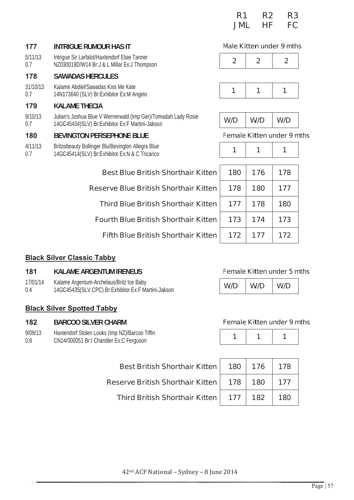| R <sub>1</sub> | R2 | R3        |
|----------------|----|-----------|
| JML            | НF | <b>FC</b> |

#### 177 **INTRIGUE RUMOUR HAS IT**

 $5/11/13$ Intrigue Sir Larfalot/Haxtendorf Elsie Tanner NZ030019D/W14 Br:J & L Millar Ex:J Thompson  $0.7$ 

#### 178 **SAWADAS HERCULES**

Kalame Abdiel/Sawadas Kiss Me Kate 31/10/13 14N173640 (SLV) Br: Exhibitor Ex: M Angelo  $0.7$ 

#### 179 **KALAME THECIA**

 $9/10/13$ Julian's Joshua Blue V Wernerwald (Imp Ger)/Tomadah Lady Rosie 14GC45434)SLV) Br:Exhibitor Ex:F Martini-Jakson  $0.7$ 

#### 180 **BEVINGTON PERSEPHONE BLUE**

- $4/11/13$ Britzobeauty Bollinger Blu/Bevington Allegra Blue
- 14GC45414(SLV) Br:Exhibitor Ex:N & C Tricarico  $0.7$

#### Male Kitten under 9 mths



#### Female Kitten under 9 mths

| linger Blu/Bevington Allegra Blue<br>/) Br: Exhibitor Ex: N & C Tricarico | 1   | 1   | 1   |  |
|---------------------------------------------------------------------------|-----|-----|-----|--|
|                                                                           |     |     |     |  |
| <b>Best Blue British Shorthair Kitten</b>                                 | 180 | 176 | 178 |  |
| <b>Reserve Blue British Shorthair Kitten</b>                              | 178 | 180 | 177 |  |
| <b>Third Blue British Shorthair Kitten</b>                                | 177 | 178 | 180 |  |
| <b>Fourth Blue British Shorthair Kitten</b>                               | 173 | 174 | 173 |  |
| <b>Fifth Blue British Shorthair Kitten</b>                                | 172 | 177 | 172 |  |
|                                                                           |     |     |     |  |

## **Black Silver Classic Tabby**

#### 181 **KAI AMF ARGENTUM IRENEUS**

- 17/01/14 Kalame Argentum-Archelaus/Britz Ice Baby
- $0.4$ 14GC45435(SLV CPC) Br:Exhibitor Ex:F Martini-Jakson

#### **Black Silver Spotted Tabby**

#### 182 **BARCOO SILVER CHARM**

#### $9/09/13$ Haxtendorf Stolen Looks (Imp NZ)/Barcoo Tiffin  $0.8$ CN14/000051 Br:I Chandler Ex:C Ferguson

#### **Female Kitten under 5 mths**

#### Female Kitten under 9 mths

| Best British Shorthair Kitten   180   176   178                                         |  |  |
|-----------------------------------------------------------------------------------------|--|--|
| $\,$ ierve British Shorthair Kitten $\vert$ $\,$ 178 $\vert$ 180 $\,$ $\vert$ 177       |  |  |
| <code>Third</code> British Shorthair Kitten $\vert$ $\vert$ 177 $\vert$ 182 $\vert$ 180 |  |  |

**Reserve British Shorthair**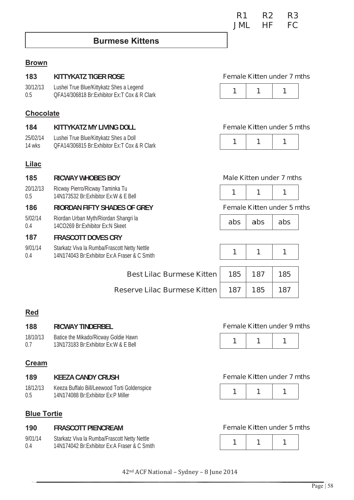$\overline{\mathbf{1}}$ 

# Female Kitten under 7 mths

**Female Kitten under 9 mths** 

 $\overline{\mathbf{1}}$ 

 $\overline{\mathbf{1}}$ 

|--|

### Female Kitten under 5 mths

# **Brown**

#### 183 KITTYKATZ TIGFR ROSF  $30/12/13$ Lushei True Blue/Kittykatz Shes a Legend  $\overline{\mathbf{1}}$  $\overline{\mathbf{1}}$  $\overline{\mathbf{1}}$ OFA14/306818 Br:Exhibitor Ex:T Cox & R Clark  $0.5$ **Chocolate** 184 KITTYKATZ MY I IVING DOLL 25/02/14 Lushei True Blue/Kittykatz Shes a Doll  $\overline{\mathbf{1}}$ 1 1 OFA14/306815 Br Exhibitor Ex T Cox & R Clark  $14$  wks **Lilac** Male Kitten under 7 mths 185 **RICWAY WHOBES BOY**  $20/12/13$ Ricway Pierro/Ricway Taminka Tu  $\mathbf{1}$  $\mathbf{1}$ 1 14N173532 Br:Exhibitor Ex: W & E Bell  $0.5$ 186 **RIORDAN FIFTY SHADES OF GREY**  $5/02/14$ Riordan Urban Myth/Riordan Shangri la abs abs abs 14CO269 Br: Exhibitor Ex: N Skeet  $0<sub>4</sub>$ 187 **FRASCOTT DOVES CRY**  $9/01/14$ Starkatz Viva la Rumba/Frascott Netty Nettle

**Best Lilac Burmese Kitten** 

**Reserve Lilac Burmese Kitten** 

14N174043 Br:Exhibitor Ex:A Fraser & C Smith  $0.4$ 

#### **Female Kitten under 7 mths**

 $R2$ 

HF.

 $R<sub>3</sub>$ 

FC.

 $R<sub>1</sub>$ 

**IML** 

### **Female Kitten under 5 mths**

#### **Female Kitten under 5 mths**

| 185 | 187 | 185 |
|-----|-----|-----|
| 187 | 185 | 187 |

# **Red**

#### 188 **DICWAY TINDEDREI**

| .        | INSTER THREENDE                      |
|----------|--------------------------------------|
| 18/10/13 | Batice the Mikado/Ricway Goldie Hawn |

13N173183 Br:Exhibitor Ex: W & E Bell  $0.7$ 

### **Cream**

#### 189 **KFF7A CANDY CRUSH**

18/12/13 Keeza Buffalo Bill/Leewood Torti Goldenspice 14N174088 Br·Fxhibitor Fx·P Miller  $0.5$ 

## **Blue Tortie**

#### 190 **FRASCOTT PIENCREAM**

 $9/01/14$ Starkatz Viva la Rumba/Frascott Netty Nettle 14N174042 Br Exhibitor Ex A Fraser & C Smith  $0<sub>4</sub>$ 

#### 42<sup>nd</sup> ACF National - Sydney - 8 June 2014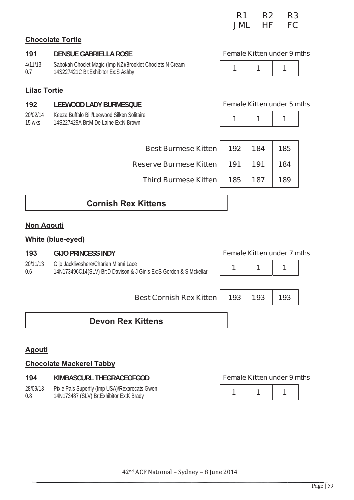| R <sub>1</sub> | R2 | R3 |
|----------------|----|----|
| <b>JML</b>     | НF | FC |

### **Chocolate Tortie**

#### 191 **DENSUE GABRIELLA ROSE**

| 4/11/13 | Sabokah Choclet Magic (Imp NZ)/Brooklet Choclets N Cream |
|---------|----------------------------------------------------------|
| 0.7     | 14S227421C Br: Exhibitor Ex: S Ashby                     |

### **Lilac Tortie**

#### 192 **LEEWOOD LADY BURMESOUE**

20/02/14 Keeza Buffalo Bill/Leewood Silken Solitaire  $15$  wks 14S227429A Br:M De Laine Fx:N Brown

#### **Female Kitten under 9 mths**



#### Female Kitten under 5 mths

| Best Burmese Kitten   192   184 |     | 185 |
|---------------------------------|-----|-----|
| Reserve Burmese Kitten   191    | 191 | 184 |
| Third Burmese Kitten   185      | 187 | 189 |

## **Cornish Rex Kittens**

### **Non Agouti**

#### **White (blue-eyed)**

| 193      | <b>GIJO PRINCESS INDY</b>                                         |
|----------|-------------------------------------------------------------------|
| 20/11/13 | Gijo Jackliveshere/Charian Miami Lace                             |
| 0.6      | 14N173496C14(SLV) Br:D Davison & J Ginis Ex:S Gordon & S Mckellar |



**Best Cornish Rex Kitten** 193 193 193 **Devon Rex Kittens** 

### Agouti

#### **Chocolate Mackerel Tabby**

Pixie Pals Superfly (Imp USA)/Rexarecats Gwen 28/09/13 14N173487 (SLV) Br: Exhibitor Ex: K Brady  $0.8$ 

#### **Female Kitten under 9 mths**

|--|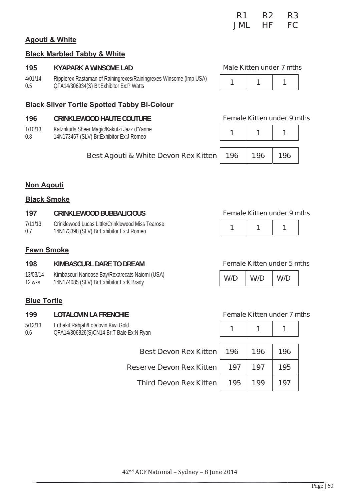| 42 <sup>nd</sup> ACF National - Sydney - 8 June 2014 |  |
|------------------------------------------------------|--|
|                                                      |  |

#### **Agouti & White**

#### **Black Marbled Tabby & White**

#### 195 **KYAPARK A WINSOME LAD**

 $4/01/14$ Ripplerex Rastaman of Rainingrexes/Rainingrexes Winsome (Imp USA) QFA14/306934(S) Br:Exhibitor Ex:P Watts  $0.5$ 

#### **Black Silver Tortie Spotted Tabby Bi-Colour**

#### 196 **CRINKLEWOOD HAUTE COUTURE**

- $1/10/13$ Katznkurls Sheer Magic/Kakutzi Jazz d'Yanne
- 14N173457 (SLV) Br:Exhibitor Ex:J Romeo  $0.8$

# Best Agouti & White Devon Rex Kitten

### **Non Agouti**

#### **Black Smoke**

| 197     | <b>CRINKLEWOOD BUBBALICIOUS</b>                   |
|---------|---------------------------------------------------|
| 7/11/13 | Crinklewood Lucas Little/Crinklewood Miss Tearose |
| 0.7     | 14N173398 (SLV) Br: Exhibitor Ex: J Romeo         |

#### **Fawn Smoke**

| 198      | KIMBASCURL DARE TO DREAM                     |
|----------|----------------------------------------------|
| 13/03/14 | Kimbascurl Nanoose Bay/Rexarecats Naiomi (US |
| 12 wks   | 14N174085 (SLV) Br: Exhibitor Ex: K Brady    |

#### **Blue Tortie**

#### 199 **LOTALOVIN LA FRENCHIE**

 $5/12/13$ Erthakit Rahjah/Lotalovin Kiwi Gold QFA14/306826(S)CN14 Br:T Bale Ex:N Ryan  $0.6$ 

SA) 14N174085 (SLV) Br: Exhibitor Ex: K Brady

**Best Devon Rex** 

**Third Devon Rex** 

Reserve Devon Rex

Female Kitten under 5 mths

**Female Kitten under 9 mths** 

 $\overline{1}$ 

 $W/D$ 

1

 $W/D$ 

#### **Female Kitten under 7 mths**

| Kitten | 196 | 196 | 196 |
|--------|-----|-----|-----|
| Kitten | 197 | 197 | 195 |
| Kitten | 195 | 199 | 197 |



**Male Kitten under 7 mths** 

 $\overline{\mathbf{1}}$ 

 $\overline{1}$ 

 $\overline{1}$ 

 $\mathbf{1}$ 

 $W/D$ 

## **Female Kitten under 9 mths**

| 196 | 196 | 196 |
|-----|-----|-----|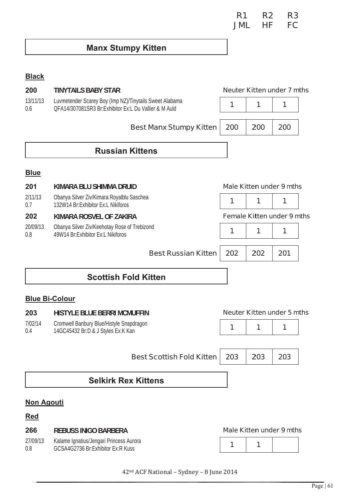| R <sub>1</sub> | R2 | R3 |
|----------------|----|----|
| <b>JML</b>     | ΗF | FC |

# **Manx Stumpy Kitten**

## **Black**

| 200               | <b>TINYTAILS BABY STAR</b>                                                                                       |     |     | <b>Neuter Kitten under 7 mths</b> |
|-------------------|------------------------------------------------------------------------------------------------------------------|-----|-----|-----------------------------------|
| 13/11/13<br>0.6   | Luvmetender Scarey Boy (Imp NZ)/Tinytails Sweet Alabama<br>QFA14/307081SR3 Br:Exhibitor Ex:L Du Vallier & M Auld | 1   | 1   | 1                                 |
|                   | <b>Best Manx Stumpy Kitten</b>                                                                                   | 200 | 200 | 200                               |
|                   | <b>Russian Kittens</b>                                                                                           |     |     |                                   |
| <b>Blue</b>       |                                                                                                                  |     |     |                                   |
| 201               | KIMARA BLU SHIMMA DRUID                                                                                          |     |     | <b>Male Kitten under 9 mths</b>   |
| 2/11/13<br>0.7    | Obanya Silver Ziv/Kimara Royalblu Saschea<br>132W14 Br: Exhibitor Ex: L Nikiforos                                | 1   | 1   | 1                                 |
| 202               | KIMARA ROSVEL OF ZAKIRA                                                                                          |     |     | <b>Female Kitten under 9 mths</b> |
| 20/09/13<br>0.8   | Obanya Silver Ziv/Keehotay Rose of Trebizond<br>49W14 Br:Exhibitor Ex:L Nikiforos                                | 1   | 1   | 1                                 |
|                   | <b>Best Russian Kitten</b>                                                                                       | 202 | 202 | 201                               |
|                   | <b>Scottish Fold Kitten</b>                                                                                      |     |     |                                   |
|                   | <b>Blue Bi-Colour</b>                                                                                            |     |     |                                   |
| 203               | <b>HISTYLE BLUE BERRI MCMUFFIN</b>                                                                               |     |     | <b>Neuter Kitten under 5 mths</b> |
| 7/02/14<br>0.4    | Cromwell Banbury Blue/Histyle Snapdragon<br>14GC45432 Br:D & J Styles Ex:K Kan                                   | 1   | 1   | 1                                 |
|                   | <b>Best Scottish Fold Kitten</b>                                                                                 | 203 | 203 | 203                               |
|                   | <b>Selkirk Rex Kittens</b>                                                                                       |     |     |                                   |
| <b>Non Agouti</b> |                                                                                                                  |     |     |                                   |
| <u>Red</u>        |                                                                                                                  |     |     |                                   |
| 266               | <b>REBUSS INIGO BARBERA</b>                                                                                      |     |     | <b>Male Kitten under 9 mths</b>   |
| 27/09/13<br>0.8   | Kalame Ignatius/Jengari Princess Aurora<br>GCSA4G2736 Br:Exhibitor Ex:R Kuss                                     | 1   | 1   |                                   |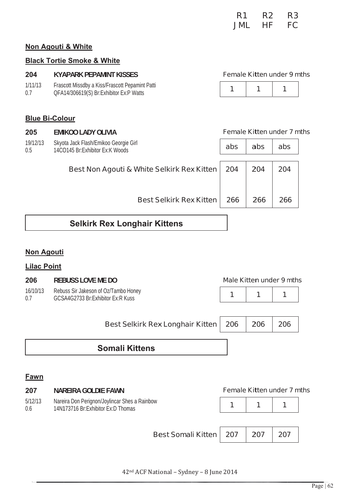| R1         | R2 | R3        |
|------------|----|-----------|
| <b>JML</b> | НF | <b>FC</b> |

#### Non Agouti & White

#### **Black Tortie Smoke & White**

#### **Female Kitten under 9 mths** 204 **KYAPARK PEPAMINT KISSES** nomint Patti  $\overline{A}$ Eraccott Micedby a Kice/Eraccott Dou

| 1/11/13 | Frascou Missuby a Kiss/Frascou Pepamini Pat |
|---------|---------------------------------------------|
| 0.7     | QFA14/306619(S) Br:Exhibitor Ex:P Watts     |

|--|--|--|--|

#### **Blue Bi-Colour**

205 **EMIKOO LADY OLIVIA Female Kitten under 7 mths** 19/12/13 Skyota Jack Flash/Emikoo Georgie Girl abs abs abs 14CO145 Br:Exhibitor Ex:K Woods  $0.5$ Best Non Agouti & White Selkirk Rex Kitten 204 204 204 **Best Selkirk Rex Kitten** 266 266 266

## **Selkirk Rex Longhair Kittens**

#### **Non Agouti**

#### **Lilac Point**

| 206             | <b>REBUSS LOVE ME DO</b>                                                  | <b>Male Kitten under 9 mths</b> |  |
|-----------------|---------------------------------------------------------------------------|---------------------------------|--|
| 16/10/13<br>0 7 | Rebuss Sir Jakeson of Oz/Tambo Honey<br>GCSA4G2733 Br:Exhibitor Ex:R Kuss | $1 \quad 1$                     |  |

| Best Selkirk Rex Longhair Kitten   206   206   206 |  |  |
|----------------------------------------------------|--|--|
|                                                    |  |  |

## **Somali Kittens**

#### Fawn

| 207            | NAREIRA GOLDIE FAWN                                                                   |  |     | <b>Female Kitten under 7 mths</b> |  |
|----------------|---------------------------------------------------------------------------------------|--|-----|-----------------------------------|--|
| 5/12/13<br>0.6 | Nareira Don Perignon/Joylincar Shes a Rainbow<br>14N173716 Br: Exhibitor Ex: D Thomas |  |     |                                   |  |
|                | <b>Best Somali Kitten   207</b>                                                       |  | 207 | 207                               |  |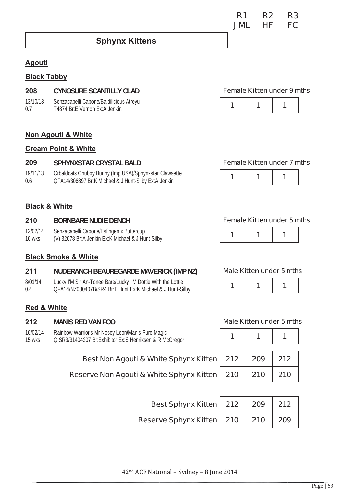## **Sphynx Kittens**

#### **Agouti**

#### **Black Tabby**

#### 208 **CYNOSURE SCANTILLY CLAD**

13/10/13 Senzacapelli Capone/Baldilicious Atreyu T4874 Br F Vernon Fx A Jenkin  $07$ 

#### Non Agouti & White

#### **Cream Point & White**

#### 209 SPHYNXSTAR CRYSTAL BALD

19/11/13 Crbaldcats Chubby Bunny (Imp USA)/Sphynxstar Clawsette  $0<sub>b</sub>$ OFA14/306897 Br:K Michael & J Hunt-Silby Ex:A Jenkin

#### Female Kitten under 7 mths

Female Kitten under 9 mths

1

 $\overline{1}$ 

1

1



#### **Black & White**

#### 210 **BORNBARE NUDIE DENCH**

- 12/02/14 Senzacapelli Capone/Esfingemx Buttercup
- $16$  wks (V) 32678 Br:A Jenkin Ex:K Michael & J Hunt-Silby

#### **Black Smoke & White**

#### $211$ NUDERANCH BEAUREGARDE MAVERICK (IMP NZ)

- 8/01/14 Lucky I'M Sir An-Tonee Bare/Lucky I'M Dottie With the Lottie
- QFA14/NZ030407B/SR4 Br:T Hunt Ex:K Michael & J Hunt-Silby  $0<sub>4</sub>$

#### **Red & White**

#### 212 **MANIS RED VAN FOO**

- 16/02/14 Rainbow Warrior's Mr Nosey Leon/Manis Pure Magic
- QISR3/31404207 Br:Exhibitor Ex:S Henriksen & R McGregor 15 wks

#### Best Non Agouti & White Sphynx Kitten

Reserve Non Agouti & White Sphynx Kitten

| Best Sphynx Kitten   212   209   212 |  |             |
|--------------------------------------|--|-------------|
| Reserve Sphynx Kitten   210   210    |  | $\vert$ 209 |

Male Kitten under 5 mths  $\mathbf{1}$ 1 1

#### **Male Kitten under 5 mths**

| 212 | 209 | 212 |
|-----|-----|-----|
| 210 | 210 | 210 |

| R <sub>1</sub> | R2 | R3 |
|----------------|----|----|
| <b>JML</b>     | НF | FC |

**Female Kitten under 5 mths** 

1

 $\mathbf 1$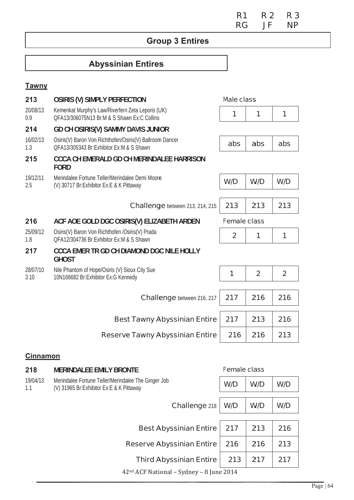**R1 R3 R2 RG NP JF** 

# **Group 3 Entires**

# **Abyssinian Entires**

## **Tawny**

| 213              | <b>OSIRIS (V) SIMPLY PERFECTION</b>                                                                  | <b>Male class</b>   |                |                |
|------------------|------------------------------------------------------------------------------------------------------|---------------------|----------------|----------------|
| 20/08/13<br>0.9  | Kemenkat Murphy's Law/Riverfern Zeta Leporis (UK)<br>QFA13/306075N13 Br:M & S Shawn Ex:C Collins     | 1                   | 1              | 1              |
| 214              | <b>GD CH OSIRIS(V) SAMMY DAVIS JUNIOR</b>                                                            |                     |                |                |
| 16/02/13<br>1.3  | Osiris(V) Baron Von Richthofen/Osiris(V) Ballroom Dancer<br>OFA13/305343 Br:Exhibitor Ex:M & S Shawn | abs                 | abs            | abs            |
| 215              | <b>CCCA CH EMERALD GD CH MERINDALEE HARRISON</b><br><b>FORD</b>                                      |                     |                |                |
| 19/12/11<br>2.5  | Merindalee Fortune Teller/Merindalee Demi Moore<br>(V) 30717 Br: Exhibitor Ex: E & K Pittaway        | W/D                 | W/D            | W/D            |
|                  |                                                                                                      |                     |                |                |
|                  | <b>Challenge</b> between 213, 214, 215                                                               | 213                 | 213            | 213            |
| 216              | ACF AOE GOLD DGC OSIRIS(V) ELIZABETH ARDEN                                                           | <b>Female class</b> |                |                |
| 25/09/12<br>1.8  | Osiris(V) Baron Von Richthofen /Osiris(V) Prada<br>OFA12/304736 Br:Exhibitor Ex:M & S Shawn          | $\overline{2}$      | 1              | 1              |
| 217              | <b>CCCA EMER TR GD CH DIAMOND DGC NILE HOLLY</b><br><b>GHOST</b>                                     |                     |                |                |
| 28/07/10<br>3.10 | Nile Phantom of Hope/Osiris (V) Sioux City Sue<br>10N166682 Br:Exhibitor Ex:G Kennedy                | 1                   | $\overline{2}$ | $\overline{2}$ |
|                  |                                                                                                      |                     |                |                |
|                  | <b>Challenge</b> between 216, 217                                                                    | 217                 | 216            | 216            |
|                  | <b>Best Tawny Abyssinian Entire</b>                                                                  | 217                 | 213            | 216            |
|                  | <b>Reserve Tawny Abyssinian Entire</b>                                                               | 216                 | 216            | 213            |
| <b>Cinnamon</b>  |                                                                                                      |                     |                |                |
| 218              | MEDINDALEE EMILY RDONTE                                                                              | <b>Famala class</b> |                |                |

| 2 I O           | <b>WENDALL LIVILI DRUNIL</b>                                                                      |     | ו פווופופ טופוסט |     |
|-----------------|---------------------------------------------------------------------------------------------------|-----|------------------|-----|
| 19/04/13<br>1.1 | Merindalee Fortune Teller/Merindalee The Ginger Job<br>(V) 31965 Br: Exhibitor Ex: E & K Pittaway | W/D | W/D              | W/D |
|                 | Challenge 218                                                                                     | W/D | W/D              | W/D |
|                 | <b>Best Abyssinian Entire</b>                                                                     |     | 213              | 216 |
|                 | <b>Reserve Abyssinian Entire</b>                                                                  | 216 | 216              | 213 |
|                 | <b>Third Abyssinian Entire</b>                                                                    | 213 | 217              | 217 |
|                 | 42 <sup>nd</sup> ACF National – Sydney – 8 June 2014                                              |     |                  |     |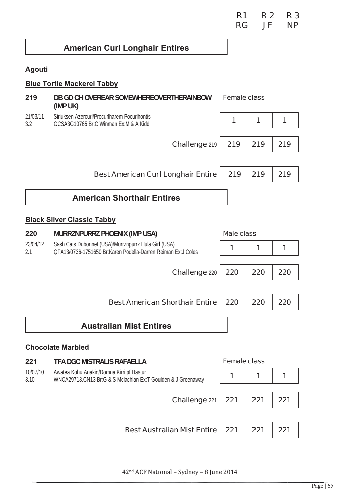| R <sub>1</sub> | <b>R2</b> | R <sub>3</sub> |
|----------------|-----------|----------------|
| <b>RG</b>      | JF        | <b>NP</b>      |

# **American Curl Longhair Entires**

## **Agouti**

## **Blue Tortie Mackerel Tabby**

| 219              | DB GD CH OVEREAR SOMEWHEREOVERTHERAINBOW<br>(IMP UK)                                                                 | <b>Female class</b> |     |     |
|------------------|----------------------------------------------------------------------------------------------------------------------|---------------------|-----|-----|
| 21/03/11<br>3.2  | Siriuksen Azercurl/Procurlharem Pocurlhontis<br>GCSA3G10765 Br:C Winman Ex:M & A Kidd                                | 1                   | 1   | 1   |
|                  | Challenge 219                                                                                                        | 219                 | 219 | 219 |
|                  |                                                                                                                      |                     |     |     |
|                  | <b>Best American Curl Longhair Entire</b>                                                                            | 219                 | 219 | 219 |
|                  | <b>American Shorthair Entires</b>                                                                                    |                     |     |     |
|                  | <b>Black Silver Classic Tabby</b>                                                                                    |                     |     |     |
| 220              | <b>MURRZNPURRZ PHOENIX (IMP USA)</b>                                                                                 | <b>Male class</b>   |     |     |
| 23/04/12<br>2.1  | Sash Cats Dubonnet (USA)/Murrznpurrz Hula Girl (USA)<br>QFA13/0736-1751650 Br:Karen Podella-Darren Reiman Ex:J Coles | 1                   | 1   | 1   |
|                  | <b>Challenge 220</b>                                                                                                 | 220                 | 220 | 220 |
|                  |                                                                                                                      |                     |     |     |
|                  | <b>Best American Shorthair Entire</b>                                                                                | 220                 | 220 | 220 |
|                  | <b>Australian Mist Entires</b>                                                                                       |                     |     |     |
|                  | <b>Chocolate Marbled</b>                                                                                             |                     |     |     |
| 221              | TFA DGC MISTRALIS RAFAELLA                                                                                           | <b>Female class</b> |     |     |
| 10/07/10<br>3.10 | Awatea Kohu Anakin/Domna Kirri of Hastur<br>WNCA29713.CN13 Br:G & S Mclachlan Ex:T Goulden & J Greenaway             | 1                   | 1   | 1   |
|                  |                                                                                                                      |                     |     |     |
|                  | Challenge 221                                                                                                        | 221                 | 221 | 221 |
|                  |                                                                                                                      |                     |     |     |
|                  | <b>Best Australian Mist Entire</b>                                                                                   | 221                 | 221 | 221 |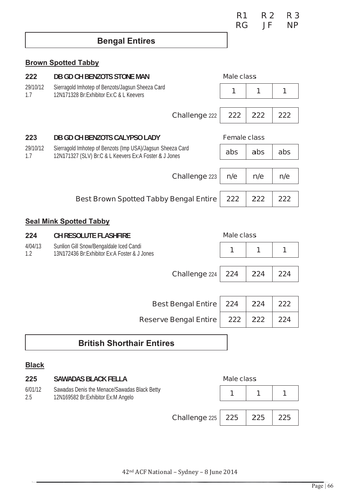| R <sub>1</sub> | <b>R2</b> | <b>R3</b> |
|----------------|-----------|-----------|
| <b>RG</b>      | JF        | <b>NP</b> |

## **Bengal Entires**

### **Brown Spotted Tabby**

| 222             | <b>DB GD CH BENZOTS STONE MAN</b>                                                                                    |                              | <b>Male class</b>   |     |     |
|-----------------|----------------------------------------------------------------------------------------------------------------------|------------------------------|---------------------|-----|-----|
| 29/10/12<br>1.7 | Sierragold Imhotep of Benzots/Jagsun Sheeza Card<br>12N171328 Br: Exhibitor Ex: C & L Keevers                        |                              | 1                   | 1   | 1   |
|                 |                                                                                                                      | <b>Challenge 222</b>         | 222                 | 222 | 222 |
| 223             | <b>DB GD CH BENZOTS CALYPSO LADY</b>                                                                                 |                              | <b>Female class</b> |     |     |
| 29/10/12<br>1.7 | Sierragold Imhotep of Benzots (Imp USA)/Jagsun Sheeza Card<br>12N171327 (SLV) Br:C & L Keevers Ex:A Foster & J Jones |                              | abs                 | abs | abs |
|                 |                                                                                                                      |                              |                     |     |     |
|                 |                                                                                                                      | Challenge 223                | n/e                 | n/e | n/e |
|                 | <b>Best Brown Spotted Tabby Bengal Entire</b>                                                                        |                              | 222                 | 222 | 222 |
|                 | <b>Seal Mink Spotted Tabby</b>                                                                                       |                              |                     |     |     |
| 224             | <b>CH RESOLUTE FLASHFIRE</b>                                                                                         |                              | <b>Male class</b>   |     |     |
| 4/04/13<br>1.2  | Sunlion Gill Snow/Bengaldale Iced Candi<br>13N172436 Br:Exhibitor Ex:A Foster & J Jones                              |                              | 1                   | 1   | 1   |
|                 |                                                                                                                      | Challenge 224                | 224                 | 224 | 224 |
|                 |                                                                                                                      |                              |                     |     |     |
|                 |                                                                                                                      | <b>Best Bengal Entire</b>    | 224                 | 224 | 222 |
|                 |                                                                                                                      | <b>Reserve Bengal Entire</b> | 222                 | 222 | 224 |

## **British Shorthair Entires**

#### **Black**

| 225            | <b>SAWADAS BLACK FELLA</b>                                                         |                              | <b>Male class</b> |     |     |
|----------------|------------------------------------------------------------------------------------|------------------------------|-------------------|-----|-----|
| 6/01/12<br>2.5 | Sawadas Denis the Menace/Sawadas Black Betty<br>12N169582 Br:Exhibitor Ex:M Angelo |                              |                   |     |     |
|                |                                                                                    | <b>Challenge</b> $225$   225 |                   | 225 | 225 |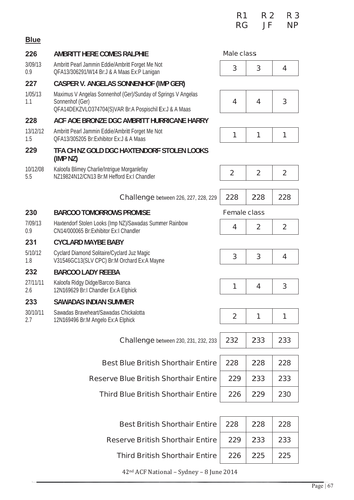|                 |                                                                                                                                            | R <sub>1</sub><br><b>RG</b> | <b>R2</b><br>JF | R <sub>3</sub><br><b>NP</b> |
|-----------------|--------------------------------------------------------------------------------------------------------------------------------------------|-----------------------------|-----------------|-----------------------------|
| <b>Blue</b>     |                                                                                                                                            |                             |                 |                             |
| 226             | <b>AMBRITT HERE COMES RALPHIE</b>                                                                                                          | <b>Male class</b>           |                 |                             |
| 3/09/13<br>0.9  | Ambritt Pearl Jammin Eddie/Ambritt Forget Me Not<br>QFA13/306291/W14 Br:J & A Maas Ex:P Lanigan                                            | 3                           | 3               | $\overline{\mathbf{4}}$     |
| 227             | <b>CASPER V. ANGELAS SONNENHOF (IMP GER)</b>                                                                                               |                             |                 |                             |
| 1/05/13<br>1.1  | Maximus V Angelas Sonnenhof (Ger)/Sunday of Springs V Angelas<br>Sonnenhof (Ger)<br>QFA14DEKZVLO374704(S)VAR Br:A Pospischil Ex:J & A Maas | 4                           | 4               | 3                           |
| 228             | ACF AOE BRONZE DGC AMBRITT HURRICANE HARRY                                                                                                 |                             |                 |                             |
| 13/12/12<br>1.5 | Ambritt Pearl Jammin Eddie/Ambritt Forget Me Not<br>OFA13/305205 Br:Exhibitor Ex:J & A Maas                                                | 1                           | 1               | 1                           |
| 229             | TFA CH NZ GOLD DGC HAXTENDORF STOLEN LOOKS<br>(IMP <sub>NZ</sub> )                                                                         |                             |                 |                             |
| 10/12/08<br>5.5 | Kaloofa Blimey Charlie/Intrigue Morganlefay<br>NZ19824N12/CN13 Br:M Hefford Ex:I Chandler                                                  | $\overline{2}$              | $\overline{2}$  | $\overline{2}$              |
|                 | <b>Challenge</b> between 226, 227, 228, 229                                                                                                | 228                         | 228             | 228                         |
| 230             | <b>BARCOO TOMORROWS PROMISE</b>                                                                                                            | <b>Female class</b>         |                 |                             |
| 7/09/13<br>0.9  | Haxtendorf Stolen Looks (Imp NZ)/Sawadas Summer Rainbow<br>CN14/000065 Br:Exhibitor Ex:I Chandler                                          | 4                           | $\mathbf{2}$    | $\overline{2}$              |
| 231             | <b>CYCLARD MAYBE BABY</b>                                                                                                                  |                             |                 |                             |
| 5/10/12<br>1.8  | Cyclard Diamond Solitaire/Cyclard Juz Magic<br>V31546GC13(SLV CPC) Br:M Orchard Ex:A Mayne                                                 | 3                           | 3               | 4                           |
| 232             | <b>BARCOO LADY REEBA</b>                                                                                                                   |                             |                 |                             |
| 27/11/11<br>2.6 | Kaloofa Ridgy Didge/Barcoo Bianca<br>12N169629 Br:I Chandler Ex:A Elphick                                                                  | 1                           | 4               | 3                           |
| 233             | <b>SAWADAS INDIAN SUMMER</b>                                                                                                               |                             |                 |                             |
| 30/10/11<br>2.7 | Sawadas Braveheart/Sawadas Chickalotta<br>12N169496 Br:M Angelo Ex:A Elphick                                                               | $\overline{2}$              | 1               | 1                           |
|                 | <b>Challenge</b> between 230, 231, 232, 233                                                                                                | 232                         | 233             | 233                         |
|                 | <b>Best Blue British Shorthair Entire</b>                                                                                                  | 228                         | 228             | 228                         |
|                 | <b>Reserve Blue British Shorthair Entire</b>                                                                                               | 229                         | 233             | 233                         |
|                 | <b>Third Blue British Shorthair Entire</b>                                                                                                 | 226                         | 229             | 230                         |
|                 |                                                                                                                                            |                             |                 |                             |
|                 | <b>Best British Shorthair Entire</b>                                                                                                       | 228                         | 228             | 228                         |
|                 | <b>Reserve British Shorthair Entire</b>                                                                                                    | 229                         | 233             | 233                         |

**Third British Shorthair Entire** 

| е | 229 | 233 | 233 |
|---|-----|-----|-----|
| е | 226 | 225 | 225 |
|   |     |     |     |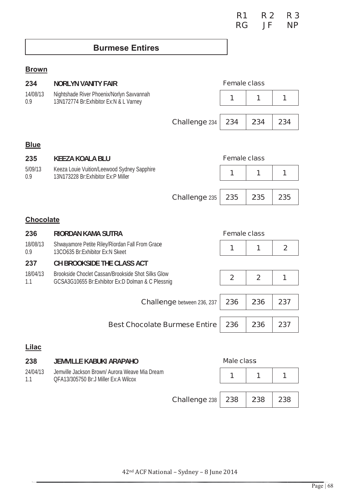## **Burmese Entires**

### **Brown**

| 234             | <b>NORLYN VANITY FAIR</b>                                                                               |                                   | <b>Female class</b> |                |                |
|-----------------|---------------------------------------------------------------------------------------------------------|-----------------------------------|---------------------|----------------|----------------|
| 14/08/13<br>0.9 | Nightshade River Phoenix/Norlyn Savvannah<br>13N172774 Br:Exhibitor Ex:N & L Varney                     |                                   | 1                   | 1              | 1              |
|                 |                                                                                                         |                                   |                     |                |                |
|                 |                                                                                                         | Challenge 234                     | 234                 | 234            | 234            |
| <b>Blue</b>     |                                                                                                         |                                   |                     |                |                |
| 235             | <b>KEEZA KOALA BLU</b>                                                                                  |                                   | <b>Female class</b> |                |                |
| 5/09/13<br>0.9  | Keeza Louie Vuition/Leewood Sydney Sapphire<br>13N173228 Br:Exhibitor Ex:P Miller                       |                                   | 1                   | 1              | 1              |
|                 |                                                                                                         |                                   |                     |                |                |
|                 |                                                                                                         | Challenge 235                     | 235                 | 235            | 235            |
|                 | <b>Chocolate</b>                                                                                        |                                   |                     |                |                |
| 236             | <b>RIORDAN KAMA SUTRA</b>                                                                               |                                   | <b>Female class</b> |                |                |
| 18/08/13<br>0.9 | Shwayamore Petite Riley/Riordan Fall From Grace<br>13CO635 Br:Exhibitor Ex:N Skeet                      |                                   | 1                   | 1              | $\overline{2}$ |
| 237             | CH BROOKSIDE THE CLASS ACT                                                                              |                                   |                     |                |                |
| 18/04/13<br>1.1 | Brookside Choclet Cassan/Brookside Shot Silks Glow<br>GCSA3G10655 Br:Exhibitor Ex:D Dolman & C Plessnig |                                   | $\overline{2}$      | $\overline{2}$ | 1              |
|                 |                                                                                                         |                                   |                     |                |                |
|                 |                                                                                                         | <b>Challenge</b> between 236, 237 | 236                 | 236            | 237            |
|                 |                                                                                                         |                                   |                     |                |                |
|                 | <b>Best Chocolate Burmese Entire</b>                                                                    |                                   | 236                 | 236            | 237            |
| <b>Lilac</b>    |                                                                                                         |                                   |                     |                |                |
| 238             | <b>JEMVILLE KABUKI ARAPAHO</b>                                                                          |                                   | <b>Male class</b>   |                |                |
| 24/04/13<br>1.1 | Jemville Jackson Brown/ Aurora Weave Mia Dream<br>QFA13/305750 Br:J Miller Ex:A Wilcox                  |                                   | 1                   | 1              | 1              |

238 **Challenge 238** 238 238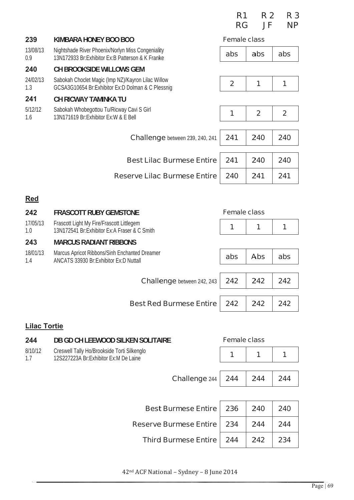|                     |                                                                                                         | R <sub>1</sub><br><b>RG</b> | <b>R2</b><br>JF | R 3<br><b>NP</b> |
|---------------------|---------------------------------------------------------------------------------------------------------|-----------------------------|-----------------|------------------|
| 239                 | KIMBARA HONEY BOO BOO                                                                                   | <b>Female class</b>         |                 |                  |
| 13/08/13<br>0.9     | Nightshade River Phoenix/Norlyn Miss Congeniality<br>13N172933 Br: Exhibitor Ex: B Patterson & K Franke | abs                         | abs             | abs              |
| 240                 | <b>CH BROOKSIDE WILLOWS GEM</b>                                                                         |                             |                 |                  |
| 24/02/13<br>1.3     | Sabokah Choclet Magic (Imp NZ)/Kayron Lilac Willow<br>GCSA3G10654 Br:Exhibitor Ex:D Dolman & C Plessnig | $\overline{2}$              | 1               | 1                |
| 241                 | <b>CH RICWAY TAMINKA TU</b>                                                                             |                             |                 |                  |
| 5/12/12<br>1.6      | Sabokah Whobegottou Tu/Ricway Cavi S Girl<br>13N171619 Br: Exhibitor Ex: W & E Bell                     | 1                           | $\overline{2}$  | $\overline{2}$   |
|                     | <b>Challenge</b> between 239, 240, 241                                                                  | 241                         | 240             | 240              |
|                     | <b>Best Lilac Burmese Entire</b>                                                                        | 241                         | 240             | 240              |
|                     |                                                                                                         |                             |                 |                  |
|                     | <b>Reserve Lilac Burmese Entire</b>                                                                     | 240                         | 241             | 241              |
| <u>Red</u>          |                                                                                                         |                             |                 |                  |
| 242                 | <b>FRASCOTT RUBY GEMSTONE</b>                                                                           | <b>Female class</b>         |                 |                  |
| 17/05/13<br>1.0     | Frascott Light My Fire/Frascott Littlegem<br>13N172541 Br: Exhibitor Ex: A Fraser & C Smith             | 1                           | 1               | 1                |
| 243                 | <b>MARCUS RADIANT RIBBONS</b>                                                                           |                             |                 |                  |
| 18/01/13<br>1.4     | Marcus Apricot Ribbons/Sinh Enchanted Dreamer<br>ANCATS 33930 Br: Exhibitor Ex: D Nuttall               | abs                         | <b>Abs</b>      | abs              |
|                     | <b>Challenge</b> between 242, 243                                                                       | 242                         | 242             | 242              |
|                     |                                                                                                         |                             |                 |                  |
|                     | <b>Best Red Burmese Entire</b>                                                                          | 242                         | 242             | 242              |
| <b>Lilac Tortie</b> |                                                                                                         |                             |                 |                  |

#### 244 DB GD CH LEEWOOD SILKEN SOLITAIRE **Female class** 8/10/12 Creswell Tally Ho/Brookside Torti Silkenglo  $\overline{1}$  $\overline{1}$  $\overline{1}$ 12S227223A Br:Exhibitor Ex:M De Laine  $1.7$ Challenge 244 244 244 244 **Best Burmese Entire** 236  $240$ 240 **Reserve Burmese Entire** 234 244 244 **Third Burmese Entire** 244 242 234

42<sup>nd</sup> ACF National - Sydney - 8 June 2014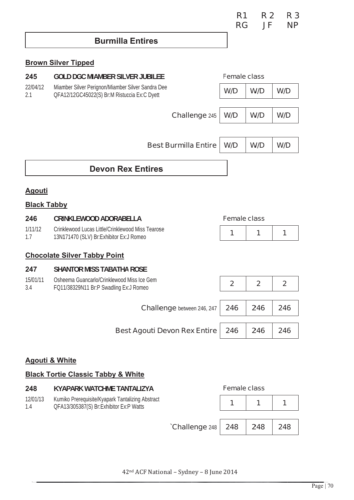| R <sub>1</sub> | R 2 | R 3       |
|----------------|-----|-----------|
| <b>RG</b>      | JF  | <b>NP</b> |

# **Burmilla Entires**

## **Brown Silver Tipped**

| 245                       | <b>GOLD DGC MIAMBER SILVER JUBILEE</b>                                                            |                                   | <b>Female class</b> |                |                |
|---------------------------|---------------------------------------------------------------------------------------------------|-----------------------------------|---------------------|----------------|----------------|
| 22/04/12<br>2.1           | Miamber Silver Perignon/Miamber Silver Sandra Dee<br>QFA12/12GC45022(S) Br:M Ristuccia Ex:C Dyett |                                   | W/D                 | W/D            | W/D            |
|                           |                                                                                                   |                                   |                     |                |                |
|                           |                                                                                                   | Challenge 245                     | W/D                 | W/D            | W/D            |
|                           |                                                                                                   |                                   |                     |                |                |
|                           |                                                                                                   | <b>Best Burmilla Entire</b>       | W/D                 | W/D            | W/D            |
|                           | <b>Devon Rex Entires</b>                                                                          |                                   |                     |                |                |
| <u>Agouti</u>             |                                                                                                   |                                   |                     |                |                |
| <b>Black Tabby</b>        |                                                                                                   |                                   |                     |                |                |
| 246                       | <b>CRINKLEWOOD ADORABELLA</b>                                                                     |                                   | <b>Female class</b> |                |                |
| 1/11/12<br>1.7            | Crinklewood Lucas Little/Crinklewood Miss Tearose<br>13N171470 (SLV) Br: Exhibitor Ex: J Romeo    |                                   | 1                   | 1              | 1              |
|                           | <b>Chocolate Silver Tabby Point</b>                                                               |                                   |                     |                |                |
| 247                       | <b>SHANTOR MISS TABATHA ROSE</b>                                                                  |                                   |                     |                |                |
| 15/01/11<br>3.4           | Osheema Guancarlo/Crinklewood Miss Ice Gem<br>FQ11/38329N11 Br:P Swadling Ex:J Romeo              |                                   | $\overline{2}$      | $\overline{2}$ | $\overline{2}$ |
|                           |                                                                                                   | <b>Challenge</b> between 246, 247 | 246                 | 246            | 246            |
|                           | <b>Best Agouti Devon Rex Entire</b>                                                               |                                   | 246                 | 246            | 246            |
| <b>Agouti &amp; White</b> | <b>Black Tortie Classic Tabby &amp; White</b>                                                     |                                   |                     |                |                |

| 248             | KYAPARK WATCHME TANTALIZYA                                                                  |                                   | <b>Female class</b> |     |     |
|-----------------|---------------------------------------------------------------------------------------------|-----------------------------------|---------------------|-----|-----|
| 12/01/13<br>1.4 | Kumiko Prerequisite/Kyapark Tantalizing Abstract<br>QFA13/305387(S) Br:Exhibitor Ex:P Watts |                                   |                     |     |     |
|                 |                                                                                             | $\textdegree$ Challenge 248   248 |                     | 248 | 248 |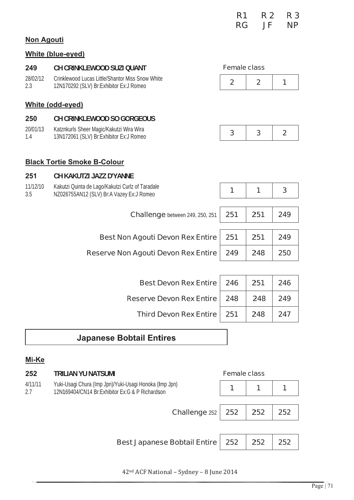| R <sub>1</sub> | <b>R2</b> | R 3       |
|----------------|-----------|-----------|
| <b>RG</b>      | JF        | <b>NP</b> |

#### **Non Agouti**

### **White (blue-eyed)**

| 249             | CH CRINKLEWOOD SUZI QUANT                                                                    |                     | <b>Female class</b> |                |  |
|-----------------|----------------------------------------------------------------------------------------------|---------------------|---------------------|----------------|--|
| 28/02/12<br>2.3 | Crinklewood Lucas Little/Shantor Miss Snow White<br>12N170292 (SLV) Br:Exhibitor Ex:J Romeo  | $\overline{2}$      | $\overline{2}$      | 1              |  |
|                 | <b>White (odd-eyed)</b>                                                                      |                     |                     |                |  |
| 250             | <b>CH CRINKLEWOOD SO GORGEOUS</b>                                                            |                     |                     |                |  |
| 20/01/13<br>1.4 | Katznkurls Sheer Magic/Kakutzi Wira Wira<br>13N172061 (SLV) Br: Exhibitor Ex: J Romeo        | 3                   | 3                   | $\overline{2}$ |  |
|                 |                                                                                              |                     |                     |                |  |
|                 | <b>Black Tortie Smoke B-Colour</b>                                                           |                     |                     |                |  |
| 251             | CH KAKUTZI JAZZ D'YANNE                                                                      |                     |                     |                |  |
| 11/12/10<br>3.5 | Kakutzi Quinta de Lago/Kakutzi Curlz of Taradale<br>NZ026755AN12 (SLV) Br:A Vazey Ex:J Romeo | 1                   | 1                   | 3              |  |
|                 |                                                                                              |                     |                     |                |  |
|                 | <b>Challenge</b> between 249, 250, 251                                                       | 251                 | 251                 | 249            |  |
|                 |                                                                                              |                     |                     |                |  |
|                 | <b>Best Non Agouti Devon Rex Entire</b>                                                      | 251                 | 251                 | 249            |  |
|                 | <b>Reserve Non Agouti Devon Rex Entire</b>                                                   | 249                 | 248                 | 250            |  |
|                 |                                                                                              |                     |                     |                |  |
|                 | <b>Best Devon Rex Entire</b>                                                                 | 246                 | 251                 | 246            |  |
|                 | <b>Reserve Devon Rex Entire</b>                                                              | 248                 | 248                 | 249            |  |
|                 | <b>Third Devon Rex Entire</b>                                                                | 251                 | 248                 | 247            |  |
|                 | <b>Japanese Bobtail Entires</b>                                                              |                     |                     |                |  |
|                 |                                                                                              |                     |                     |                |  |
| Mi-Ke           |                                                                                              |                     |                     |                |  |
| 252             | <b>TRILIAN YU NATSUMI</b>                                                                    | <b>Female class</b> |                     |                |  |

Yuki-Usagi Chura (Imp Jpn)/Yuki-Usagi Honoka (Imp Jpn)<br>12N169404/CN14 Br:Exhibitor Ex:G & P Richardson  $4/11/11$  $2.7$ 

|--|

| <b>Challenge 252   252   252   252</b>         |  |  |
|------------------------------------------------|--|--|
|                                                |  |  |
| Best Japanese Bobtail Entire   252   252   252 |  |  |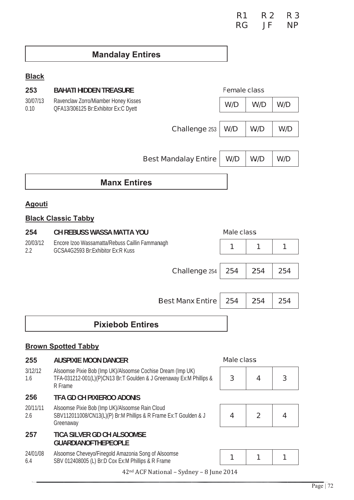# **Mandalay Entires**

# **Black**

| 253              | <b>BAHATI HIDDEN TREASURE</b>                                                |                             | <b>Female class</b> |     |     |
|------------------|------------------------------------------------------------------------------|-----------------------------|---------------------|-----|-----|
| 30/07/13<br>0.10 | Ravenclaw Zorro/Miamber Honey Kisses<br>QFA13/306125 Br:Exhibitor Ex:C Dyett |                             | W/D                 | W/D | W/D |
|                  |                                                                              |                             |                     |     |     |
|                  |                                                                              | Challenge 253               | W/D                 | W/D | W/D |
|                  |                                                                              |                             |                     |     |     |
|                  |                                                                              | <b>Best Mandalay Entire</b> | W/D                 | W/D | W/D |
|                  |                                                                              |                             |                     |     |     |
|                  | <b>Manx Entires</b>                                                          |                             |                     |     |     |
|                  |                                                                              |                             |                     |     |     |

## **Agouti**

## **Black Classic Tabby**

| 254             | <b>CH REBUSS WASSA MATTA YOU</b>                                                                                                              | <b>Male class</b> |                |     |
|-----------------|-----------------------------------------------------------------------------------------------------------------------------------------------|-------------------|----------------|-----|
| 20/03/12<br>2.2 | Encore Izoo Wassamatta/Rebuss Caillin Fammanagh<br>GCSA4G2593 Br:Exhibitor Ex:R Kuss                                                          | 1                 | 1              | 1   |
|                 | <b>Challenge 254</b>                                                                                                                          | 254               | 254            | 254 |
|                 | <b>Best Manx Entire</b>                                                                                                                       | 254               | 254            | 254 |
|                 | <b>Pixiebob Entires</b>                                                                                                                       |                   |                |     |
|                 | <b>Brown Spotted Tabby</b>                                                                                                                    |                   |                |     |
| 255             | <b>AUSPIXIE MOON DANCER</b>                                                                                                                   | <b>Male class</b> |                |     |
|                 |                                                                                                                                               |                   |                |     |
| 3/12/12<br>1.6  | Alsoomse Pixie Bob (Imp UK)/Alsoomse Cochise Dream (Imp UK)<br>TFA-031212-001(L)(P)CN13 Br:T Goulden & J Greenaway Ex:M Phillips &<br>R Frame | 3                 | 4              | 3   |
| 256             | <b>TFA GD CH PIXIEROO ADONIS</b>                                                                                                              |                   |                |     |
| 20/11/11<br>2.6 | Alsoomse Pixie Bob (Imp UK)/Alsoomse Rain Cloud<br>SBV112011008/CN13(L)(P) Br:M Phillips & R Frame Ex:T Goulden & J<br>Greenaway              | 4                 | $\overline{2}$ | 4   |
| 257             | <b>TICA SILVER GD CH ALSOOMSE</b><br><b>GUARDIANOFTHEPEOPLE</b>                                                                               |                   |                |     |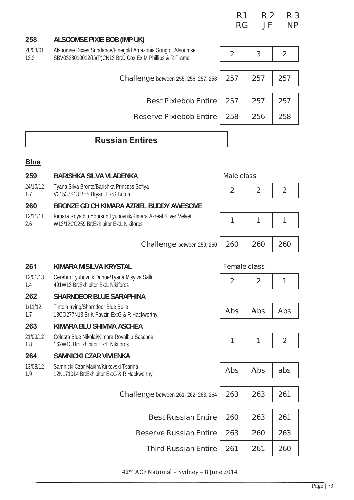|                  |                                                                                                                         | R <sub>1</sub><br><b>RG</b> | <b>R2</b><br>JF | R <sub>3</sub><br><b>NP</b> |
|------------------|-------------------------------------------------------------------------------------------------------------------------|-----------------------------|-----------------|-----------------------------|
| 258              | <b>ALSOOMSE PIXIE BOB (IMP UK)</b>                                                                                      |                             |                 |                             |
| 28/03/01<br>13.2 | Alsoomse Dixies Sundance/Finegold Amazonia Song of Alsoomse<br>SBV0328010012(L)(P)CN13 Br:D Cox Ex:M Phillips & R Frame | $\overline{2}$              | 3               | $\overline{2}$              |
|                  | <b>Challenge</b> between 255, 256, 257, 258                                                                             | 257                         | 257             | 257                         |
|                  | <b>Best Pixiebob Entire</b>                                                                                             | 257                         | 257             | 257                         |
|                  | <b>Reserve Pixiebob Entire</b>                                                                                          | 258                         | 256             | 258                         |
|                  | <b>Russian Entires</b>                                                                                                  |                             |                 |                             |
| <b>Blue</b>      |                                                                                                                         |                             |                 |                             |
| 259              | <b>BARISHKA SILVA VLADENKA</b>                                                                                          | <b>Male class</b>           |                 |                             |
| 24/10/12<br>1.7  | Tyana Silva Bronte/Barishka Princess Sofiya<br>V31537S13 Br:S Bryant Ex:S Briton                                        | $\mathbf{2}$                | $\mathbf{2}$    | $\mathbf{2}$                |
| 260              | BRONZE GD CH KIMARA AZRIEL BUDDY AWESOME                                                                                |                             |                 |                             |
| 12/11/11<br>2.6  | Kimara Royalblu Yoursun Lyubovnik/Kimara Azreal Silver Velvet<br>W13/12CO259 Br:Exhibitor Ex:L Nikiforos                | 1                           | 1               | 1                           |
|                  | <b>Challenge</b> between 259, 260                                                                                       | 260                         | 260             | 260                         |
| 261              | KIMARA MISILVA KRYSTAL                                                                                                  | <b>Female class</b>         |                 |                             |
| 12/01/13<br>1.4  | Cerebro Lyubovnik Dunoe/Tyana Misylva Salli<br>491W13 Br: Exhibitor Ex: L Nikiforos                                     | $\overline{2}$              | $\overline{2}$  | 1                           |
| 262              | <b>SHARNDEOR BLUE SARAPHINA</b>                                                                                         |                             |                 |                             |
| 1/11/12<br>1.7   | Tintola Irving/Sharndeor Blue Belle<br>13CO277N13 Br:K Pavzin Ex:G & R Hackworthy                                       | <b>Abs</b>                  | <b>Abs</b>      | <b>Abs</b>                  |
| 263              | KIMARA BLU SHIMMA ASCHEA                                                                                                |                             |                 |                             |
| 21/09/12<br>1.8  | Celesta Blue Nikolai/Kimara Royalblu Saschea<br>162W13 Br: Exhibitor Ex: L Nikiforos                                    | 1                           | 1               | $\overline{2}$              |
| 264              | <b>SAMNICKI CZAR VIVIENKA</b>                                                                                           |                             |                 |                             |
| 13/08/12<br>1.9  | Samnicki Czar Maxim/Kirkovski Tsarina<br>12N171014 Br: Exhibitor Ex: G & R Hackworthy                                   | <b>Abs</b>                  | <b>Abs</b>      | abs                         |
|                  | <b>Challenge</b> between 261, 262, 263, 264                                                                             | 263                         | 263             | 261                         |
|                  | <b>Best Russian Entire</b>                                                                                              | 260                         | 263             | 261                         |
|                  | <b>Reserve Russian Entire</b>                                                                                           | 263                         | 260             | 263                         |
|                  | <b>Third Russian Entire</b>                                                                                             | 261                         | 261             | 260                         |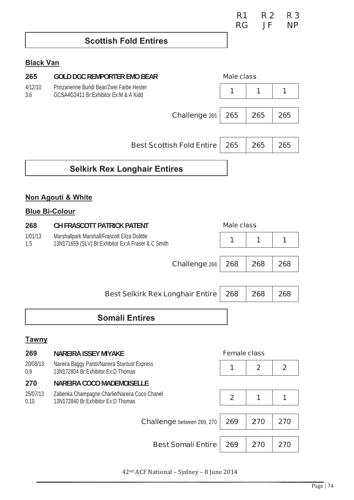| R <sub>1</sub> | R <sub>2</sub> | R <sub>3</sub> |
|----------------|----------------|----------------|
| <b>RG</b>      | JF             | <b>NP</b>      |

## **Scottish Fold Entires**

### **Black Van**

| 265              | <b>GOLD DGC REMPORTER EMO BEAR</b>                                                  | <b>Male class</b>   |              |                |  |
|------------------|-------------------------------------------------------------------------------------|---------------------|--------------|----------------|--|
| 4/12/10<br>3.6   | Prinzarienne Bundi Bear/Zwei Farbe Hester<br>GCSA4G2411 Br:Exhibitor Ex:M & A Kidd  | 1                   | 1            | 1              |  |
|                  |                                                                                     |                     |              |                |  |
|                  | <b>Challenge 265</b>                                                                | 265                 | 265          | 265            |  |
|                  |                                                                                     |                     |              |                |  |
|                  | <b>Best Scottish Fold Entire</b>                                                    | 265                 | 265          | 265            |  |
|                  | <b>Selkirk Rex Longhair Entires</b>                                                 |                     |              |                |  |
|                  |                                                                                     |                     |              |                |  |
|                  | <b>Non Agouti &amp; White</b>                                                       |                     |              |                |  |
|                  | <b>Blue Bi-Colour</b>                                                               |                     |              |                |  |
| 268              | <b>CH FRASCOTT PATRICK PATENT</b>                                                   | <b>Male class</b>   |              |                |  |
| 1/01/13          | Marshallpark Marshall/Frascott Eliza Dolittle                                       |                     |              |                |  |
| 1.5              | 13N171659 (SLV) Br: Exhibitor Ex: A Fraser & C Smith                                | 1                   | 1            | 1              |  |
|                  | <b>Challenge 268</b>                                                                | 268                 | 268          | 268            |  |
|                  |                                                                                     |                     |              |                |  |
|                  |                                                                                     |                     |              |                |  |
|                  | <b>Best Selkirk Rex Longhair Entire</b>                                             | 268                 | 268          | 268            |  |
|                  |                                                                                     |                     |              |                |  |
|                  | <b>Somali Entires</b>                                                               |                     |              |                |  |
| <b>Tawny</b>     |                                                                                     |                     |              |                |  |
| 269              | <b>NAREIRA ISSEY MIYAKE</b>                                                         | <b>Female class</b> |              |                |  |
| 20/08/13         | Nareira Baggy Pants/Nareira Stardust Express                                        |                     |              |                |  |
| 0.9              | 13N172804 Br:Exhibitor Ex:D Thomas                                                  | 1                   | $\mathbf{2}$ | $\overline{2}$ |  |
| 270              | <b>NAREIRA COCO MADEMOISELLE</b>                                                    |                     |              |                |  |
| 25/07/13<br>0.10 | Zabenka Champagne Charlie/Nareira Coco Chanel<br>13N172840 Br:Exhibitor Ex:D Thomas | $\overline{2}$      | 1            | 1              |  |
|                  |                                                                                     |                     |              |                |  |
|                  | <b>Challenge</b> between 269, 270                                                   | 269                 | 270          | 270            |  |
|                  |                                                                                     |                     |              |                |  |
|                  | <b>Best Somali Entire</b>                                                           | 269                 | 270          | 270            |  |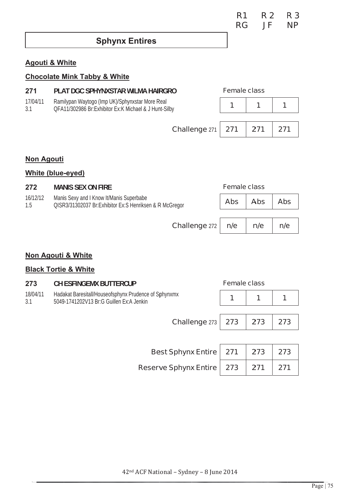| R <sub>1</sub> | <b>R2</b> | <b>R3</b> |
|----------------|-----------|-----------|
| <b>RG</b>      | JF        | <b>NP</b> |

**Sphynx Entires** 

### **Agouti & White**

### **Chocolate Mink Tabby & White**

| 271             | PLAT DGC SPHYNXSTAR WILMA HAIRGRO                                                                        | <b>Female class</b> |     |
|-----------------|----------------------------------------------------------------------------------------------------------|---------------------|-----|
| 17/04/11<br>3.1 | Ramilypan Waytogo (Imp UK)/Sphynxstar More Real<br>OFA11/302986 Br:Exhibitor Ex:K Michael & J Hunt-Silby |                     |     |
|                 |                                                                                                          |                     |     |
|                 | Challenge $271$   271                                                                                    | 271                 | 271 |
|                 |                                                                                                          |                     |     |

## **Non Agouti**

#### **White (blue-eyed)**

| 272             | <b>MANIS SEX ON FIRE</b>                                                                            |            | <b>Female class</b> |            |  |
|-----------------|-----------------------------------------------------------------------------------------------------|------------|---------------------|------------|--|
| 16/12/12<br>1.5 | Manis Sexy and I Know It/Manis Superbabe<br>QISR3/31302037 Br:Exhibitor Ex:S Henriksen & R McGregor | <b>Abs</b> | <b>Abs</b>          | <b>Abs</b> |  |
|                 |                                                                                                     |            |                     |            |  |
|                 | Challenge 272                                                                                       | n/e        | n/e                 | n/e        |  |

#### Non Agouti & White

### **Black Tortie & White**

| 273             | <b>CH ESFINGEMX BUTTERCUP</b>                                                                     |     | <b>Female class</b> |     |
|-----------------|---------------------------------------------------------------------------------------------------|-----|---------------------|-----|
| 18/04/11<br>3.1 | Hadakat Baresitall/Houseofsphynx Prudence of Sphynxmx<br>5049-1741202V13 Br:G Guillen Ex:A Jenkin | 1   | 1                   |     |
|                 |                                                                                                   |     |                     |     |
|                 | <b>Challenge 273</b>                                                                              | 273 | 273                 | 273 |
|                 |                                                                                                   |     |                     |     |
|                 | <b>Best Sphynx Entire</b>                                                                         | 271 | 273                 | 273 |
|                 | <b>Reserve Sphynx Entire</b>                                                                      | 273 | 271                 | 271 |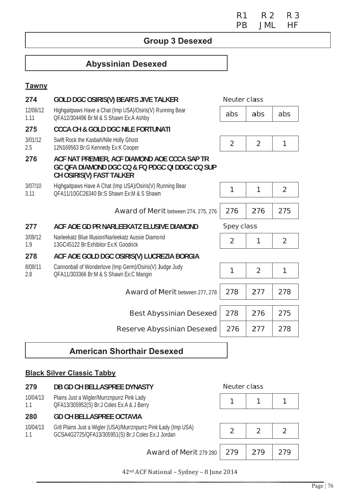**R1 R2 R3 PB JML HF** 

## **Group 3 Desexed**

# **Abyssinian Desexed**

#### **Tawny**

| 274              | <b>GOLD DGC OSIRIS(V) BEAR'S JIVE TALKER</b>                                                                               | <b>Neuter class</b> |                |                |
|------------------|----------------------------------------------------------------------------------------------------------------------------|---------------------|----------------|----------------|
| 12/06/12<br>1.11 | Highgaitpaws Have a Chat (Imp USA)/Osiris(V) Running Bear<br>QFA12/304496 Br:M & S Shawn Ex:A Ashby                        | abs                 | abs            | abs            |
| 275              | <b>CCCA CH &amp; GOLD DGC NILE FORTUNATI</b>                                                                               |                     |                |                |
| 3/01/12<br>2.5   | Swift Rock the Kasbah/Nile Holly Ghost<br>12N169563 Br:G Kennedy Ex:K Cooper                                               | $\overline{2}$      | $\overline{2}$ | 1              |
| 276              | ACF NAT PREMIER, ACF DIAMOND AOE CCCA SAP TR<br>GC OFA DIAMOND DGC CQ & FQ PDGC QI DDGC CQ SUP<br>CH OSIRIS(V) FAST TALKER |                     |                |                |
| 3/07/10<br>3.11  | Highgaitpaws Have A Chat (Imp USA)/Osiris(V) Running Bear<br>OFA11/10GC26340 Br:S Shawn Ex:M & S Shawn                     | 1                   | 1              | $\overline{2}$ |
|                  | <b>Award of Merit</b> between 274, 275, 276                                                                                | 276                 | 276            | 275            |
|                  |                                                                                                                            | <b>Spey class</b>   |                |                |
| 277              | ACF AOE GD PR NARLEEKATZ ELUSIVE DIAMOND                                                                                   |                     |                |                |
| 3/09/12<br>1.9   | Narleekatz Blue Illusion/Narleekatz Aussie Diamond<br>13GC45122 Br:Exhibitor Ex:K Goodrick                                 | $\overline{2}$      | 1              | $\overline{2}$ |
| 278              | ACF AOE GOLD DGC OSIRIS(V) LUCREZIA BORGIA                                                                                 |                     |                |                |
| 8/09/11<br>2.8   | Cannonball of Wonderlove (Imp Germ)/Osiris(V) Judge Judy<br>QFA11/303366 Br:M & S Shawn Ex:C Mangin                        | 1                   | $\overline{2}$ | 1              |
|                  | <b>Award of Merit between 277, 278</b>                                                                                     | 278                 | 277            | 278            |
|                  | <b>Best Abyssinian Desexed</b>                                                                                             | 278                 | 276            | 275            |

# **American Shorthair Desexed**

### **Black Silver Classic Tabby**

| 279             | <b>DB GD CH BELLASPREE DYNASTY</b>                                                                                  | <b>Neuter class</b> |     |  |
|-----------------|---------------------------------------------------------------------------------------------------------------------|---------------------|-----|--|
| 10/04/13<br>1.1 | Plains Just a Wigler/Murrznpurrz Pink Lady<br>QFA13/305952(S) Br:J Coles Ex:A & J Berry                             |                     |     |  |
| 280             | <b>GD CH BELLASPREE OCTAVIA</b>                                                                                     |                     |     |  |
| 10/04/13<br>1.1 | Gr8 Plains Just a Wigler (USA)/Murrznpurrz Pink Lady (Imp USA)<br>GCSA4G2725/QFA13/305951(S) Br:J Coles Ex:J Jordan | $\overline{2}$      | 2   |  |
|                 |                                                                                                                     |                     |     |  |
|                 | <b>Award of Merit 279 280 279</b>                                                                                   |                     | 279 |  |

42<sup>nd</sup> ACF National - Sydney - 8 June 2014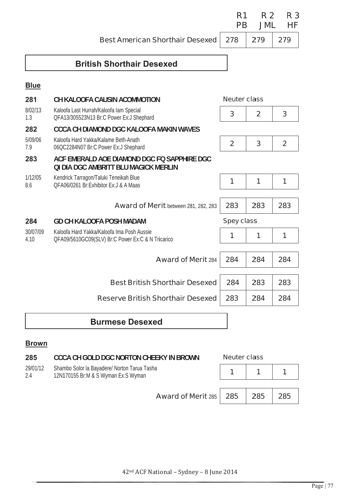**Best American Shorthair Desexed** 

#### **R1 R2 R3 PB JML HF**

279

278

# 279

## **British Shorthair Desexed**

#### **Blue**

| 281              | CH KALOOFA CAUSIN ACOMMOTION                                                                    | <b>Neuter class</b> |              |                |
|------------------|-------------------------------------------------------------------------------------------------|---------------------|--------------|----------------|
| 8/02/13<br>1.3   | Kaloofa Last Hurrah/Kaloofa lam Special<br>QFA13/305523N13 Br:C Power Ex:J Shephard             | 3                   | $\mathbf{2}$ | 3              |
| 282              | <b>CCCA CH DIAMOND DGC KALOOFA MAKIN WAVES</b>                                                  |                     |              |                |
| 5/09/06<br>7.9   | Kaloofa Hard Yakka/Kalame Beth-Anath<br>06QC2284N07 Br:C Power Ex:J Shephard                    | $\overline{2}$      | 3            | $\overline{2}$ |
| 283              | ACF EMERALD AOE DIAMOND DGC FO SAPPHIRE DGC<br>OI DIA DGC AMBRITT BLU MAGICK MERLIN             |                     |              |                |
| 1/12/05<br>8.6   | Kendrick Tarragon/Taluki Teneikah Blue<br>OFA06/0261 Br: Exhibitor Ex: J & A Maas               | 1                   | 1            | 1              |
|                  | <b>Award of Merit</b> between 281, 282, 283                                                     | 283                 | 283          | 283            |
| 284              | <b>GD CH KALOOFA POSH MADAM</b>                                                                 | <b>Spey class</b>   |              |                |
| 30/07/09<br>4.10 | Kaloofa Hard Yakka/Kaloofa Ima Posh Aussie<br>QFA09/5610GC09(SLV) Br:C Power Ex:C & N Tricarico | 1                   | 1            | 1              |
|                  | <b>Award of Merit 284</b>                                                                       | 284                 | 284          | 284            |
|                  | <b>Best British Shorthair Desexed</b>                                                           | 284                 | 283          | 283            |
|                  | <b>Reserve British Shorthair Desexed</b>                                                        | 283                 | 284          | 284            |
|                  | <b>Burmese Desexed</b>                                                                          |                     |              |                |

### **Brown**

| 285             | <b>CCCA CH GOLD DGC NORTON CHEEKY IN BROWN</b>                                      | <b>Neuter class</b> |     |     |
|-----------------|-------------------------------------------------------------------------------------|---------------------|-----|-----|
| 29/01/12<br>2.4 | Shambo Solor la Bayadere/ Norton Tarua Tasha<br>12N170155 Br:M & S Wyman Ex:S Wyman |                     |     |     |
|                 | <b>Award of Merit 285 285</b>                                                       |                     | 285 | 285 |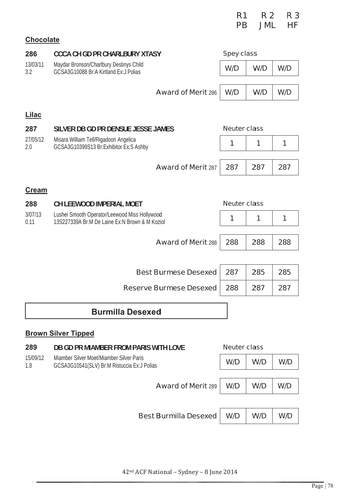|                  |                                                                                                 | R <sub>1</sub><br><b>PB</b> | <b>R2</b><br><b>JML</b> | R <sub>3</sub><br>НF |
|------------------|-------------------------------------------------------------------------------------------------|-----------------------------|-------------------------|----------------------|
| <b>Chocolate</b> |                                                                                                 |                             |                         |                      |
| 286              | <b>CCCA CH GD PR CHARLBURY XTASY</b>                                                            | <b>Spey class</b>           |                         |                      |
| 13/03/11<br>3.2  | Maydar Bronson/Charlbury Destinys Child<br>GCSA3G10088 Br:A Kirtland Ex:J Polias                | W/D                         | W/D                     | W/D                  |
|                  | <b>Award of Merit 286</b>                                                                       | W/D                         | W/D                     | W/D                  |
| <b>Lilac</b>     |                                                                                                 |                             |                         |                      |
| 287              | SILVER DB GD PR DENSUE JESSE JAMES                                                              | <b>Neuter class</b>         |                         |                      |
| 27/05/12<br>2.0  | Misara William Tell/Rigadoon Angelica<br>GCSA3G10399S13 Br:Exhibitor Ex:S Ashby                 | 1                           | 1                       | 1                    |
|                  | <b>Award of Merit 287</b>                                                                       | 287                         | 287                     | 287                  |
| <b>Cream</b>     |                                                                                                 |                             |                         |                      |
| 288              | <b>CH LEEWOOD IMPERIAL MOET</b>                                                                 | <b>Neuter class</b>         |                         |                      |
| 3/07/13<br>0.11  | Lushei Smooth Operator/Leewood Miss Hollywood<br>13S227339A Br:M De Laine Ex:N Brown & M Koziol | 1                           | 1                       | 1                    |
|                  | <b>Award of Merit 288</b>                                                                       | 288                         | 288                     | 288                  |
|                  | <b>Best Burmese Desexed</b>                                                                     | 287                         | 285                     | 285                  |
|                  | <b>Reserve Burmese Desexed</b>                                                                  | 288                         | 287                     | 287                  |
|                  | <b>Burmilla Desexed</b>                                                                         |                             |                         |                      |
|                  | <b>Brown Silver Tipped</b>                                                                      |                             |                         |                      |
| 289              | DB GD PR MIAMBER FROM PARIS WITH LOVE                                                           | <b>Neuter class</b>         |                         |                      |
| 15/09/12<br>1.8  | Miamber Silver Moet/Miamber Silver Paris<br>GCSA3G10541(SLV) Br:M Ristuccia Ex:J Polias         | W/D                         | W/D                     | W/D                  |
|                  | <b>Award of Merit 289</b>                                                                       | W/D                         | W/D                     | W/D                  |
|                  |                                                                                                 |                             |                         |                      |
|                  | <b>Best Burmilla Desexed</b>                                                                    | W/D                         | W/D                     | W/D                  |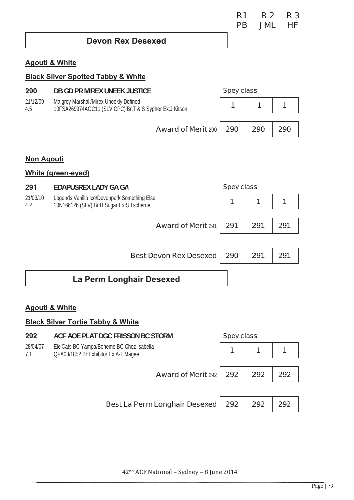### **Devon Rex Desexed**

#### **Agouti & White**

#### **Black Silver Spotted Tabby & White** 290 DB GD PR MIREX UNEEK JUSTICE **Spey class** 21/12/09 Maigrey Marshall/Mirex Uneekly Defined  $\mathbf{1}$  $\overline{1}$  $\overline{1}$ 10FSA269974AGC11 (SLV CPC) Br:T & S Sypher Ex:J Kitson  $4.5$ **Award of Merit 290** 290 290 290 **Non Agouti** White (green-eyed) 291 **EDAPUSREX LADY GA GA Spey class** 21/03/10 Legends Vanilla Ice/Devonpark Something Else  $\mathbf{1}$  $\mathbf{1}$  $\overline{1}$ 10N166126 (SLV) Br:H Sugar Ex:S Tscherne  $4.2$ **Award of Merit 291** 291 291 291 **Best Devon Rex Desexed** 290 291 291 La Perm Longhair Desexed

#### **Agouti & White**

#### **Black Silver Tortie Tabby & White**

| 292             | ACF AOE PLAT DGC FRISSON BC STORM                                                 | <b>Spey class</b> |     |     |
|-----------------|-----------------------------------------------------------------------------------|-------------------|-----|-----|
| 28/04/07<br>7.1 | Ele'Cats BC Yampa/Boheme BC Chez Isabella<br>QFA08/1852 Br:Exhibitor Ex:A-L Magee |                   |     |     |
|                 | <b>Award of Merit 292 292</b>                                                     |                   | 292 | 292 |
|                 |                                                                                   |                   |     |     |
|                 | Best La Perm Longhair Desexed                                                     | 292               | 292 | 292 |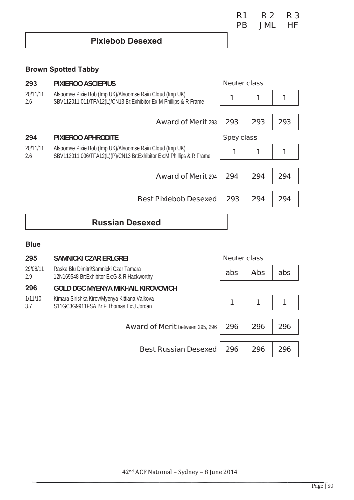## **Brown Spotted Tabby**

| 293             | <b>PIXIEROO ASCIEPIUS</b>                                                                                                       |                   | <b>Neuter class</b> |     |  |
|-----------------|---------------------------------------------------------------------------------------------------------------------------------|-------------------|---------------------|-----|--|
| 20/11/11<br>2.6 | Alsoomse Pixie Bob (Imp UK)/Alsoomse Rain Cloud (Imp UK)<br>SBV112011 011/TFA12(L)/CN13 Br: Exhibitor Ex: M Phillips & R Frame  |                   |                     |     |  |
|                 | <b>Award of Merit 293</b>                                                                                                       | 293               | 293                 | 293 |  |
| 294             | PIXIEROO APHRODITE                                                                                                              | <b>Spey class</b> |                     |     |  |
| 20/11/11<br>2.6 | Alsoomse Pixie Bob (Imp UK)/Alsoomse Rain Cloud (Imp UK)<br>SBV112011 006/TFA12(L)(P)/CN13 Br:Exhibitor Ex:M Phillips & R Frame |                   |                     |     |  |
|                 |                                                                                                                                 |                   |                     |     |  |
|                 | <b>Award of Merit 294</b>                                                                                                       | 294               | 294                 | 294 |  |
|                 |                                                                                                                                 |                   |                     |     |  |
|                 | <b>Best Pixiebob Desexed</b>                                                                                                    | 293               | 294                 | 294 |  |
|                 |                                                                                                                                 |                   |                     |     |  |

# **Russian Desexed**

### **Blue**

| 295             | <b>SAMNICKI CZAR ERLGREI</b>                                                            |     | <b>Neuter class</b> |     |  |
|-----------------|-----------------------------------------------------------------------------------------|-----|---------------------|-----|--|
| 29/08/11<br>2.9 | Raska Blu Dimitri/Samnicki Czar Tamara<br>12N169548 Br: Exhibitor Ex: G & R Hackworthy  | abs | <b>Abs</b>          | abs |  |
| 296             | <b>GOLD DGC MYENYA MIKHAIL KIROVOVICH</b>                                               |     |                     |     |  |
| 1/11/10<br>3.7  | Kimara Sirishka Kirov/Myenya Kittiana Valkova<br>S11GC3G9911FSA Br:F Thomas Ex:J Jordan | 1   | 1                   | 1   |  |
|                 | <b>Award of Merit between 295, 296</b>                                                  | 296 | 296                 | 296 |  |
|                 |                                                                                         |     |                     |     |  |
|                 | <b>Best Russian Desexed</b>                                                             | 296 | 296                 | 296 |  |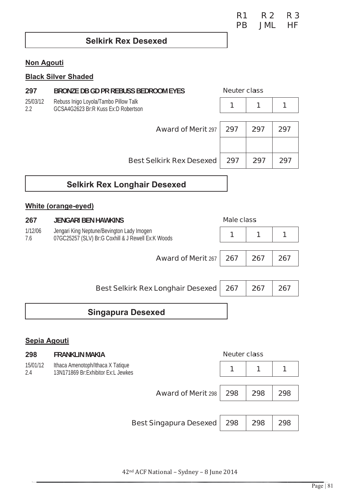**R1 R2 R3 PB JML HF** 

## **Selkirk Rex Desexed**

### **Non Agouti**

## **Black Silver Shaded**

| 297             | BRONZE DB GD PR REBUSS BEDROOM EYES                                          | <b>Neuter class</b> |     |     |
|-----------------|------------------------------------------------------------------------------|---------------------|-----|-----|
| 25/03/12<br>2.2 | Rebuss Inigo Loyola/Tambo Pillow Talk<br>GCSA4G2623 Br:R Kuss Ex:D Robertson |                     | 1   |     |
|                 | <b>Award of Merit 297</b>                                                    | 297                 | 297 | 297 |
|                 | <b>Best Selkirk Rex Desexed</b>                                              | 297                 | 297 | 297 |

# **Selkirk Rex Longhair Desexed**

## **White (orange-eyed)**

| 267            | <b>JENGARI BEN HAWKINS</b>                                                                       | <b>Male class</b> |     |     |
|----------------|--------------------------------------------------------------------------------------------------|-------------------|-----|-----|
| 1/12/06<br>7.6 | Jengari King Neptune/Bevington Lady Imogen<br>07GC25257 (SLV) Br:G Coxhill & J Rewell Ex:K Woods |                   | 1   |     |
|                |                                                                                                  |                   |     |     |
|                | <b>Award of Merit 267 267</b>                                                                    |                   | 267 | 267 |
|                |                                                                                                  |                   |     |     |
|                | <b>Best Selkirk Rex Longhair Desexed</b>                                                         | 267               | 267 | 267 |

# **Singapura Desexed**

#### Sepia Agouti

| 298                                                                                        | <b>FRANKLIN MAKIA</b>         | <b>Neuter class</b> |                      |     |
|--------------------------------------------------------------------------------------------|-------------------------------|---------------------|----------------------|-----|
| 15/01/12<br>Ithaca Amenotoph/Ithaca X Tatique<br>13N171869 Br:Exhibitor Ex:L Jewkes<br>2.4 |                               |                     | $\blacktriangleleft$ |     |
|                                                                                            | <b>Award of Merit 298</b>     | 298                 | 298                  | 298 |
|                                                                                            | <b>Best Singapura Desexed</b> | 298                 | 298                  | 298 |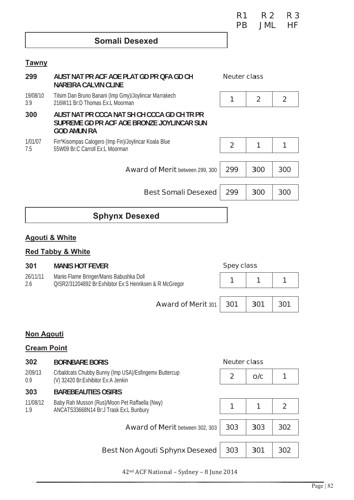| R1 | <b>R2</b> | R <sub>3</sub> |
|----|-----------|----------------|
| РB | JMI.      | НF             |

## **Somali Desexed**

#### **Tawny**

| 299             | AUST NAT PR ACF AOE PLAT GD PR QFA GD CH<br><b>NAREIRA CALVIN CLINE</b>                                         | <b>Neuter class</b> |                |             |
|-----------------|-----------------------------------------------------------------------------------------------------------------|---------------------|----------------|-------------|
| 19/08/10<br>3.9 | Tilsim Dan Bruno Banani (Imp Gmy)/Joylincar Marrakech<br>216W11 Br:D Thomas Ex:L Moorman                        | 1                   | $\overline{2}$ | $\mathbf 2$ |
| 300             | AUST NAT PR CCCA NAT SH CH CCCA GD CH TR PR<br>SUPREME GD PR ACF AOE BRONZE JOYLINCAR SUN<br><b>GOD AMUN RA</b> |                     |                |             |
| 1/01/07<br>7.5  | Fin*Kisompas Calogero (Imp Fin)/Joylincar Koala Blue<br>55W09 Br:C Carroll Ex:L Moorman                         | $\overline{2}$      | 1              |             |
|                 | <b>Award of Merit between 299, 300</b>                                                                          | 299                 | 300            | 300         |
|                 | <b>Best Somali Desexed</b>                                                                                      | 299                 | 300            | 300         |
|                 |                                                                                                                 |                     |                |             |

# **Sphynx Desexed**

### **Agouti & White**

# **Red Tabby & White**

| 301                                                                                                                   | <b>MANIS HOT FEVER</b>          | <b>Spey class</b> |     |     |
|-----------------------------------------------------------------------------------------------------------------------|---------------------------------|-------------------|-----|-----|
| 26/11/11<br>Manis Flame Bringer/Manis Babushka Doll<br>QISR2/31204892 Br:Exhibitor Ex:S Henriksen & R McGregor<br>2.6 |                                 |                   |     |     |
|                                                                                                                       |                                 |                   |     |     |
|                                                                                                                       | <b>Award of Merit 301   301</b> |                   | 301 | 301 |

## **Non Agouti**

## **Cream Point**

| 302             | <b>BORNBARE BORIS</b>                                                                         |              |                                                                      |  |
|-----------------|-----------------------------------------------------------------------------------------------|--------------|----------------------------------------------------------------------|--|
| 2/09/13<br>0.9  | Crbaldcats Chubby Bunny (Imp USA)/Esfingemx Buttercup<br>(V) 32420 Br: Exhibitor Ex: A Jenkin | $\mathbf{2}$ | O/C                                                                  |  |
| 303             | <b>BAREBEAUTIES OSIRIS</b>                                                                    |              |                                                                      |  |
| 11/08/12<br>1.9 | Baby Rah Musson (Rus)/Moon Pet Raffaella (Nwy)<br>ANCATS33668N14 Br:J Trask Ex:L Bunbury      |              | <b>Neuter class</b><br>1<br>$\mathbf{2}$<br>303<br>302<br>301<br>302 |  |
|                 | <b>Award of Merit between 302, 303</b>                                                        | 303          |                                                                      |  |
|                 | <b>Best Non Agouti Sphynx Desexed</b>                                                         | 303          |                                                                      |  |
|                 |                                                                                               |              |                                                                      |  |

42<sup>nd</sup> ACF National - Sydney - 8 June 2014